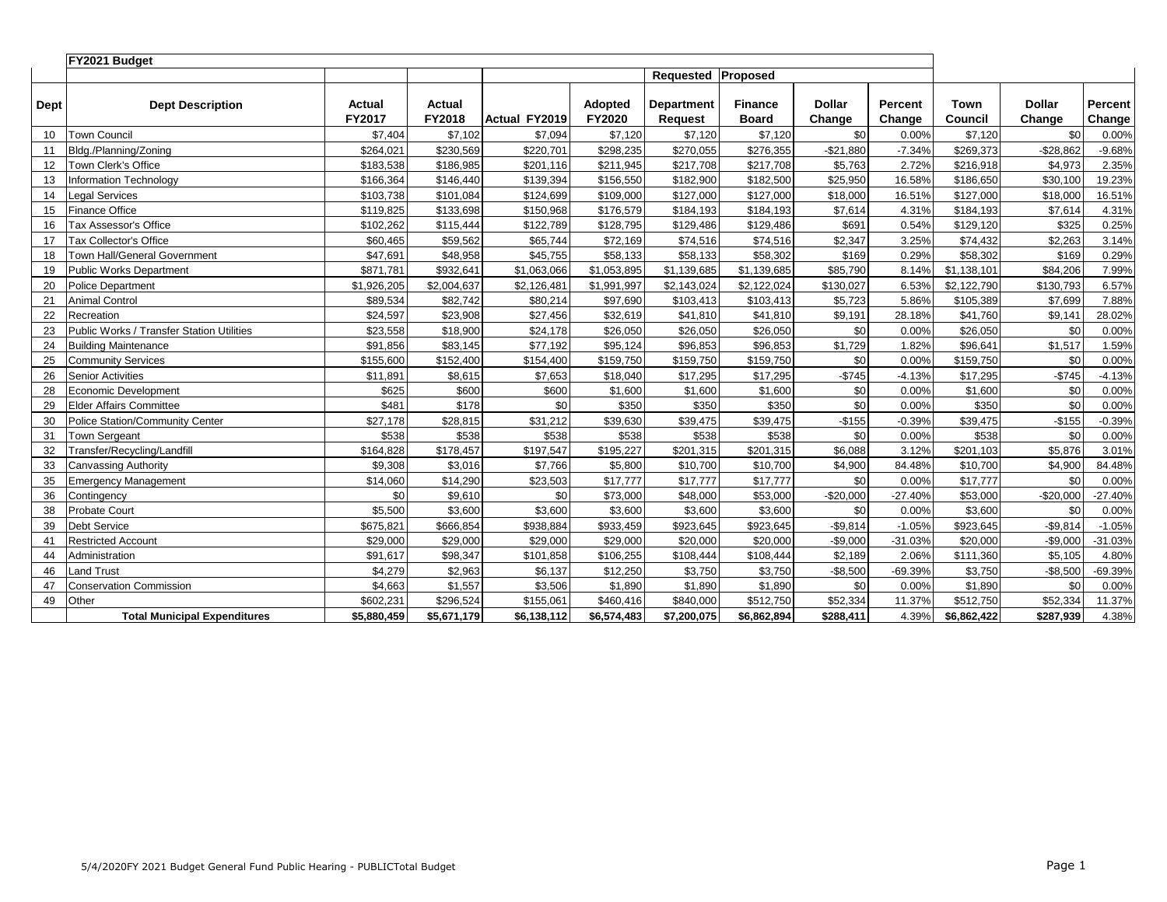|      | FY2021 Budget                             |                         |                         |               |                   |                              |                                |                         |                   |                 |                         |                   |
|------|-------------------------------------------|-------------------------|-------------------------|---------------|-------------------|------------------------------|--------------------------------|-------------------------|-------------------|-----------------|-------------------------|-------------------|
|      |                                           |                         |                         |               |                   | <b>Requested Proposed</b>    |                                |                         |                   |                 |                         |                   |
| Dept | <b>Dept Description</b>                   | <b>Actual</b><br>FY2017 | <b>Actual</b><br>FY2018 | Actual FY2019 | Adopted<br>FY2020 | <b>Department</b><br>Request | <b>Finance</b><br><b>Board</b> | <b>Dollar</b><br>Change | Percent<br>Change | Town<br>Council | <b>Dollar</b><br>Change | Percent<br>Change |
| 10   | Town Council                              | \$7,404                 | \$7,102                 | \$7,094       | \$7,120           | \$7,120                      | \$7,120                        | SO <sub>1</sub>         | 0.00%             | \$7,120         | \$0                     | 0.00%             |
| 11   | Bldg./Planning/Zoning                     | \$264,021               | \$230,569               | \$220,701     | \$298,235         | \$270,055                    | \$276,355                      | $-$21,880$              | $-7.34%$          | \$269,373       | $-$ \$28,862            | $-9.68%$          |
| 12   | Town Clerk's Office                       | \$183,538               | \$186,985               | \$201,116     | \$211,945         | \$217,708                    | \$217,708                      | \$5,763                 | 2.72%             | \$216,918       | \$4,973                 | 2.35%             |
| 13   | <b>Information Technology</b>             | \$166,364               | \$146,440               | \$139,394     | \$156,550         | \$182,900                    | \$182,500                      | \$25,950                | 16.58%            | \$186,650       | \$30,100                | 19.23%            |
| 14   | egal Services                             | \$103,738               | \$101,084               | \$124,699     | \$109,000         | \$127,000                    | \$127,000                      | \$18,000                | 16.51%            | \$127,000       | \$18,000                | 16.51%            |
| 15   | <b>Finance Office</b>                     | \$119,825               | \$133,698               | \$150,968     | \$176,579         | \$184,193                    | \$184,193                      | \$7,614                 | 4.31%             | \$184,193       | \$7,614                 | 4.31%             |
| 16   | Tax Assessor's Office                     | \$102,262               | \$115,444               | \$122,789     | \$128,795         | \$129,486                    | \$129,486                      | \$691                   | 0.54%             | \$129,120       | \$325                   | 0.25%             |
| 17   | Tax Collector's Office                    | \$60,465                | \$59,562                | \$65,744      | \$72,169          | \$74,516                     | \$74,516                       | \$2,347                 | 3.25%             | \$74,432        | \$2,263                 | 3.14%             |
| 18   | Town Hall/General Government              | \$47,691                | \$48,958                | \$45,755      | \$58,133          | \$58,133                     | \$58,302                       | \$169                   | 0.29%             | \$58,302        | \$169                   | 0.29%             |
| 19   | Public Works Department                   | \$871,781               | \$932,641               | \$1,063,066   | \$1,053,895       | \$1,139,685                  | \$1,139,685                    | \$85,790                | 8.14%             | \$1,138,101     | \$84,206                | 7.99%             |
| 20   | Police Department                         | \$1,926,205             | \$2,004,637             | \$2,126,481   | \$1,991,997       | \$2,143,024                  | \$2,122,024                    | \$130,027               | 6.53%             | \$2,122,790     | \$130.793               | 6.57%             |
| 21   | <b>Animal Control</b>                     | \$89,534                | \$82,742                | \$80,214      | \$97,690          | \$103,413                    | \$103,413                      | \$5,723                 | 5.86%             | \$105,389       | \$7,699                 | 7.88%             |
| 22   | Recreation                                | \$24,597                | \$23,908                | \$27,456      | \$32,619          | \$41,810                     | \$41,810                       | \$9,191                 | 28.18%            | \$41,760        | \$9,141                 | 28.02%            |
| 23   | Public Works / Transfer Station Utilities | \$23,558                | \$18,900                | \$24,178      | \$26,050          | \$26,050                     | \$26,050                       | \$0                     | 0.00%             | \$26,050        | \$0                     | 0.00%             |
| 24   | <b>Building Maintenance</b>               | \$91,856                | \$83,145                | \$77,192      | \$95,124          | \$96,853                     | \$96,853                       | \$1,729                 | 1.82%             | \$96,641        | \$1,517                 | 1.59%             |
| 25   | <b>Community Services</b>                 | \$155,600               | \$152,400               | \$154,400     | \$159,750         | \$159,750                    | \$159,750                      | \$0                     | 0.00%             | \$159,750       | \$0                     | 0.00%             |
| 26   | <b>Senior Activities</b>                  | \$11,891                | \$8,615                 | \$7,653       | \$18,040          | \$17,295                     | \$17.295                       | $-$745$                 | $-4.13%$          | \$17,295        | $-$745$                 | $-4.13%$          |
| 28   | Economic Development                      | \$625                   | \$600                   | \$600         | \$1,600           | \$1,600                      | \$1,600                        | \$0                     | 0.00%             | \$1,600         | \$0                     | 0.00%             |
| 29   | <b>Elder Affairs Committee</b>            | \$481                   | \$178                   | \$0           | \$350             | \$350                        | \$350                          | \$0                     | 0.00%             | \$350           | \$0                     | 0.00%             |
| 30   | <b>Police Station/Community Center</b>    | \$27,178                | \$28,815                | \$31,212      | \$39,630          | \$39,475                     | \$39,475                       | $-$155$                 | $-0.39%$          | \$39,475        | $-$155$                 | $-0.39%$          |
| 31   | <b>Town Sergeant</b>                      | \$538                   | \$538                   | \$538         | \$538             | \$538                        | \$538                          | \$0                     | 0.00%             | \$538           | \$0                     | 0.00%             |
| 32   | Transfer/Recycling/Landfill               | \$164,828               | \$178,457               | \$197,547     | \$195,227         | \$201,315                    | \$201,315                      | \$6,088                 | 3.12%             | \$201,103       | \$5,876                 | 3.01%             |
| 33   | <b>Canvassing Authority</b>               | \$9,308                 | \$3,016                 | \$7,766       | \$5,800           | \$10,700                     | \$10,700                       | \$4,900                 | 84.48%            | \$10,700        | \$4,900                 | 84.48%            |
| 35   | <b>Emergency Management</b>               | \$14,060                | \$14,290                | \$23,503      | \$17,777          | \$17,777                     | \$17,777                       | \$0                     | 0.00%             | \$17,777        | \$0                     | 0.00%             |
| 36   | Contingency                               | \$0                     | \$9,610                 | \$0           | \$73,000          | \$48,000                     | \$53,000                       | $-$20,000$              | $-27.40%$         | \$53,000        | $-$20,000$              | $-27.40%$         |
| 38   | <b>Probate Court</b>                      | \$5,500                 | \$3,600                 | \$3,600       | \$3,600           | \$3,600                      | \$3,600                        | \$0                     | 0.00%             | \$3,600         | \$0                     | 0.00%             |
| 39   | <b>Debt Service</b>                       | \$675,821               | \$666,854               | \$938,884     | \$933,459         | \$923,645                    | \$923,645                      | $-$9,814$               | $-1.05%$          | \$923,645       | $-$9,814$               | $-1.05%$          |
| 41   | <b>Restricted Account</b>                 | \$29,000                | \$29,000                | \$29,000      | \$29,000          | \$20,000                     | \$20,000                       | $-$9,000$               | $-31.03%$         | \$20,000        | $-$9,000$               | $-31.03%$         |
| 44   | Administration                            | \$91,617                | \$98,347                | \$101,858     | \$106,255         | \$108,444                    | \$108,444                      | \$2,189                 | 2.06%             | \$111,360       | \$5,105                 | 4.80%             |
| 46   | and Trust                                 | \$4,279                 | \$2,963                 | \$6,137       | \$12,250          | \$3,750                      | \$3,750                        | $-$8,500$               | $-69.39%$         | \$3,750         | $-$8,500$               | $-69.39%$         |
| 47   | <b>Conservation Commission</b>            | \$4,663                 | \$1,557                 | \$3,506       | \$1,890           | \$1,890                      | \$1,890                        | \$0                     | 0.00%             | \$1,890         | \$0                     | 0.00%             |
| 49   | Other                                     | \$602,231               | \$296,524               | \$155,061     | \$460,416         | \$840,000                    | \$512,750                      | \$52,334                | 11.37%            | \$512,750       | \$52,334                | 11.37%            |
|      | <b>Total Municipal Expenditures</b>       | \$5,880,459             | \$5,671,179             | \$6,138,112   | \$6,574,483       | \$7,200,075                  | \$6,862,894                    | \$288,411               | 4.39%             | \$6,862,422     | \$287,939               | 4.38%             |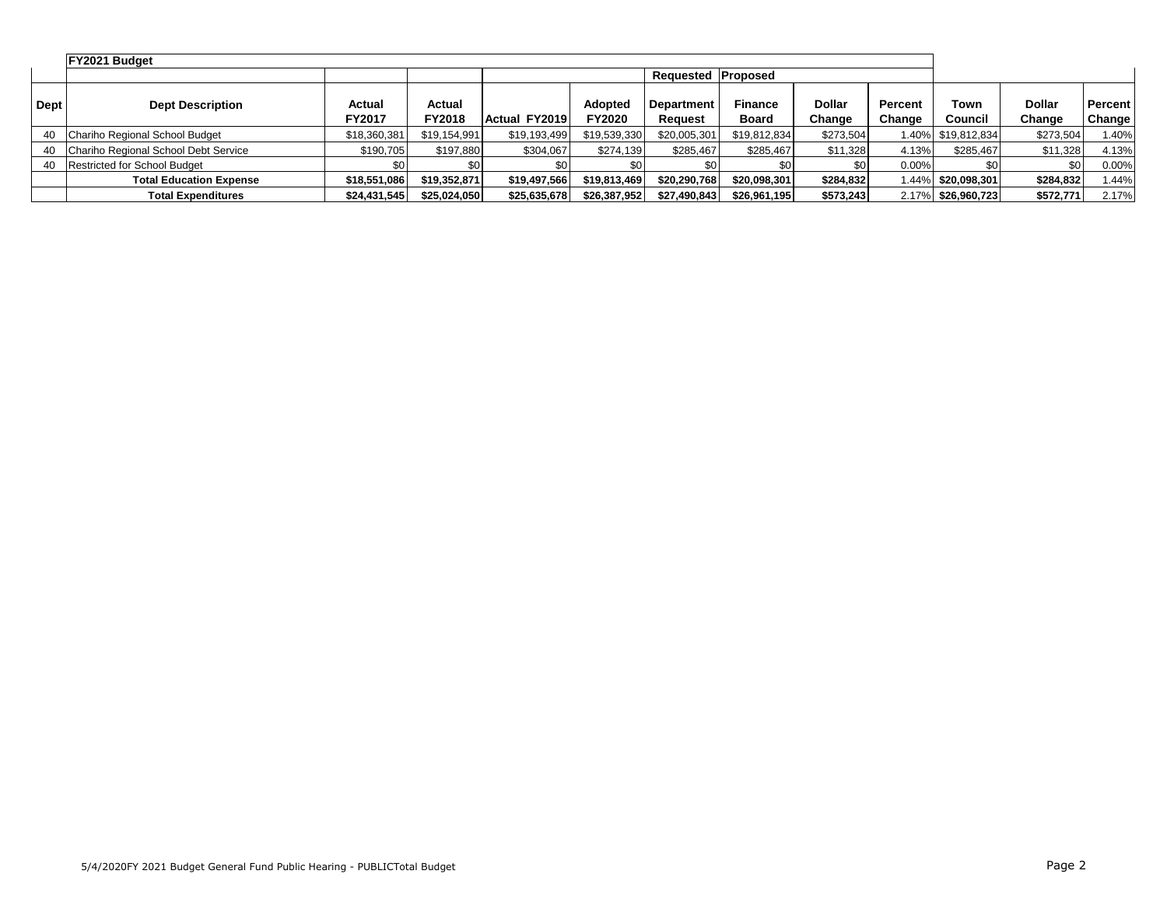|             | FY2021 Budget                        |                  |                  |               |                          |                              |                                |                         |                   |                    |                  |                          |
|-------------|--------------------------------------|------------------|------------------|---------------|--------------------------|------------------------------|--------------------------------|-------------------------|-------------------|--------------------|------------------|--------------------------|
|             |                                      |                  |                  |               |                          | <b>Requested Proposed</b>    |                                |                         |                   |                    |                  |                          |
| <b>Dept</b> | <b>Dept Description</b>              | Actual<br>FY2017 | Actual<br>FY2018 | Actual FY2019 | Adopted<br><b>FY2020</b> | <b>Department</b><br>Reauest | <b>Finance</b><br><b>Board</b> | <b>Dollar</b><br>Change | Percent<br>Change | Town<br>Council    | Dollar<br>Change | <b>Percent</b><br>Change |
| 40          | Chariho Regional School Budget       | \$18,360,381     | \$19,154,991     | \$19,193,499  | \$19,539,330             | \$20,005,301                 | \$19,812,834                   | \$273,504               |                   | 1.40% \$19,812,834 | \$273,504        | 1.40%                    |
| 40          | Chariho Regional School Debt Service | \$190.705        | \$197,880        | \$304,067     | \$274.139                | \$285,467                    | \$285,467                      | \$11,328                | 4.13%             | \$285,467          | \$11,328         | 4.13%                    |
| 40          | <b>Restricted for School Budget</b>  |                  | \$0              |               | \$0 <sub>1</sub>         |                              |                                | \$0 I                   | $0.00\%$          |                    | \$0              | $0.00\%$                 |
|             | <b>Total Education Expense</b>       | \$18,551,086     | \$19,352,871     | \$19,497,566  | \$19,813,469             | \$20,290,768                 | \$20,098,301                   | \$284,832               |                   | 1.44% \$20,098,301 | \$284,832        | 1.44%                    |
|             | <b>Total Expenditures</b>            | \$24,431,545     | \$25,024,050     | \$25,635,678  | \$26,387,952             | \$27,490,843                 | \$26,961,195                   | \$573,243               |                   | 2.17% \$26.960.723 | \$572.771        | 2.17%                    |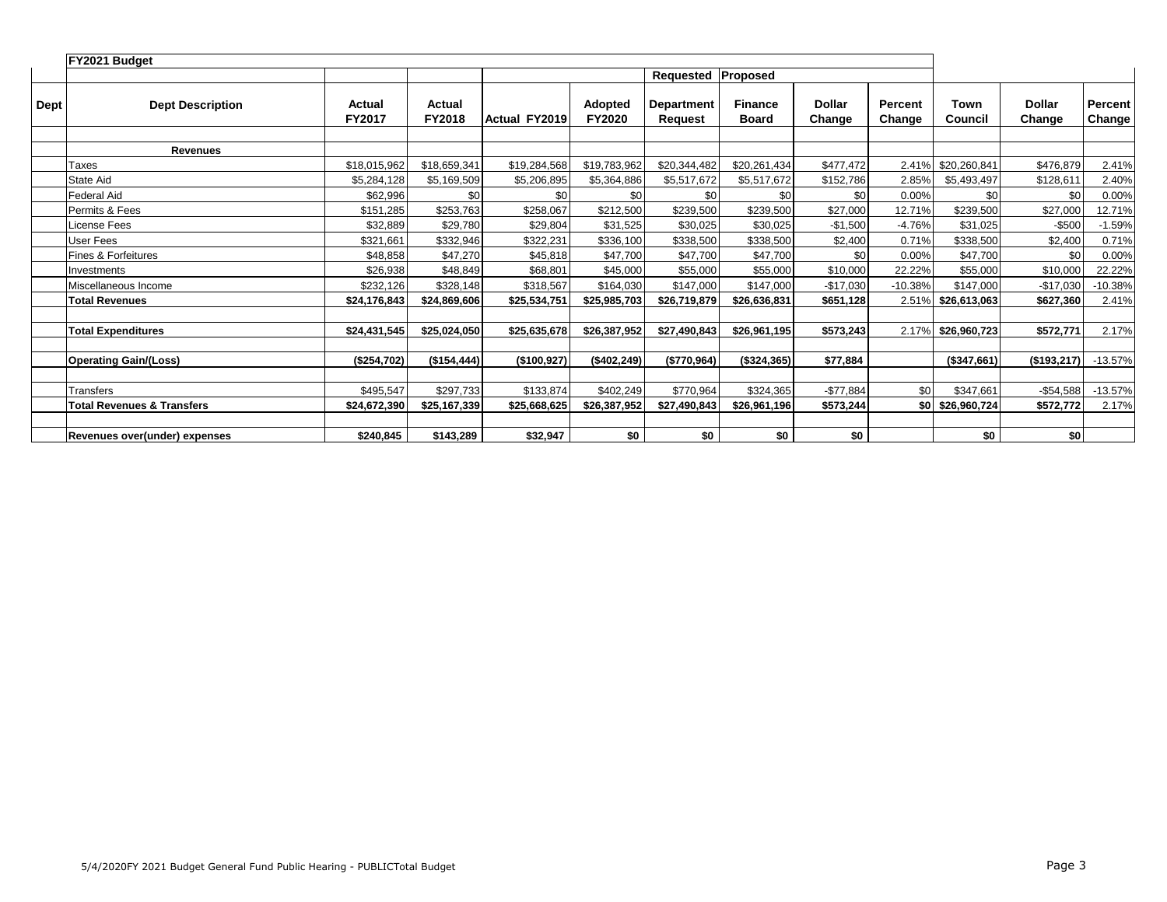|             | FY2021 Budget                         |                  |                  |                      |                          |                              |                                |                         |                   |                  |                         |                   |
|-------------|---------------------------------------|------------------|------------------|----------------------|--------------------------|------------------------------|--------------------------------|-------------------------|-------------------|------------------|-------------------------|-------------------|
|             |                                       |                  |                  |                      |                          | Requested                    | Proposed                       |                         |                   |                  |                         |                   |
| <b>Dept</b> | <b>Dept Description</b>               | Actual<br>FY2017 | Actual<br>FY2018 | <b>Actual FY2019</b> | Adopted<br><b>FY2020</b> | <b>Department</b><br>Request | <b>Finance</b><br><b>Board</b> | <b>Dollar</b><br>Change | Percent<br>Change | Town<br>Council  | <b>Dollar</b><br>Change | Percent<br>Change |
|             | <b>Revenues</b>                       |                  |                  |                      |                          |                              |                                |                         |                   |                  |                         |                   |
|             | Taxes                                 | \$18,015,962     | \$18,659,341     | \$19,284,568         | \$19,783,962             | \$20,344,482                 | \$20,261,434                   | \$477,472               | 2.41%             | \$20,260,841     | \$476,879               | 2.41%             |
|             | State Aid                             | \$5,284,128      | \$5,169,509      | \$5,206,895          | \$5,364,886              | \$5,517,672                  | \$5,517,672                    | \$152,786               | 2.85%             | \$5,493,497      | \$128,611               | 2.40%             |
|             | Federal Aid                           | \$62,996         | \$0              | \$0                  | \$0                      | \$0                          | \$0                            | \$0                     | 0.00%             | \$0              | \$0                     | 0.00%             |
|             | Permits & Fees                        | \$151,285        | \$253,763        | \$258,067            | \$212,500                | \$239,500                    | \$239,500                      | \$27,000                | 12.71%            | \$239,500        | \$27,000                | 12.71%            |
|             | License Fees                          | \$32,889         | \$29,780         | \$29,804             | \$31,525                 | \$30,025                     | \$30,025                       | $-$1,500$               | $-4.76%$          | \$31,025         | $-$500$                 | $-1.59%$          |
|             | User Fees                             | \$321,661        | \$332,946        | \$322,231            | \$336,100                | \$338,500                    | \$338,500                      | \$2,400                 | 0.71%             | \$338,500        | \$2,400                 | 0.71%             |
|             | Fines & Forfeitures                   | \$48,858         | \$47,270         | \$45,818             | \$47,700                 | \$47,700                     | \$47,700                       | \$0                     | 0.00%             | \$47,700         | \$0                     | 0.00%             |
|             | Investments                           | \$26,938         | \$48,849         | \$68.801             | \$45,000                 | \$55,000                     | \$55,000                       | \$10,000                | 22.22%            | \$55,000         | \$10,000                | 22.22%            |
|             | Miscellaneous Income                  | \$232,126        | \$328,148        | \$318,567            | \$164,030                | \$147,000                    | \$147,000                      | $-$17,030$              | $-10.38%$         | \$147,000        | $-$17,030$              | $-10.38%$         |
|             | <b>Total Revenues</b>                 | \$24,176,843     | \$24,869,606     | \$25,534,751         | \$25,985,703             | \$26,719,879                 | \$26,636,831                   | \$651,128               | 2.51%             | \$26,613,063     | \$627,360               | 2.41%             |
|             |                                       |                  |                  |                      |                          |                              |                                |                         |                   |                  |                         |                   |
|             | <b>Total Expenditures</b>             | \$24,431,545     | \$25,024,050     | \$25,635,678         | \$26,387,952             | \$27,490,843                 | \$26,961,195                   | \$573,243               | 2.17%             | \$26,960,723     | \$572,771               | 2.17%             |
|             |                                       |                  |                  |                      |                          |                              |                                |                         |                   |                  |                         |                   |
|             | <b>Operating Gain/(Loss)</b>          | (\$254,702)      | (\$154, 444)     | (\$100, 927)         | (\$402, 249)             | (\$770,964)                  | (\$324,365)                    | \$77,884                |                   | (\$347,661)      | (\$193,217)             | $-13.57%$         |
|             |                                       |                  |                  |                      |                          |                              |                                |                         |                   |                  |                         |                   |
|             | Transfers                             | \$495,547        | \$297,733        | \$133,874            | \$402,249                | \$770,964                    | \$324,365                      | $-$77,884$              | \$0               | \$347,661        | $-$54,588$              | $-13.57%$         |
|             | <b>Total Revenues &amp; Transfers</b> | \$24,672,390     | \$25,167,339     | \$25,668,625         | \$26,387,952             | \$27,490,843                 | \$26,961,196                   | \$573,244               |                   | \$0 \$26,960,724 | \$572,772               | 2.17%             |
|             |                                       |                  |                  |                      |                          |                              |                                |                         |                   |                  |                         |                   |
|             | Revenues over(under) expenses         | \$240.845        | \$143.289        | \$32,947             | \$0                      | \$0                          | \$0                            | \$0                     |                   | \$0              | \$0                     |                   |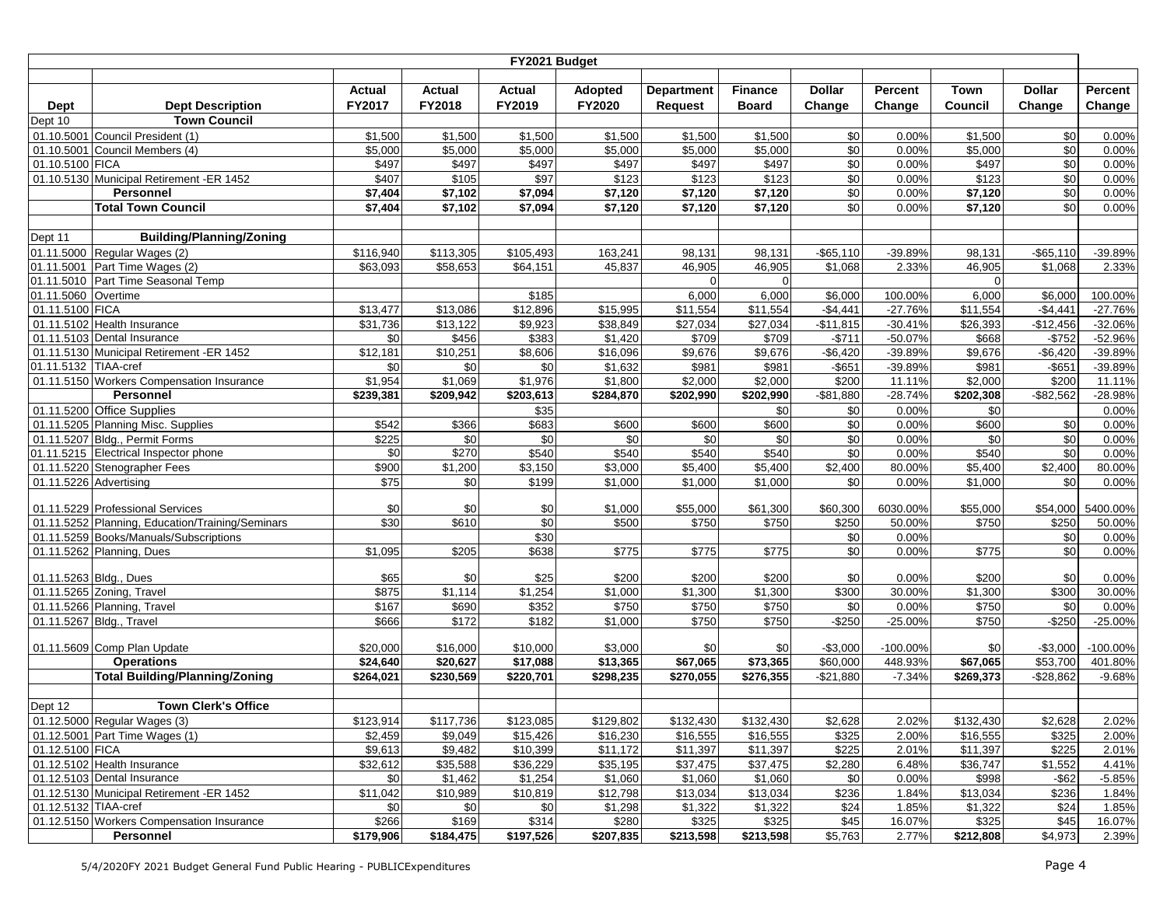|                        |                                                  |                       |                       | FY2021 Budget         |                   |                   |                |                       |                  |               |                       |           |
|------------------------|--------------------------------------------------|-----------------------|-----------------------|-----------------------|-------------------|-------------------|----------------|-----------------------|------------------|---------------|-----------------------|-----------|
|                        |                                                  |                       |                       |                       |                   |                   |                |                       |                  |               |                       |           |
|                        |                                                  | Actual                | <b>Actual</b>         | <b>Actual</b>         | Adopted           | <b>Department</b> | <b>Finance</b> | <b>Dollar</b>         | Percent          | Town          | <b>Dollar</b>         | Percent   |
| Dept                   | <b>Dept Description</b>                          | FY2017                | FY2018                | FY2019                | FY2020            | <b>Request</b>    | <b>Board</b>   | Change                | Change           | Council       | Change                | Change    |
| Dept 10                | <b>Town Council</b>                              |                       |                       |                       |                   |                   |                |                       |                  |               |                       |           |
|                        | 01.10.5001 Council President (1)                 | \$1,500               | \$1,500               | \$1,500               | \$1,500           | \$1,500           | \$1,500        | \$0                   | 0.00%            | \$1,500       | \$0                   | 0.00%     |
|                        | 01.10.5001 Council Members (4)                   | \$5,000               | \$5,000               | \$5,000               | \$5,000           | \$5,000           | \$5,000        | \$0                   | 0.00%            | \$5,000       | $\sqrt{6}$            | 0.00%     |
| 01.10.5100 FICA        |                                                  | \$497                 | \$497                 | \$497                 | \$497             | \$497             | \$497          | \$0                   | 0.00%            | \$497         | \$0                   | 0.00%     |
|                        | 01.10.5130 Municipal Retirement -ER 1452         | \$407                 | \$105                 | \$97                  | \$123             | \$123             | \$123          | \$0                   | 0.00%            | \$123         | \$0                   | 0.00%     |
|                        | <b>Personnel</b>                                 | \$7,404               | \$7,102               | \$7,094               | \$7,120           | \$7,120           | \$7,120        | \$0                   | 0.00%            | \$7,120       | \$0                   | 0.00%     |
|                        | <b>Total Town Council</b>                        | \$7,404               | \$7,102               | \$7,094               | \$7,120           | \$7,120           | \$7,120        | \$0                   | 0.00%            | \$7,120       | \$0                   | 0.00%     |
|                        | <b>Building/Planning/Zoning</b>                  |                       |                       |                       |                   |                   |                |                       |                  |               |                       |           |
| Dept 11                | 01.11.5000 Regular Wages (2)                     |                       |                       |                       |                   |                   | 98,131         |                       |                  | 98,131        |                       | -39.89%   |
|                        | 01.11.5001 Part Time Wages (2)                   | \$116,940<br>\$63,093 | \$113,305<br>\$58,653 | \$105,493<br>\$64,151 | 163,241<br>45,837 | 98,131<br>46,905  | 46,905         | $-$65,110$<br>\$1,068 | -39.89%<br>2.33% | 46,905        | $-$65,110$<br>\$1,068 | 2.33%     |
|                        | 01.11.5010 Part Time Seasonal Temp               |                       |                       |                       |                   | $\Omega$          | $\Omega$       |                       |                  | $\Omega$      |                       |           |
| 01.11.5060 Overtime    |                                                  |                       |                       | \$185                 |                   | 6,000             | 6,000          | \$6,000               | 100.00%          | 6,000         | \$6,000               | 100.00%   |
| 01.11.5100 FICA        |                                                  | \$13,477              | \$13,086              | \$12,896              | \$15,995          | \$11,554          | \$11,554       | $-$4,441$             | $-27.76%$        | \$11,554      | $-$4,441$             | $-27.76%$ |
|                        | 01.11.5102 Health Insurance                      | \$31,736              | \$13,122              | \$9,923               | \$38,849          | \$27,034          | \$27,034       | $-$11,815$            | $-30.41%$        | \$26,393      | $-$12,456$            | $-32.06%$ |
|                        | 01.11.5103 Dental Insurance                      | \$0                   | \$456                 | \$383                 | \$1,420           | \$709             | \$709          | $-$711$               | $-50.07%$        | \$668         | $-$752$               | -52.96%   |
|                        | 01.11.5130 Municipal Retirement -ER 1452         | \$12,181              | \$10,251              | \$8,606               | \$16,096          | \$9,676           | \$9,676        | $-$6,420$             | -39.89%          | \$9,676       | $-$6,420$             | -39.89%   |
| 01.11.5132 TIAA-cref   |                                                  | \$0                   | \$0                   | \$0                   | \$1,632           | \$981             | \$981          | $-$ \$651             | -39.89%          | \$981         | $-$ \$651             | -39.89%   |
|                        | 01.11.5150 Workers Compensation Insurance        | \$1,954               | \$1,069               | \$1,976               | \$1,800           | \$2,000           | \$2,000        | \$200                 | 11.11%           | \$2,000       | \$200                 | 11.11%    |
|                        | <b>Personnel</b>                                 | \$239,381             | \$209,942             | \$203,613             | \$284,870         | \$202,990         | \$202,990      | $-$81,880$            | $-28.74%$        | \$202,308     | $-$ \$82,562          | $-28.98%$ |
|                        | 01.11.5200 Office Supplies                       |                       |                       | $\overline{$35}$      |                   |                   | \$0            | \$0                   | 0.00%            | \$0           |                       | 0.00%     |
|                        | 01.11.5205 Planning Misc. Supplies               | \$542                 | \$366                 | \$683                 | \$600             | \$600             | \$600          | \$0                   | 0.00%            | \$600         | \$0                   | 0.00%     |
|                        | 01.11.5207 Bldg., Permit Forms                   | \$225                 | \$0                   | \$0                   | \$0               | \$0               | \$0            | \$0                   | 0.00%            | \$0           | $\sqrt{6}$            | 0.00%     |
|                        | 01.11.5215 Electrical Inspector phone            | \$0                   | \$270                 | \$540                 | \$540             | \$540             | \$540          | \$0                   | 0.00%            | \$540         | $\sqrt{6}$            | 0.00%     |
|                        | 01.11.5220 Stenographer Fees                     | \$900                 | \$1,200               | \$3,150               | \$3,000           | \$5,400           | \$5,400        | \$2,400               | 80.00%           | \$5,400       | \$2,400               | 80.00%    |
| 01.11.5226 Advertising |                                                  | \$75                  | \$0                   | \$199                 | \$1,000           | \$1,000           | \$1,000        | \$0                   | 0.00%            | \$1,000       | \$0                   | 0.00%     |
|                        |                                                  |                       |                       |                       |                   |                   |                |                       |                  |               |                       |           |
|                        | 01.11.5229 Professional Services                 | \$0                   | \$0                   | \$0                   | \$1,000           | \$55,000          | \$61,300       | \$60,300              | 6030.00%         | \$55,000      | \$54,000              | 5400.00%  |
|                        | 01.11.5252 Planning, Education/Training/Seminars | \$30                  | \$610                 | $\sqrt{6}$            | \$500             | \$750             | \$750          | \$250                 | 50.00%           | \$750         | \$250                 | 50.00%    |
|                        | 01.11.5259 Books/Manuals/Subscriptions           |                       |                       | \$30                  |                   |                   |                | \$0                   | 0.00%            |               | \$0                   | 0.00%     |
|                        | 01.11.5262 Planning, Dues                        | \$1,095               | \$205                 | \$638                 | \$775             | $\sqrt{$775}$     | \$775          | \$0                   | 0.00%            | $\sqrt{$775}$ | \$0                   | 0.00%     |
|                        | 01.11.5263 Bldg., Dues                           | \$65                  | \$0                   | \$25                  | \$200             | \$200             | \$200          | \$0                   | 0.00%            | \$200         | \$0                   | 0.00%     |
|                        | 01.11.5265 Zoning, Travel                        | \$875                 | \$1,114               | \$1,254               | \$1,000           | \$1,300           | \$1,300        | \$300                 | 30.00%           | \$1,300       | \$300                 | 30.00%    |
|                        | 01.11.5266 Planning, Travel                      | \$167                 | \$690                 | \$352                 | \$750             | \$750             | \$750          | \$0                   | 0.00%            | \$750         | \$0                   | 0.00%     |
|                        | 01.11.5267 Bldg., Travel                         | \$666                 | \$172                 | \$182                 | \$1,000           | \$750             | \$750          | $-$250$               | $-25.00%$        | \$750         | $-$ \$250             | $-25.00%$ |
|                        |                                                  |                       |                       |                       |                   |                   |                |                       |                  |               |                       |           |
|                        | 01.11.5609 Comp Plan Update                      | \$20,000              | \$16,000              | \$10,000              | \$3,000           | \$0               | \$0            | $-$3,000$             | $-100.00%$       | \$0           | $-$3,000$             | -100.00%  |
|                        | <b>Operations</b>                                | \$24,640              | \$20,627              | \$17,088              | \$13,365          | \$67,065          | \$73,365       | \$60,000              | 448.93%          | \$67,065      | \$53,700              | 401.80%   |
|                        | <b>Total Building/Planning/Zoning</b>            | \$264,021             | \$230,569             | \$220,701             | \$298,235         | \$270,055         | \$276,355      | $-$21,880$            | $-7.34%$         | \$269,373     | $-$ \$28,862          | $-9.68%$  |
|                        |                                                  |                       |                       |                       |                   |                   |                |                       |                  |               |                       |           |
| Dept 12                | <b>Town Clerk's Office</b>                       |                       |                       |                       |                   |                   |                |                       |                  |               |                       |           |
|                        | 01.12.5000 Regular Wages (3)                     | \$123,914             | \$117,736             | \$123,085             | \$129,802         | \$132,430         | \$132,430      | \$2,628               | 2.02%            | \$132,430     | \$2,628               | 2.02%     |
|                        | 01.12.5001 Part Time Wages (1)                   | \$2,459               | \$9,049               | \$15,426              | \$16,230          | \$16,555          | \$16,555       | \$325                 | 2.00%            | \$16,555      | \$325                 | 2.00%     |
| 01.12.5100 FICA        |                                                  | \$9,613               | \$9,482               | \$10,399              | \$11,172          | \$11,397          | \$11,397       | \$225                 | 2.01%            | \$11,397      | \$225                 | 2.01%     |
|                        | 01.12.5102 Health Insurance                      | \$32,612              | \$35,588              | \$36,229              | \$35,195          | \$37,475          | \$37,475       | \$2,280               | 6.48%            | \$36,747      | \$1,552               | 4.41%     |
|                        | 01.12.5103 Dental Insurance                      | \$0                   | \$1,462               | \$1,254               | \$1,060           | \$1,060           | \$1,060        | \$0                   | 0.00%            | \$998         | $-$ \$62              | $-5.85%$  |
|                        | 01.12.5130 Municipal Retirement -ER 1452         | \$11,042              | \$10,989              | \$10,819              | \$12,798          | \$13,034          | \$13,034       | \$236                 | 1.84%            | \$13,034      | \$236                 | 1.84%     |
| 01.12.5132 TIAA-cref   |                                                  | \$0                   | \$0                   | \$0                   | \$1,298           | \$1,322           | \$1,322        | \$24                  | 1.85%            | \$1,322       | \$24                  | 1.85%     |
|                        | 01.12.5150 Workers Compensation Insurance        | \$266                 | \$169                 | \$314                 | \$280             | \$325             | \$325          | \$45                  | 16.07%           | \$325         | \$45                  | 16.07%    |
|                        | Personnel                                        | \$179,906             | \$184,475             | \$197,526             | \$207,835         | \$213,598         | \$213,598      | \$5,763               | 2.77%            | \$212,808     | \$4,973               | 2.39%     |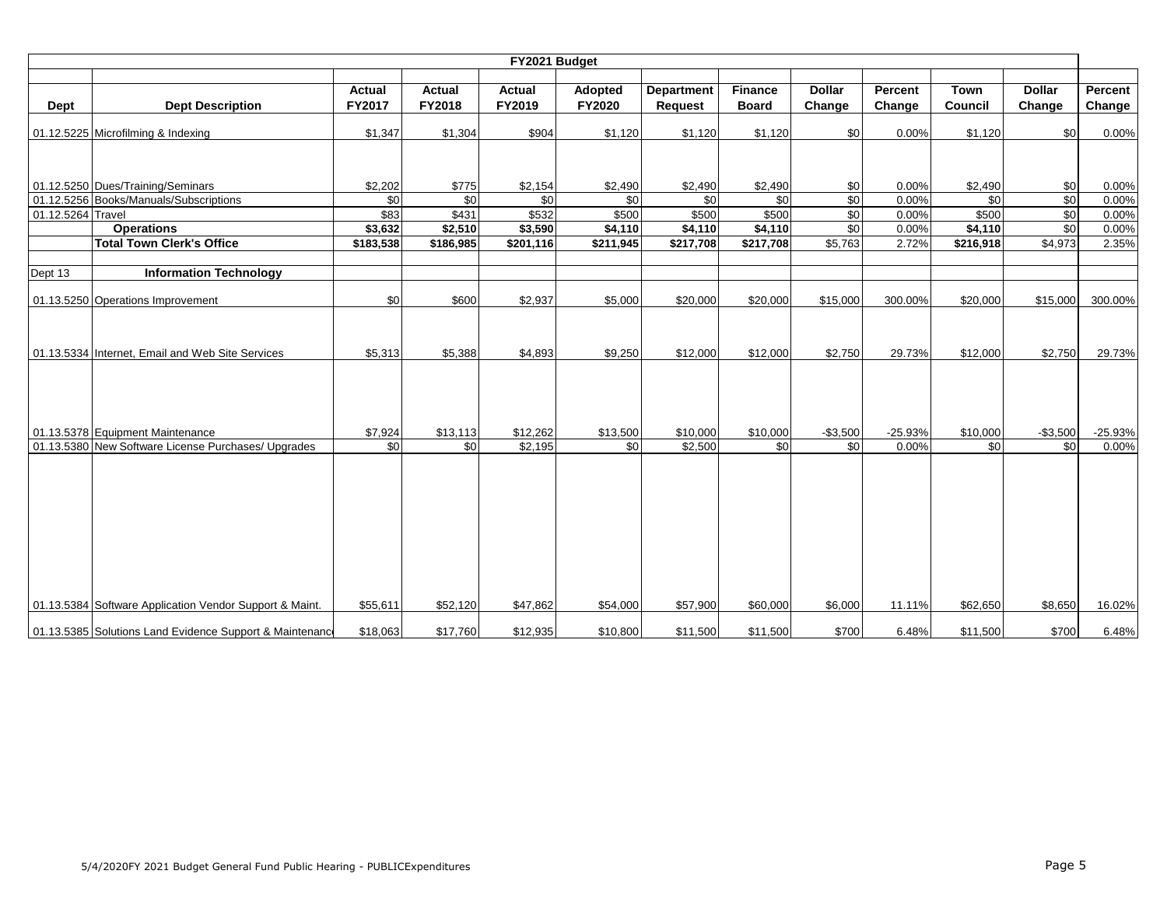|                   | FY2021 Budget                                            |                         |                  |                  |                   |                              |                                |                         |                   |                               |                         |                   |  |  |
|-------------------|----------------------------------------------------------|-------------------------|------------------|------------------|-------------------|------------------------------|--------------------------------|-------------------------|-------------------|-------------------------------|-------------------------|-------------------|--|--|
| Dept              | <b>Dept Description</b>                                  | <b>Actual</b><br>FY2017 | Actual<br>FY2018 | Actual<br>FY2019 | Adopted<br>FY2020 | <b>Department</b><br>Request | <b>Finance</b><br><b>Board</b> | <b>Dollar</b><br>Change | Percent<br>Change | <b>Town</b><br><b>Council</b> | <b>Dollar</b><br>Change | Percent<br>Change |  |  |
|                   | 01.12.5225 Microfilming & Indexing                       | \$1,347                 | \$1,304          | \$904            | \$1,120           | \$1,120                      | \$1,120                        | \$0                     | 0.00%             | \$1,120                       | \$0                     | 0.00%             |  |  |
|                   |                                                          |                         |                  |                  |                   |                              |                                |                         |                   |                               |                         |                   |  |  |
|                   | 01.12.5250 Dues/Training/Seminars                        | \$2,202                 | \$775            | \$2,154          | \$2,490           | \$2,490                      | \$2,490                        | \$0                     | 0.00%             | \$2,490                       | \$0                     | 0.00%             |  |  |
|                   | 01.12.5256 Books/Manuals/Subscriptions                   | \$0                     | \$0              | \$0              | \$0               | \$0                          | \$0                            | \$0                     | 0.00%             | \$0                           | $\frac{6}{3}$           | 0.00%             |  |  |
| 01.12.5264 Travel |                                                          | \$83                    | \$431            | \$532            | \$500             | \$500                        | \$500                          | \$0                     | 0.00%             | \$500                         | \$0                     | 0.00%             |  |  |
|                   | <b>Operations</b>                                        | \$3,632                 | \$2,510          | \$3,590          | \$4,110           | \$4,110                      | \$4,110                        | \$0                     | 0.00%             | \$4,110                       | \$0                     | 0.00%             |  |  |
|                   | <b>Total Town Clerk's Office</b>                         | \$183,538               | \$186,985        | \$201,116        | \$211,945         | \$217,708                    | \$217,708                      | \$5,763                 | 2.72%             | \$216,918                     | \$4,973                 | 2.35%             |  |  |
|                   |                                                          |                         |                  |                  |                   |                              |                                |                         |                   |                               |                         |                   |  |  |
| Dept 13           | <b>Information Technology</b>                            |                         |                  |                  |                   |                              |                                |                         |                   |                               |                         |                   |  |  |
|                   | 01.13.5250 Operations Improvement                        | \$0                     | \$600            | \$2,937          | \$5,000           | \$20,000                     | \$20,000                       | \$15,000                | 300.00%           | \$20,000                      | \$15,000                | 300.00%           |  |  |
|                   | 01.13.5334 Internet, Email and Web Site Services         | \$5,313                 | \$5,388          | \$4,893          | \$9,250           | \$12,000                     | \$12,000                       | \$2,750                 | 29.73%            | \$12,000                      | \$2,750                 | 29.73%            |  |  |
|                   | 01.13.5378 Equipment Maintenance                         | \$7,924                 | \$13,113         | \$12,262         | \$13,500          | \$10,000                     | \$10,000                       | $-$3,500$               | $-25.93%$         | \$10,000                      | $-$3,500$               | $-25.93%$         |  |  |
|                   | 01.13.5380 New Software License Purchases/ Upgrades      | \$0                     | \$0              | \$2,195          | \$0               | \$2,500                      | \$0                            | \$0                     | 0.00%             | \$0                           | \$0                     | 0.00%             |  |  |
|                   | 01.13.5384 Software Application Vendor Support & Maint.  | \$55,611                | \$52,120         | \$47,862         | \$54,000          | \$57,900                     | \$60,000                       | \$6,000                 | 11.11%            | \$62,650                      | \$8,650                 | 16.02%            |  |  |
|                   | 01.13.5385 Solutions Land Evidence Support & Maintenance | \$18,063                | \$17,760         | \$12,935         | \$10,800          | \$11,500                     | \$11,500                       | \$700                   | 6.48%             | \$11,500                      | \$700                   | 6.48%             |  |  |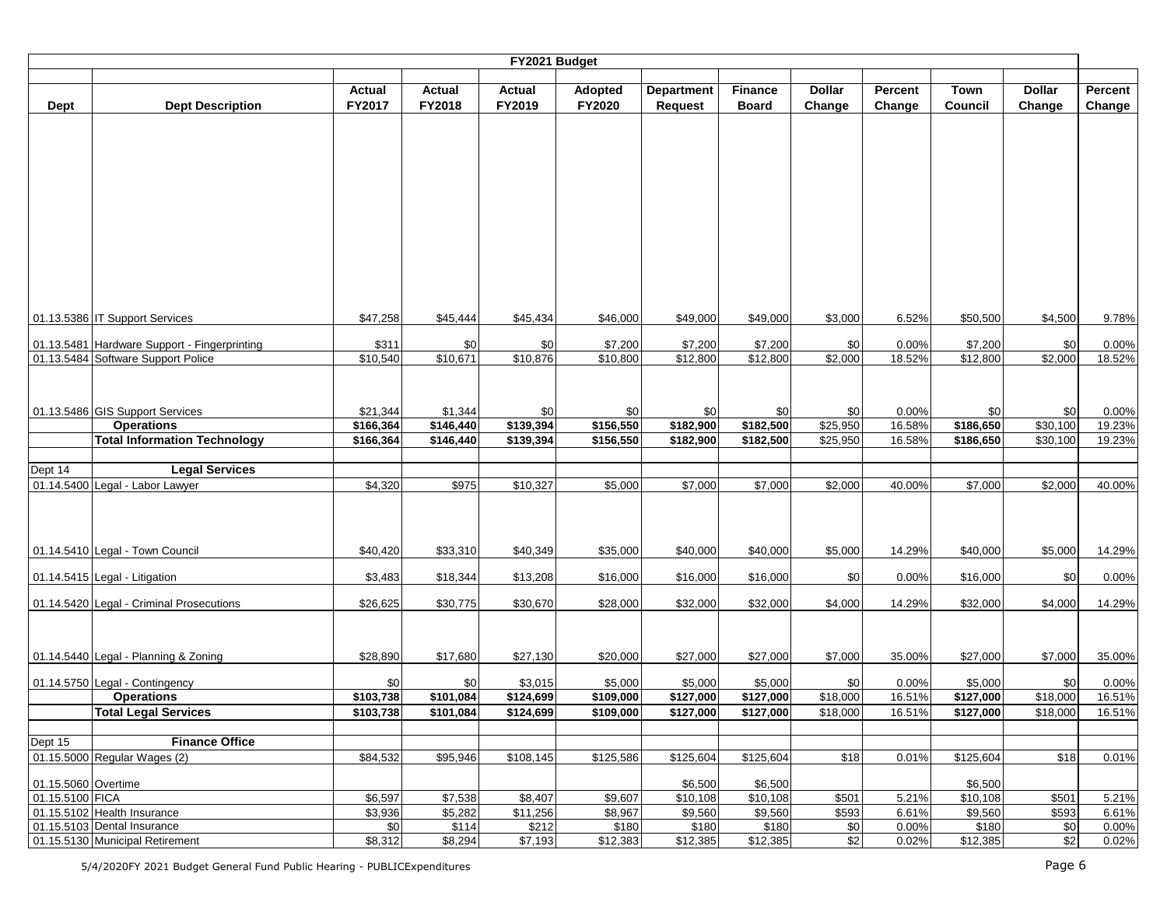|                     |                                              |                      |                      | FY2021 Budget |                      |                   |                       |               |         |                       |               |         |
|---------------------|----------------------------------------------|----------------------|----------------------|---------------|----------------------|-------------------|-----------------------|---------------|---------|-----------------------|---------------|---------|
|                     |                                              |                      |                      |               |                      |                   |                       |               |         |                       |               |         |
|                     |                                              | Actual               | <b>Actual</b>        | <b>Actual</b> | Adopted              | <b>Department</b> | <b>Finance</b>        | <b>Dollar</b> | Percent | <b>Town</b>           | <b>Dollar</b> | Percent |
| <b>Dept</b>         | <b>Dept Description</b>                      | FY2017               | FY2018               | FY2019        | FY2020               | <b>Request</b>    | <b>Board</b>          | Change        | Change  | <b>Council</b>        | Change        | Change  |
|                     |                                              |                      |                      |               |                      |                   |                       |               |         |                       |               |         |
|                     |                                              |                      |                      |               |                      |                   |                       |               |         |                       |               |         |
|                     |                                              |                      |                      |               |                      |                   |                       |               |         |                       |               |         |
|                     |                                              |                      |                      |               |                      |                   |                       |               |         |                       |               |         |
|                     |                                              |                      |                      |               |                      |                   |                       |               |         |                       |               |         |
|                     |                                              |                      |                      |               |                      |                   |                       |               |         |                       |               |         |
|                     |                                              |                      |                      |               |                      |                   |                       |               |         |                       |               |         |
|                     |                                              |                      |                      |               |                      |                   |                       |               |         |                       |               |         |
|                     |                                              |                      |                      |               |                      |                   |                       |               |         |                       |               |         |
|                     |                                              |                      |                      |               |                      |                   |                       |               |         |                       |               |         |
|                     |                                              |                      |                      |               |                      |                   |                       |               |         |                       |               |         |
|                     |                                              |                      |                      |               |                      |                   |                       |               |         |                       |               |         |
|                     | 01.13.5386 IT Support Services               | \$47,258             | \$45,444             | \$45,434      | \$46,000             | \$49,000          | \$49,000              | \$3,000       | 6.52%   | \$50,500              | \$4,500       | 9.78%   |
|                     | 01.13.5481 Hardware Support - Fingerprinting | \$311                | \$0                  | \$0           | \$7,200              | \$7,200           | \$7,200               | \$0           | 0.00%   | \$7,200               | \$0           | 0.00%   |
|                     | 01.13.5484 Software Support Police           | $\overline{$}10,540$ | \$10,671             | \$10,876      | \$10,800             | \$12,800          | \$12,800              | \$2,000       | 18.52%  | \$12,800              | \$2,000       | 18.52%  |
|                     |                                              |                      |                      |               |                      |                   |                       |               |         |                       |               |         |
|                     |                                              |                      |                      |               |                      |                   |                       |               |         |                       |               |         |
|                     | 01.13.5486 GIS Support Services              | \$21,344             |                      | \$0           | \$0                  | \$0               | \$0                   | \$0           | 0.00%   | \$0                   | \$0           | 0.00%   |
|                     | <b>Operations</b>                            | \$166,364            | \$1,344<br>\$146,440 | \$139,394     | \$156,550            | \$182,900         | \$182,500             | \$25,950      | 16.58%  | \$186,650             | \$30,100      | 19.23%  |
|                     | <b>Total Information Technology</b>          | \$166,364            | \$146,440            | \$139,394     | \$156,550            | \$182,900         | \$182,500             | \$25,950      | 16.58%  | $\overline{$}186,650$ | \$30,100      | 19.23%  |
|                     |                                              |                      |                      |               |                      |                   |                       |               |         |                       |               |         |
| Dept 14             | <b>Legal Services</b>                        |                      |                      |               |                      |                   |                       |               |         |                       |               |         |
|                     | 01.14.5400 Legal - Labor Lawyer              | \$4,320              | \$975                | \$10,327      | \$5,000              | \$7,000           | \$7,000               | \$2,000       | 40.00%  | \$7,000               | \$2,000       | 40.00%  |
|                     |                                              |                      |                      |               |                      |                   |                       |               |         |                       |               |         |
|                     |                                              |                      |                      |               |                      |                   |                       |               |         |                       |               |         |
|                     |                                              |                      |                      |               |                      |                   |                       |               |         |                       |               |         |
|                     | 01.14.5410 Legal - Town Council              | \$40,420             | \$33,310             | \$40,349      | \$35,000             | \$40,000          | \$40,000              | \$5,000       | 14.29%  | \$40,000              | \$5,000       | 14.29%  |
|                     |                                              |                      |                      |               |                      |                   |                       |               |         |                       |               |         |
|                     | 01.14.5415 Legal - Litigation                | \$3,483              | \$18,344             | \$13,208      | \$16,000             | \$16,000          | \$16,000              | \$0           | 0.00%   | \$16,000              | \$0           | 0.00%   |
|                     | 01.14.5420 Legal - Criminal Prosecutions     | \$26,625             | \$30,775             | \$30,670      | \$28,000             | \$32,000          | \$32,000              | \$4,000       | 14.29%  | \$32,000              | \$4,000       | 14.29%  |
|                     |                                              |                      |                      |               |                      |                   |                       |               |         |                       |               |         |
|                     |                                              |                      |                      |               |                      |                   |                       |               |         |                       |               |         |
|                     |                                              |                      |                      |               |                      |                   |                       |               |         |                       |               |         |
|                     | 01.14.5440 Legal - Planning & Zoning         | \$28,890             | \$17,680             | \$27,130      | \$20,000             | \$27,000          | \$27,000              | \$7,000       | 35.00%  | \$27,000              | \$7,000       | 35.00%  |
|                     | 01.14.5750 Legal - Contingency               | \$0                  | \$0                  | \$3,015       | \$5,000              | \$5,000           | \$5,000               | \$0           | 0.00%   | \$5,000               | \$0           | 0.00%   |
|                     | <b>Operations</b>                            | \$103,738            | \$101,084            | \$124,699     | \$109,000            | \$127,000         | \$127,000             | \$18,000      | 16.51%  | \$127,000             | \$18,000      | 16.51%  |
|                     | <b>Total Legal Services</b>                  | \$103,738            | \$101,084            | \$124,699     | \$109,000            | \$127,000         | \$127,000             | \$18,000      | 16.51%  | \$127,000             | \$18,000      | 16.51%  |
|                     |                                              |                      |                      |               |                      |                   |                       |               |         |                       |               |         |
| Dept 15             | <b>Finance Office</b>                        |                      |                      |               |                      |                   |                       |               |         |                       |               |         |
|                     | 01.15.5000 Regular Wages (2)                 | \$84,532             | \$95,946             | \$108,145     | \$125,586            | \$125,604         | $\overline{$125,604}$ | \$18          | 0.01%   | \$125,604             | \$18          | 0.01%   |
| 01.15.5060 Overtime |                                              |                      |                      |               |                      | \$6,500           | \$6,500               |               |         | \$6,500               |               |         |
| 01.15.5100 FICA     |                                              | \$6,597              | \$7,538              | \$8,407       | \$9,607              | \$10,108          | \$10,108              | \$501         | 5.21%   | \$10,108              | \$501         | 5.21%   |
|                     | 01.15.5102 Health Insurance                  | \$3,936              | \$5,282              | \$11,256      | \$8,967              | \$9,560           | \$9,560               | \$593         | 6.61%   | \$9,560               | \$593         | 6.61%   |
|                     | 01.15.5103 Dental Insurance                  | \$0                  | \$114                | \$212         | \$180                | \$180             | \$180                 | \$0           | 0.00%   | \$180                 | \$0           | 0.00%   |
|                     | 01.15.5130 Municipal Retirement              | \$8,312              | \$8,294              | \$7,193       | $\overline{$}12,383$ | \$12,385          | \$12,385              | $\frac{6}{2}$ | 0.02%   | \$12,385              | \$2           | 0.02%   |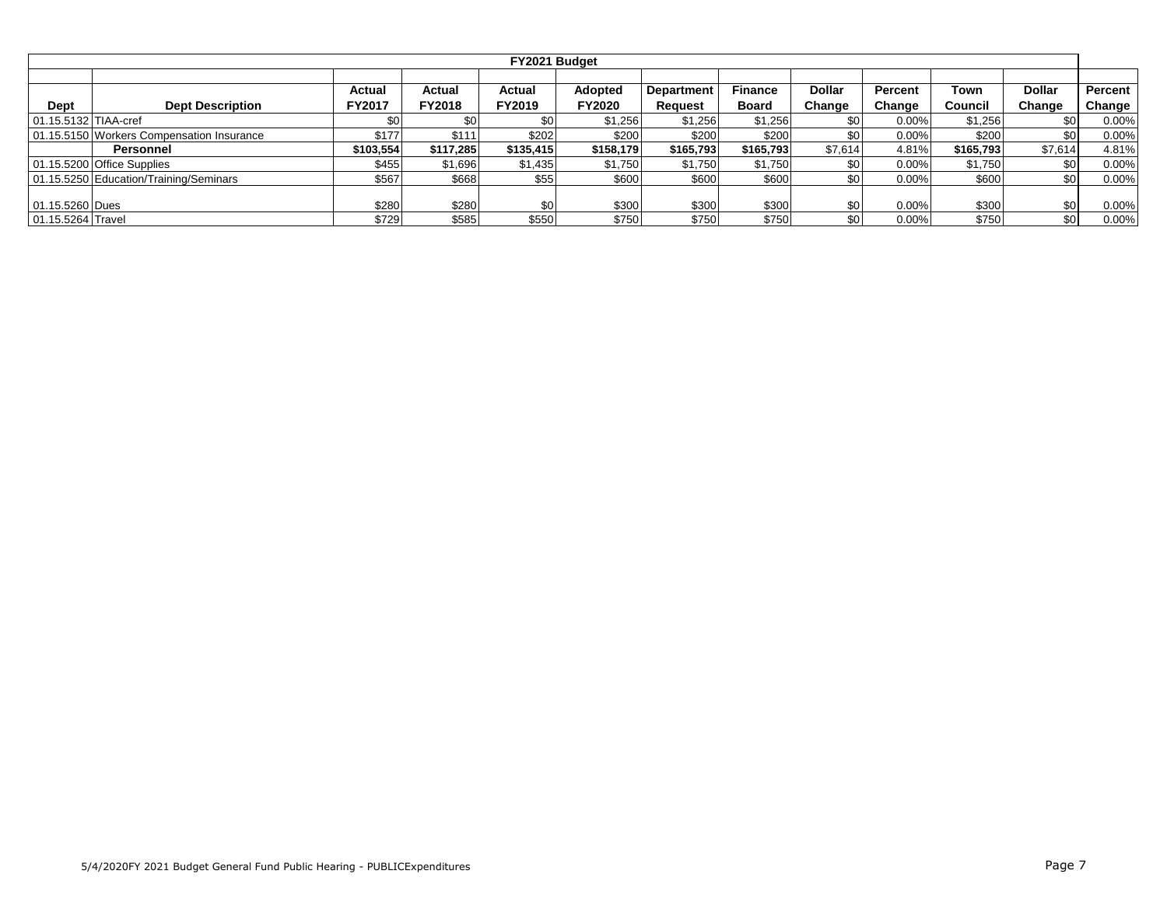|                      |                                           |                         |                         | FY2021 Budget           |                   |                              |                                |                         |                   |                 |                         |                     |
|----------------------|-------------------------------------------|-------------------------|-------------------------|-------------------------|-------------------|------------------------------|--------------------------------|-------------------------|-------------------|-----------------|-------------------------|---------------------|
| Dept                 | <b>Dept Description</b>                   | Actual<br><b>FY2017</b> | Actual<br><b>FY2018</b> | <b>Actual</b><br>FY2019 | Adopted<br>FY2020 | <b>Department</b><br>Request | <b>Finance</b><br><b>Board</b> | <b>Dollar</b><br>Change | Percent<br>Change | Town<br>Council | <b>Dollar</b><br>Change | Percent  <br>Change |
| 01.15.5132 TIAA-cref |                                           | \$0                     | \$0                     |                         | \$1,256           | \$1,256                      | \$1,256                        | \$0                     | 0.00%             | \$1,256         | \$0                     | 0.00%               |
|                      | 01.15.5150 Workers Compensation Insurance | \$177                   | \$111                   | \$202                   | \$200             | \$200                        | \$200                          | \$0                     | $0.00\%$          | \$200           | \$0                     | 0.00%               |
|                      | Personnel                                 | \$103,554               | \$117,285               | \$135,415               | \$158,179         | \$165,793                    | \$165,793                      | \$7,614                 | 4.81%             | \$165,793       | \$7,614                 | 4.81%               |
|                      | 01.15.5200 Office Supplies                | \$455                   | \$1,696                 | \$1,435                 | \$1,750           | \$1,750                      | \$1,750                        | \$0                     | $0.00\%$          | \$1,750         | \$0                     | 0.00%               |
|                      | 01.15.5250 Education/Training/Seminars    | \$567                   | \$668                   | \$55                    | \$600             | \$600                        | \$600                          | \$0                     | $0.00\%$          | \$600           | \$0                     | 0.00%               |
| 01.15.5260 Dues      |                                           | \$280                   | \$280                   | \$0                     | \$300             | \$300                        | \$300                          | \$0                     | $0.00\%$          | \$300           | \$0                     | 0.00%               |
| 01.15.5264 Travel    |                                           | \$729                   | \$585                   | \$550                   | \$750             | \$750                        | \$750                          | \$0                     | $0.00\%$          | \$750           | \$0                     | 0.00%               |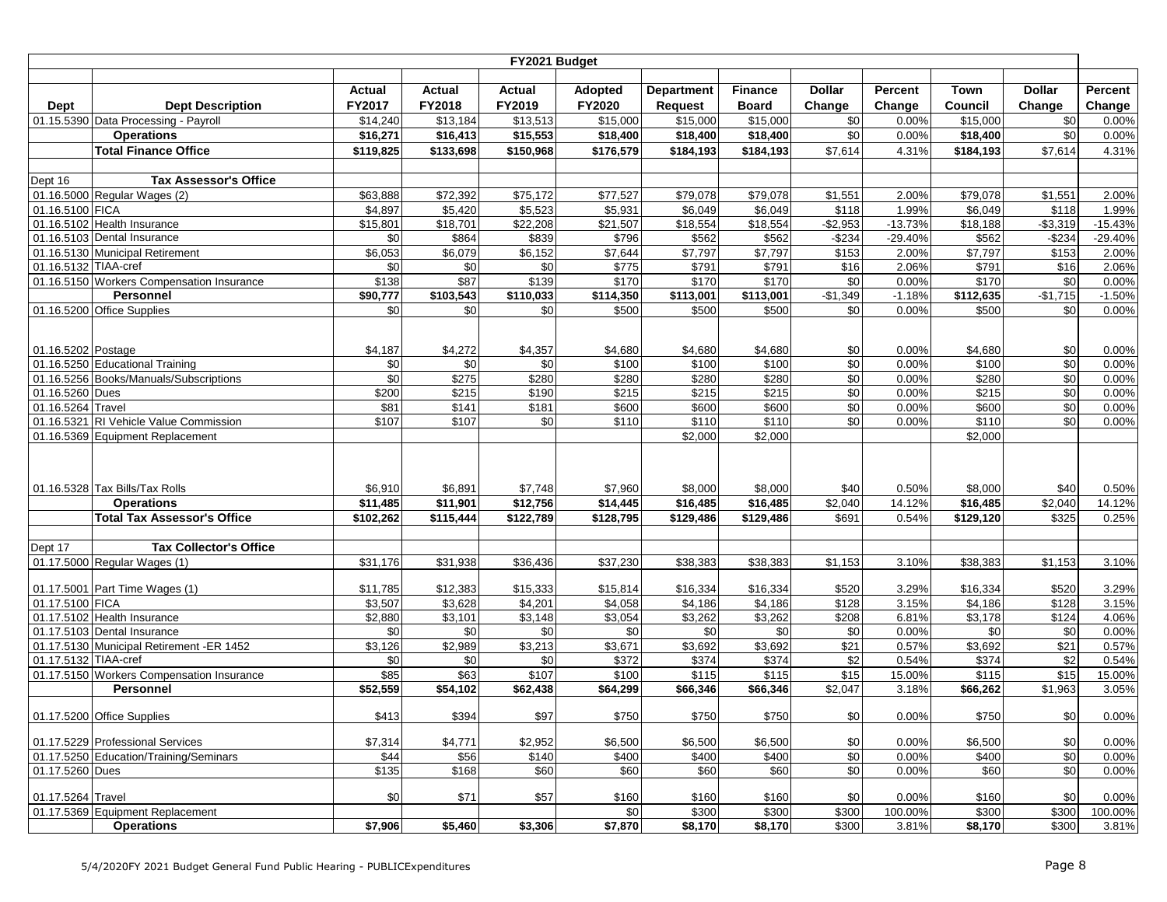|                      |                                                               |                   |                   | FY2021 Budget              |                    |                    |                    |                         |                   |                    |                  |                   |
|----------------------|---------------------------------------------------------------|-------------------|-------------------|----------------------------|--------------------|--------------------|--------------------|-------------------------|-------------------|--------------------|------------------|-------------------|
|                      |                                                               |                   |                   |                            |                    |                    |                    |                         |                   |                    |                  |                   |
|                      |                                                               | Actual            | Actual            | Actual                     | <b>Adopted</b>     | <b>Department</b>  | <b>Finance</b>     | <b>Dollar</b>           | Percent           | Town               | <b>Dollar</b>    | Percent           |
| Dept                 | <b>Dept Description</b>                                       | FY2017            | FY2018            | FY2019                     | FY2020             | <b>Request</b>     | <b>Board</b>       | Change                  | Change            | Council            | Change           | Change            |
|                      | 01.15.5390 Data Processing - Payroll                          | \$14,240          | \$13,184          | \$13,513                   | \$15,000           | \$15,000           | \$15,000           | \$0                     | 0.00%             | \$15,000           | \$0              | 0.00%             |
|                      | <b>Operations</b>                                             | \$16,271          | \$16,413          | \$15,553                   | \$18,400           | \$18,400           | \$18,400           | \$0                     | 0.00%             | \$18,400           | \$0              | 0.00%             |
|                      | <b>Total Finance Office</b>                                   | \$119,825         | \$133,698         | \$150,968                  | \$176,579          | \$184,193          | \$184,193          | \$7,614                 | 4.31%             | \$184,193          | \$7,614          | 4.31%             |
|                      |                                                               |                   |                   |                            |                    |                    |                    |                         |                   |                    |                  |                   |
| Dept 16              | <b>Tax Assessor's Office</b>                                  |                   |                   |                            |                    |                    |                    |                         |                   |                    |                  |                   |
|                      | 01.16.5000 Regular Wages (2)                                  | \$63,888          | \$72,392          | \$75,172                   | \$77,527           | \$79,078           | \$79,078           | \$1,551                 | 2.00%             | \$79,078           | \$1,551          | 2.00%             |
| 01.16.5100 FICA      |                                                               | \$4,897           | \$5,420           | \$5,523                    | \$5,931            | \$6,049            | \$6,049            | \$118                   | 1.99%             | \$6,049            | \$118            | 1.99%             |
|                      | 01.16.5102 Health Insurance                                   | \$15,801          | \$18,701          | \$22,208                   | \$21,507           | \$18,554           | \$18,554           | $-$2,953$               | $-13.73%$         | \$18,188           | $- $3,319$       | $-15.43%$         |
|                      | 01.16.5103 Dental Insurance                                   | \$0               | \$864             | \$839                      | \$796              | \$562              | \$562              | $-$234$                 | $-29.40%$         | \$562              | $-$234$          | $-29.40%$         |
|                      | 01.16.5130 Municipal Retirement                               | \$6,053           | \$6,079           | \$6,152                    | \$7,644            | \$7,797            | \$7,797            | \$153                   | 2.00%             | \$7,797            | \$153            | 2.00%             |
| 01.16.5132 TIAA-cref |                                                               | \$0               | \$0               | \$0                        | \$775              | \$791              | \$791              | \$16                    | 2.06%             | \$791              | \$16             | 2.06%             |
|                      | 01.16.5150 Workers Compensation Insurance<br><b>Personnel</b> | \$138<br>\$90,777 | \$87<br>\$103,543 | \$139<br>$\sqrt{$110,033}$ | \$170<br>\$114,350 | \$170<br>\$113,001 | \$170<br>\$113,001 | $\sqrt{6}$<br>$-$1,349$ | 0.00%<br>$-1.18%$ | \$170<br>\$112,635 | \$0<br>$-$1,715$ | 0.00%<br>$-1.50%$ |
|                      |                                                               |                   |                   |                            |                    |                    |                    |                         |                   |                    |                  |                   |
|                      | 01.16.5200 Office Supplies                                    | \$0               | \$0               | \$0                        | \$500              | \$500              | \$500              | \$0                     | 0.00%             | \$500              | \$0              | 0.00%             |
|                      |                                                               |                   |                   |                            |                    |                    |                    |                         |                   |                    |                  |                   |
| 01.16.5202 Postage   |                                                               | \$4,187           | \$4,272           | \$4,357                    | \$4,680            | \$4,680            | \$4,680            | \$0                     | 0.00%             | \$4,680            | \$0              | 0.00%             |
|                      | 01.16.5250 Educational Training                               | \$0               | \$0               | \$0                        | \$100              | \$100              | \$100              | \$0                     | 0.00%             | \$100              | $\sqrt{6}$       | 0.00%             |
|                      | 01.16.5256 Books/Manuals/Subscriptions                        | \$0               | \$275             | \$280                      | \$280              | \$280              | \$280              | \$0                     | 0.00%             | \$280              | \$0              | 0.00%             |
| 01.16.5260 Dues      |                                                               | \$200             | \$215             | \$190                      | \$215              | \$215              | \$215              | \$0                     | 0.00%             | \$215              | \$0              | 0.00%             |
| 01.16.5264 Travel    |                                                               | \$81              | \$141             | \$181                      | \$600              | \$600              | \$600              | \$0                     | 0.00%             | \$600              | \$0              | 0.00%             |
|                      | 01.16.5321 RI Vehicle Value Commission                        | \$107             | \$107             | \$0                        | \$110              | \$110              | \$110              | \$0                     | 0.00%             | \$110              | \$0              | 0.00%             |
|                      | 01.16.5369 Equipment Replacement                              |                   |                   |                            |                    | \$2,000            | \$2,000            |                         |                   | \$2,000            |                  |                   |
|                      |                                                               |                   |                   |                            |                    |                    |                    |                         |                   |                    |                  |                   |
|                      |                                                               |                   |                   |                            |                    |                    |                    |                         |                   |                    |                  |                   |
|                      |                                                               |                   |                   |                            |                    |                    |                    |                         |                   |                    |                  |                   |
|                      | 01.16.5328 Tax Bills/Tax Rolls                                | \$6,910           | \$6,891           | \$7,748                    | \$7,960            | \$8,000            | \$8,000            | \$40                    | 0.50%             | \$8,000            | \$40             | 0.50%             |
|                      | <b>Operations</b>                                             | \$11,485          | \$11,901          | \$12,756                   | \$14,445           | \$16,485           | \$16,485           | \$2,040                 | 14.12%            | \$16,485           | \$2,040          | 14.12%            |
|                      | <b>Total Tax Assessor's Office</b>                            | \$102,262         | \$115,444         | \$122,789                  | \$128,795          | \$129,486          | \$129,486          | \$691                   | 0.54%             | \$129,120          | \$325            | 0.25%             |
|                      |                                                               |                   |                   |                            |                    |                    |                    |                         |                   |                    |                  |                   |
| Dept 17              | <b>Tax Collector's Office</b>                                 |                   |                   |                            |                    |                    |                    |                         |                   |                    |                  |                   |
|                      | 01.17.5000 Regular Wages (1)                                  | \$31,176          | \$31,938          | \$36,436                   | \$37,230           | \$38,383           | \$38,383           | \$1,153                 | 3.10%             | \$38,383           | \$1,153          | 3.10%             |
|                      | 01.17.5001 Part Time Wages (1)                                | \$11,785          | \$12,383          | \$15,333                   | \$15,814           | \$16,334           | \$16,334           | \$520                   | 3.29%             | \$16,334           | \$520            | 3.29%             |
| 01.17.5100 FICA      |                                                               | \$3,507           | \$3,628           | \$4,201                    | \$4,058            | \$4,186            | \$4,186            | \$128                   | 3.15%             | \$4,186            | \$128            | 3.15%             |
|                      | 01.17.5102 Health Insurance                                   | \$2,880           | \$3,101           | \$3,148                    | \$3,054            | \$3,262            | \$3,262            | \$208                   | 6.81%             | \$3,178            | \$124            | 4.06%             |
|                      | 01.17.5103 Dental Insurance                                   | \$0               | \$0               | \$0                        | \$0                | \$0                | \$0                | \$0                     | 0.00%             | \$0                | \$0              | 0.00%             |
|                      | 01.17.5130 Municipal Retirement -ER 1452                      | \$3,126           | \$2,989           | \$3,213                    | \$3,671            | \$3,692            | \$3,692            | \$21                    | 0.57%             | \$3,692            | \$21             | 0.57%             |
| 01.17.5132 TIAA-cref |                                                               | \$0               | \$0               | \$0                        | \$372              | \$374              | \$374              | \$2                     | 0.54%             | \$374              | \$2              | 0.54%             |
|                      | 01.17.5150 Workers Compensation Insurance                     | \$85              | \$63              | \$107                      | \$100              | \$115              | \$115              | \$15                    | 15.00%            | \$115              | \$15             | 15.00%            |
|                      | <b>Personnel</b>                                              | \$52,559          | \$54,102          | \$62,438                   | \$64,299           | \$66,346           | \$66,346           | \$2,047                 | 3.18%             | \$66,262           | \$1,963          | 3.05%             |
|                      |                                                               |                   |                   |                            |                    |                    |                    |                         |                   |                    |                  |                   |
|                      | 01.17.5200 Office Supplies                                    | \$413             | \$394             | \$97                       | \$750              | \$750              | \$750              | \$0                     | 0.00%             | \$750              | \$0              | 0.00%             |
|                      |                                                               |                   |                   |                            |                    |                    |                    |                         |                   |                    |                  |                   |
|                      | 01.17.5229 Professional Services                              | \$7,314           | \$4,771           | \$2,952                    | \$6,500            | \$6,500            | \$6,500            | \$0                     | 0.00%             | \$6,500            | \$0              | 0.00%             |
|                      | 01.17.5250 Education/Training/Seminars                        | \$44              | \$56              | \$140                      | \$400              | \$400              | \$400              | \$0                     | 0.00%             | \$400              | \$0              | 0.00%             |
| 01.17.5260 Dues      |                                                               | \$135             | \$168             | \$60                       | \$60               | \$60               | \$60               | \$0                     | 0.00%             | \$60               | \$0              | 0.00%             |
|                      |                                                               |                   |                   |                            |                    |                    |                    |                         |                   |                    |                  |                   |
| 01.17.5264 Travel    |                                                               | \$0               | \$71              | \$57                       | \$160              | \$160              | \$160              | \$0                     | 0.00%             | \$160              | \$0              | 0.00%             |
|                      | 01.17.5369 Equipment Replacement                              |                   |                   |                            | \$0                | \$300              | \$300              | \$300                   | 100.00%           | \$300              | \$300            | 100.00%           |
|                      | <b>Operations</b>                                             | \$7,906           | \$5,460           | \$3,306                    | \$7,870            | \$8,170            | \$8,170            | \$300                   | 3.81%             | \$8,170            | \$300            | 3.81%             |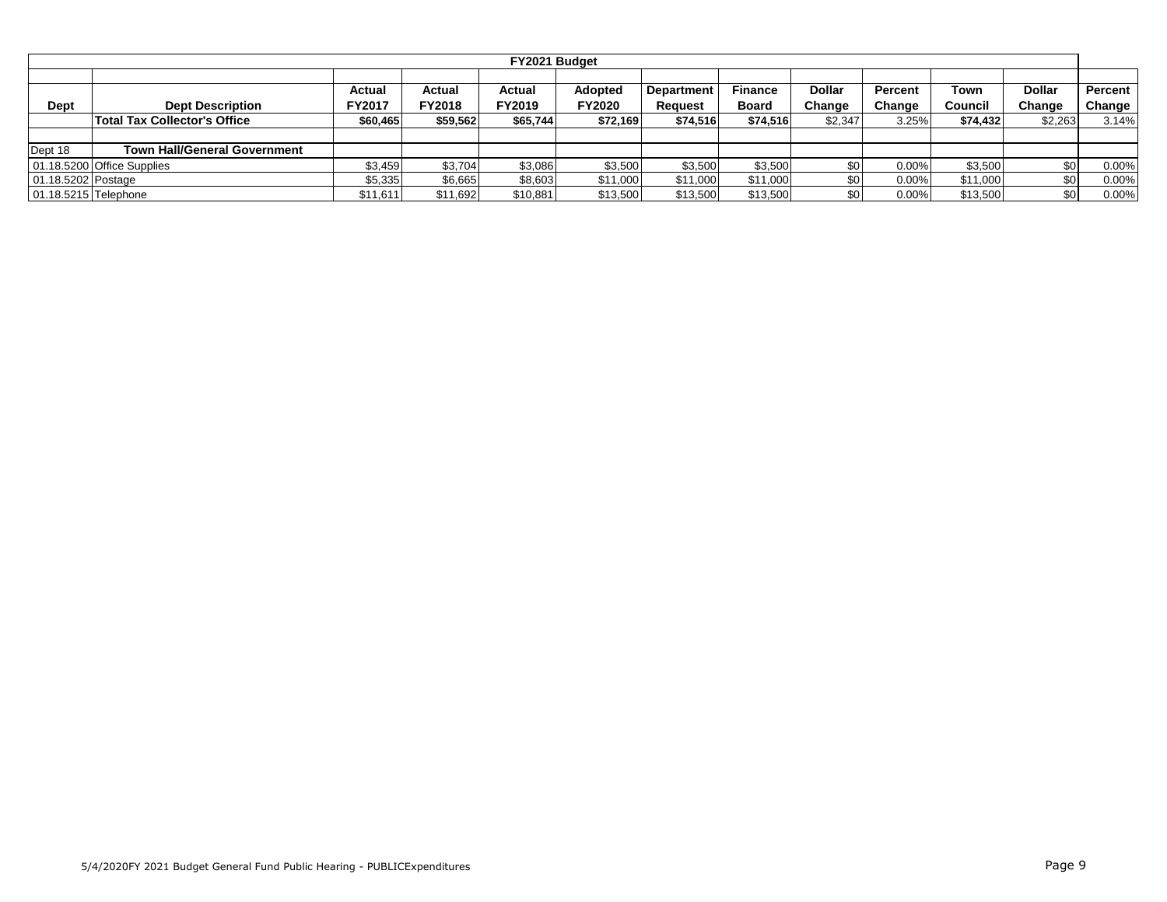|                      |                                     |                  |                         | FY2021 Budget           |                                 |                              |                                |                  |                   |                 |                         |                     |
|----------------------|-------------------------------------|------------------|-------------------------|-------------------------|---------------------------------|------------------------------|--------------------------------|------------------|-------------------|-----------------|-------------------------|---------------------|
| Dept                 | <b>Dept Description</b>             | Actual<br>FY2017 | Actual<br><b>FY2018</b> | <b>Actual</b><br>FY2019 | <b>Adopted</b><br><b>FY2020</b> | <b>Department</b><br>Request | <b>Finance</b><br><b>Board</b> | Dollar<br>Change | Percent<br>Change | Town<br>Council | <b>Dollar</b><br>Change | Percent  <br>Change |
|                      | <b>Total Tax Collector's Office</b> | \$60,465         | \$59,562                | \$65,744                | \$72,169                        | \$74,516                     | \$74,516                       | \$2,347          | 3.25%             | \$74,432        | \$2,263                 | 3.14%               |
|                      |                                     |                  |                         |                         |                                 |                              |                                |                  |                   |                 |                         |                     |
| Dept 18              | <b>Town Hall/General Government</b> |                  |                         |                         |                                 |                              |                                |                  |                   |                 |                         |                     |
|                      | 01.18.5200 Office Supplies          | \$3,459          | \$3,704                 | \$3,086                 | \$3,500                         | \$3,500                      | \$3,500                        | \$0              | $0.00\%$          | \$3,500         | \$0                     | 0.00%               |
| 01.18.5202 Postage   |                                     | \$5,335          | \$6,665                 | \$8,603                 | \$11,000                        | \$11,000                     | \$11,000                       | \$0              | 0.00%             | \$11,000        | \$0                     | 0.00%               |
| 01.18.5215 Telephone |                                     | \$11,611         | \$11.692                | \$10,881                | \$13,500                        | \$13,500                     | \$13,500                       | \$0              | $0.00\%$          | \$13,500        | \$0 <sub>1</sub>        | 0.00%               |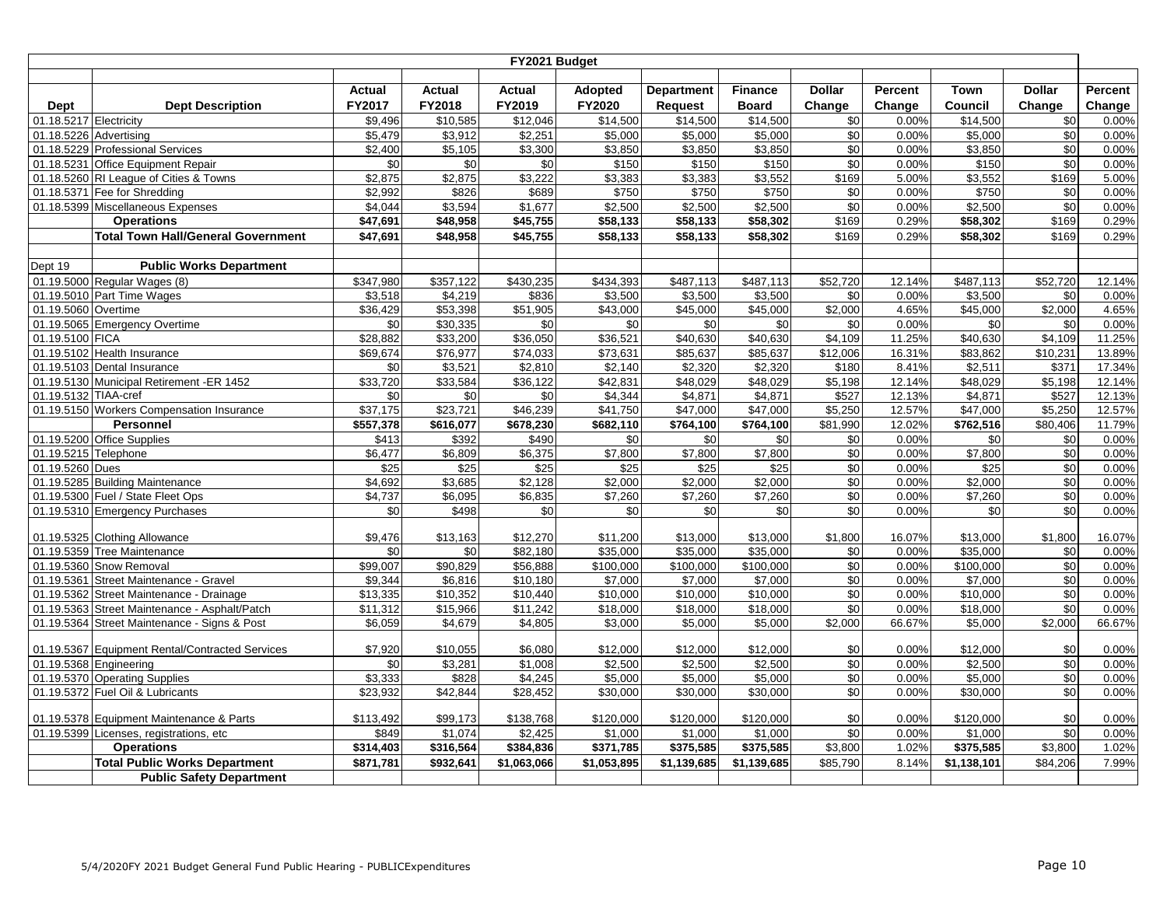|                        |                                                              |                      |                 | FY2021 Budget   |                      |                      |                      |                |          |                      |               |                 |
|------------------------|--------------------------------------------------------------|----------------------|-----------------|-----------------|----------------------|----------------------|----------------------|----------------|----------|----------------------|---------------|-----------------|
|                        |                                                              |                      |                 |                 |                      |                      |                      |                |          |                      |               |                 |
|                        |                                                              | <b>Actual</b>        | Actual          | <b>Actual</b>   | Adopted              | <b>Department</b>    | <b>Finance</b>       | <b>Dollar</b>  | Percent  | Town                 | <b>Dollar</b> | Percent         |
| Dept                   | <b>Dept Description</b>                                      | FY2017               | FY2018          | FY2019          | FY2020               | Request              | <b>Board</b>         | Change         | Change   | Council              | Change        | Change          |
| 01.18.5217 Electricity |                                                              | \$9,496              | \$10,585        | \$12,046        | \$14,500             | \$14,500             | \$14,500             | \$0            | $0.00\%$ | \$14,500             | \$0           | 0.00%           |
| 01.18.5226 Advertising |                                                              | \$5,479              | \$3,912         | \$2.251         | \$5,000              | \$5.000              | \$5.000              | \$0            | 0.00%    | \$5.000              | \$0           | 0.00%           |
|                        | 01.18.5229 Professional Services                             | \$2,400              | \$5,105         | \$3,300         | \$3,850              | \$3,850              | \$3,850              | \$0            | 0.00%    | \$3,850              | \$0           | 0.00%           |
|                        | 01.18.5231 Office Equipment Repair                           | \$0                  | \$0             | \$0             | \$150                | \$150                | \$150                | $\sqrt{6}$     | 0.00%    | \$150                | \$0           | 0.00%           |
|                        | 01.18.5260 RI League of Cities & Towns                       | \$2,875              | \$2,875         | \$3,222         | \$3,383              | \$3,383              | \$3,552              | \$169          | 5.00%    | \$3,552              | \$169         | 5.00%           |
|                        | 01.18.5371 Fee for Shredding                                 | \$2,992              | \$826           | \$689           | \$750                | \$750                | \$750                | $\sqrt{6}$     | 0.00%    | \$750                | \$0           | 0.00%           |
|                        | 01.18.5399 Miscellaneous Expenses                            | \$4,044              | \$3,594         | \$1,677         | \$2,500              | \$2,500              | \$2,500              | $\sqrt{6}$     | 0.00%    | \$2,500              | \$0           | 0.00%           |
|                        | <b>Operations</b>                                            | \$47,691             | \$48,958        | \$45,755        | \$58,133             | \$58,133             | \$58,302             | \$169          | 0.29%    | \$58,302             | \$169         | 0.29%           |
|                        | <b>Total Town Hall/General Government</b>                    | \$47,691             | \$48,958        | \$45,755        | \$58,133             | \$58,133             | \$58,302             | \$169          | 0.29%    | \$58,302             | \$169         | 0.29%           |
| Dept 19                | <b>Public Works Department</b>                               |                      |                 |                 |                      |                      |                      |                |          |                      |               |                 |
|                        | 01.19.5000 Regular Wages (8)                                 | \$347,980            | \$357,122       | \$430,235       | \$434,393            | \$487,113            | \$487,113            | \$52,720       | 12.14%   | \$487,113            | \$52,720      | 12.14%          |
|                        | 01.19.5010 Part Time Wages                                   | \$3,518              | \$4,219         | \$836           | \$3,500              | \$3,500              | \$3,500              | \$0            | 0.00%    | \$3,500              | \$0           | 0.00%           |
| 01.19.5060 Overtime    |                                                              | $\overline{$}36,429$ | \$53,398        | \$51,905        | \$43,000             | \$45,000             | \$45,000             | \$2.000        | 4.65%    | \$45,000             | \$2.000       | 4.65%           |
|                        | 01.19.5065 Emergency Overtime                                | \$0                  | \$30,335        | \$0             | \$0                  | \$0                  | \$0                  | \$0            | 0.00%    | \$0                  | \$0           | 0.00%           |
| 01.19.5100 FICA        |                                                              | \$28,882             | \$33,200        | \$36,050        | \$36,521             | \$40,630             | \$40,630             | \$4,109        | 11.25%   | \$40,630             | \$4,109       | 11.25%          |
|                        | 01.19.5102 Health Insurance                                  | $\overline{$69,674}$ | \$76,977        | \$74,033        | \$73,631             | \$85,637             | \$85,637             | \$12,006       | 16.31%   | \$83,862             | \$10,231      | 13.89%          |
|                        | 01.19.5103 Dental Insurance                                  | $\sqrt{6}$           | \$3,521         | \$2,810         | \$2,140              | \$2,320              | $\overline{$2,320}$  | \$180          | 8.41%    | \$2,511              | \$371         | 17.34%          |
|                        | 01.19.5130 Municipal Retirement -ER 1452                     | \$33,720             | \$33,584        | \$36,122        | \$42,831             | \$48,029             | \$48,029             | \$5,198        | 12.14%   | \$48,029             | \$5,198       | 12.14%          |
| 01.19.5132 TIAA-cref   |                                                              | $\sqrt{6}$           | $\sqrt{6}$      | $\sqrt{6}$      | \$4,344              | \$4,871              | \$4,871              | \$527          | 12.13%   | \$4,871              | \$527         | 12.13%          |
|                        | 01.19.5150 Workers Compensation Insurance                    | \$37,175             | \$23,721        | \$46,239        | \$41,750             | \$47,000             | \$47,000             | \$5,250        | 12.57%   | \$47,000             | \$5,250       | 12.57%          |
|                        | <b>Personnel</b>                                             | \$557,378            | \$616,077       | \$678,230       | \$682,110            | \$764,100            | \$764,100            | \$81,990       | 12.02%   | \$762,516            | \$80,406      | 11.79%          |
|                        | 01.19.5200 Office Supplies                                   | \$413                | \$392           | \$490           | \$0                  | $\sqrt{6}$           | \$0                  | \$0            | 0.00%    | \$0                  | \$0           | 0.00%           |
| 01.19.5215 Telephone   |                                                              | \$6,477              | \$6,809         | \$6,375         | \$7,800              | \$7,800              | \$7,800              | $\sqrt{6}$     | 0.00%    | \$7,800              | $\sqrt{6}$    | 0.00%           |
| 01.19.5260 Dues        |                                                              | $\overline{$25}$     | $\sqrt{$25}$    | \$25            | \$25                 | $\sqrt{$25}$         | \$25                 | \$0            | 0.00%    | \$25                 | $\sqrt{6}$    | 0.00%           |
|                        | 01.19.5285 Building Maintenance                              | \$4,692              | \$3,685         | $\sqrt{$2,128}$ | \$2,000              | \$2,000              | $\frac{1}{2,000}$    | \$0            | 0.00%    | \$2,000              | \$0           | 0.00%           |
|                        | 01.19.5300 Fuel / State Fleet Ops                            | \$4,737              | \$6,095         | \$6,835         | \$7,260              | \$7,260              | \$7,260              | \$0            | 0.00%    | \$7,260              | \$0           | 0.00%           |
|                        | 01.19.5310 Emergency Purchases                               | \$0                  | \$498           | \$0             | \$0                  | \$0                  | \$0                  | \$0            | 0.00%    | \$0                  | \$0           | 0.00%           |
|                        |                                                              | \$9,476              |                 | \$12,270        |                      |                      |                      |                | 16.07%   |                      | \$1,800       |                 |
|                        | 01.19.5325 Clothing Allowance<br>01.19.5359 Tree Maintenance | \$0                  | \$13,163<br>\$0 | \$82,180        | \$11,200<br>\$35,000 | \$13,000<br>\$35,000 | \$13,000<br>\$35,000 | \$1,800<br>\$0 | 0.00%    | \$13,000<br>\$35,000 | \$0           | 16.07%<br>0.00% |
|                        | 01.19.5360 Snow Removal                                      | \$99,007             | \$90,829        | \$56,888        | \$100,000            | \$100,000            | \$100,000            | \$0            | 0.00%    | \$100,000            | \$0           | 0.00%           |
| 01.19.5361             | Street Maintenance - Gravel                                  | \$9,344              | \$6,816         | \$10,180        | \$7,000              | \$7,000              | \$7,000              | $\sqrt{6}$     | 0.00%    | \$7,000              | \$0           | 0.00%           |
| 01.19.5362             | Street Maintenance - Drainage                                | \$13,335             | \$10,352        | \$10,440        | \$10,000             | \$10,000             | \$10,000             | \$0            | 0.00%    | \$10,000             | \$0           | 0.00%           |
| 01.19.5363             | Street Maintenance - Asphalt/Patch                           | \$11,312             | \$15,966        | \$11,242        | \$18,000             | \$18,000             | \$18,000             | \$0            | 0.00%    | \$18,000             | \$0           | 0.00%           |
|                        | 01.19.5364 Street Maintenance - Signs & Post                 | \$6,059              | \$4,679         | \$4,805         | \$3,000              | \$5,000              | \$5,000              | \$2,000        | 66.67%   | \$5,000              | \$2,000       | 66.67%          |
|                        |                                                              |                      |                 |                 |                      |                      |                      |                |          |                      |               |                 |
|                        | 01.19.5367 Equipment Rental/Contracted Services              | \$7,920              | \$10,055        | \$6,080         | \$12,000             | \$12,000             | \$12,000             | \$0            | 0.00%    | \$12,000             | \$0           | 0.00%           |
|                        | 01.19.5368 Engineering                                       | \$0                  | \$3,281         | \$1,008         | \$2,500              | \$2,500              | \$2,500              | \$0            | 0.00%    | \$2,500              | \$0           | 0.00%           |
|                        | 01.19.5370 Operating Supplies                                | \$3,333              | \$828           | \$4,245         | \$5,000              | \$5,000              | \$5,000              | $\sqrt{6}$     | 0.00%    | \$5.000              | $\sqrt{6}$    | 0.00%           |
|                        | 01.19.5372 Fuel Oil & Lubricants                             | \$23,932             | \$42,844        | \$28,452        | \$30,000             | \$30,000             | \$30,000             | \$0            | 0.00%    | \$30,000             | \$0           | 0.00%           |
|                        | 01.19.5378 Equipment Maintenance & Parts                     | \$113,492            | \$99,173        | \$138,768       | \$120,000            | \$120,000            | \$120,000            | \$0            | 0.00%    | \$120,000            | \$0           | 0.00%           |
|                        | 01.19.5399 Licenses, registrations, etc                      | \$849                | \$1,074         | $\sqrt{$2,425}$ | \$1,000              | \$1,000              | \$1,000              | $\sqrt{6}$     | 0.00%    | \$1,000              | \$0           | 0.00%           |
|                        | <b>Operations</b>                                            | \$314,403            | \$316,564       | \$384,836       | \$371,785            | \$375,585            | \$375,585            | \$3,800        | 1.02%    | \$375,585            | \$3,800       | 1.02%           |
|                        | <b>Total Public Works Department</b>                         | \$871,781            | \$932,641       | \$1,063,066     | \$1,053,895          | \$1,139,685          | \$1,139,685          | \$85,790       | 8.14%    | \$1,138,101          | \$84,206      | 7.99%           |
|                        | <b>Public Safety Department</b>                              |                      |                 |                 |                      |                      |                      |                |          |                      |               |                 |
|                        |                                                              |                      |                 |                 |                      |                      |                      |                |          |                      |               |                 |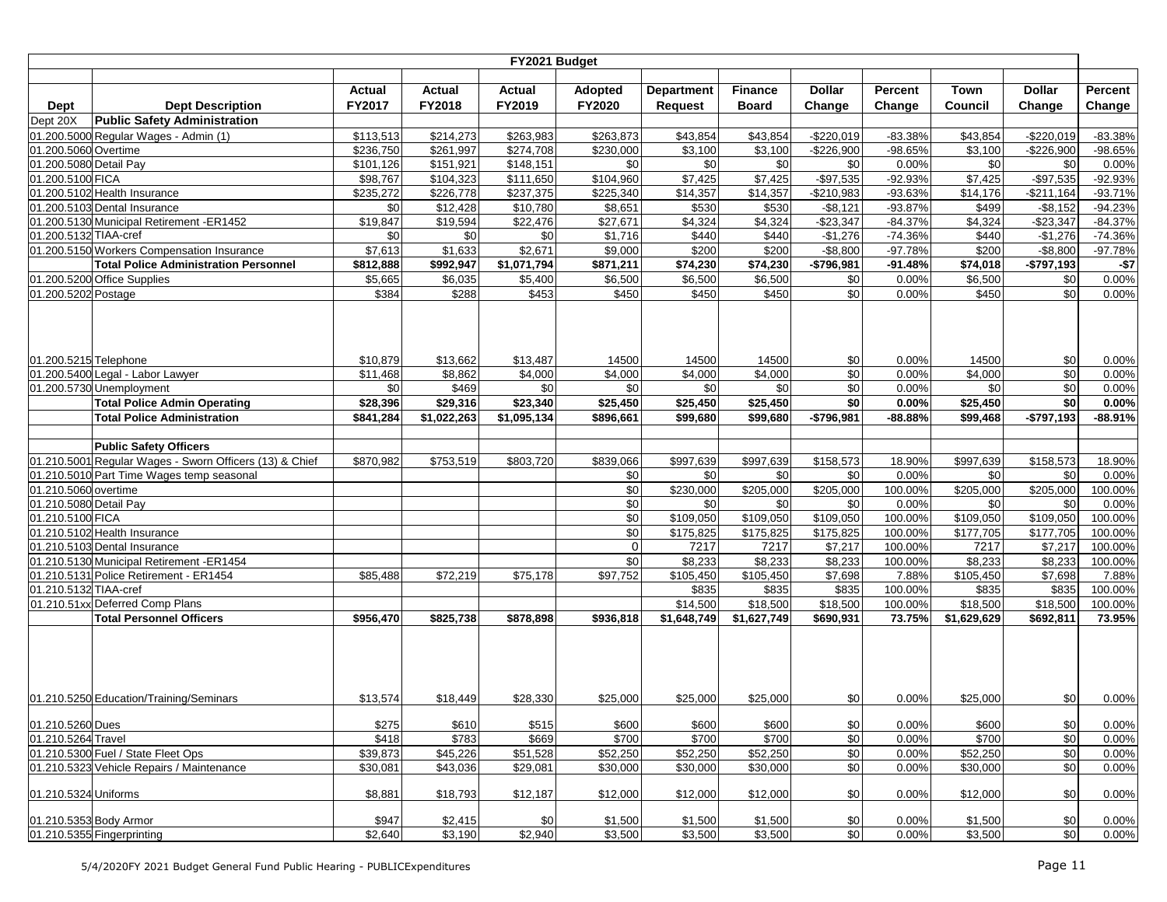|                                                |                                                         |                        |                        | FY2021 Budget          |                          |                                     |                         |                    |                   |                      |                    |                  |
|------------------------------------------------|---------------------------------------------------------|------------------------|------------------------|------------------------|--------------------------|-------------------------------------|-------------------------|--------------------|-------------------|----------------------|--------------------|------------------|
|                                                |                                                         | <b>Actual</b>          | <b>Actual</b>          | <b>Actual</b>          |                          |                                     |                         | <b>Dollar</b>      |                   | Town                 | <b>Dollar</b>      | Percent          |
|                                                | <b>Dept Description</b>                                 | FY2017                 | FY2018                 | FY2019                 | <b>Adopted</b><br>FY2020 | <b>Department</b><br><b>Request</b> | <b>Finance</b><br>Board | Change             | Percent<br>Change | Council              | Change             | Change           |
| <b>Dept</b><br>Dept 20X                        | <b>Public Safety Administration</b>                     |                        |                        |                        |                          |                                     |                         |                    |                   |                      |                    |                  |
|                                                | 01.200.5000 Regular Wages - Admin (1)                   |                        |                        |                        |                          |                                     | $\overline{$43,854}$    | $-$220,019$        |                   | \$43,854             | $-$220,019$        |                  |
|                                                |                                                         | \$113,513              | \$214,273<br>\$261,997 | \$263,983              | \$263,873                | \$43,854                            | $\overline{\$3,100}$    |                    | $-83.38%$         |                      |                    | $-83.38%$        |
| 01.200.5060 Overtime<br>01.200.5080 Detail Pay |                                                         | \$236,750<br>\$101,126 | \$151,921              | \$274,708<br>\$148,151 | \$230,000<br>\$0         | \$3,100<br>\$0                      | \$0                     | $-$226,900$<br>\$0 | -98.65%<br>0.00%  | \$3,100<br>\$0       | $-$226,900$<br>\$0 | -98.65%<br>0.00% |
| 01.200.5100 FICA                               |                                                         | \$98,767               | \$104,323              | \$111,650              | \$104,960                | \$7,425                             | \$7,425                 | $-$97,535$         | $-92.93%$         | \$7,425              | $-$97,535$         | -92.93%          |
|                                                | 01.200.5102 Health Insurance                            | \$235,272              | \$226,778              | \$237,375              | \$225,340                | \$14,357                            | \$14,357                | $-$210,983$        | -93.63%           | \$14,176             | $-$211,164$        | $-93.71%$        |
|                                                | 01.200.5103 Dental Insurance                            | \$0                    | \$12,428               | \$10,780               | \$8,651                  | \$530                               | \$530                   | $-$8,121$          | $-93.87%$         | \$499                | $-$ \$8,152        | $-94.23%$        |
|                                                | 01.200.5130 Municipal Retirement -ER1452                | $\overline{$}19,847$   | \$19,594               | $\overline{$}22,476$   | \$27,671                 | \$4,324                             | \$4,324                 | $-$23,347$         | $-84.37%$         | \$4,324              | $-$23,347$         | $-84.37%$        |
| 01.200.5132 TIAA-cref                          |                                                         | \$0                    | \$0                    | \$0                    | \$1,716                  | \$440                               | \$440                   | $-$1,276$          | $-74.36%$         | \$440                | $-$1,276$          | $-74.36%$        |
|                                                | 01.200.5150 Workers Compensation Insurance              | \$7,613                | \$1,633                | \$2,671                | \$9,000                  | \$200                               | \$200                   | $-$8,800$          | $-97.78%$         | \$200                | $-$8,800$          | $-97.78%$        |
|                                                | <b>Total Police Administration Personnel</b>            | \$812,888              | \$992,947              | \$1,071,794            | \$871,211                | \$74,230                            | \$74,230                | $-$796.981$        | $-91.48%$         | \$74,018             | $-$797,193$        | $- $7$           |
|                                                | 01.200.5200 Office Supplies                             | \$5,665                | \$6,035                | \$5,400                | \$6,500                  | \$6,500                             | \$6,500                 | \$0                | 0.00%             | \$6,500              | \$0                | 0.00%            |
| 01.200.5202 Postage                            |                                                         | \$384                  | \$288                  | \$453                  | \$450                    | \$450                               | \$450                   | \$0                | 0.00%             | \$450                | \$0                | 0.00%            |
| 01.200.5215 Telephone                          | 01.200.5400 Legal - Labor Lawyer                        | \$10,879<br>\$11,468   | \$13,662<br>\$8,862    | \$13,487<br>\$4,000    | 14500<br>\$4,000         | 14500<br>\$4,000                    | 14500<br>\$4,000        | \$0<br>\$0         | 0.00%<br>0.00%    | 14500<br>\$4,000     | \$0<br>\$0         | 0.00%<br>0.00%   |
|                                                | 01.200.5730 Unemployment                                | \$0                    | \$469                  | \$0                    | \$0                      | \$0                                 | \$0                     | \$0                | 0.00%             | \$0                  | \$0                | 0.00%            |
|                                                | <b>Total Police Admin Operating</b>                     | \$28,396               | \$29,316               | \$23,340               | \$25,450                 | \$25,450                            | \$25,450                | \$0                | 0.00%             | \$25,450             | \$0                | 0.00%            |
|                                                | <b>Total Police Administration</b>                      | \$841,284              | \$1,022,263            | \$1,095,134            | \$896,661                | \$99,680                            | \$99,680                | $-$796,981$        | $-88.88%$         | \$99,468             | $-$797,193$        | $-88.91%$        |
|                                                |                                                         |                        |                        |                        |                          |                                     |                         |                    |                   |                      |                    |                  |
|                                                | <b>Public Safety Officers</b>                           |                        |                        |                        |                          |                                     |                         |                    |                   |                      |                    |                  |
|                                                | 01.210.5001 Regular Wages - Sworn Officers (13) & Chief | \$870,982              | \$753,519              | \$803,720              | \$839,066                | \$997,639                           | \$997,639               | \$158,573          | 18.90%            | \$997,639            | \$158,573          | 18.90%           |
|                                                | 01.210.5010 Part Time Wages temp seasonal               |                        |                        |                        | \$0                      | \$0                                 | \$0                     | \$0                | 0.00%             | \$0                  | \$0                | 0.00%            |
| 01.210.5060 overtime                           |                                                         |                        |                        |                        | \$0                      | \$230,000                           | \$205,000               | \$205,000          | 100.00%           | \$205,000            | \$205,000          | 100.00%          |
| 01.210.5080 Detail Pay                         |                                                         |                        |                        |                        | \$0                      | \$0                                 | \$0                     | \$0                | 0.00%             | \$0                  | \$0                | 0.00%            |
| 01.210.5100 FICA                               |                                                         |                        |                        |                        | \$0                      | \$109,050                           | \$109,050               | \$109,050          | 100.00%           | \$109,050            | \$109,050          | 100.00%          |
|                                                | 01.210.5102 Health Insurance                            |                        |                        |                        | \$0                      | \$175,825                           | \$175,825               | \$175,825          | 100.00%           | \$177,705            | \$177,705          | 100.00%          |
|                                                | 01.210.5103 Dental Insurance                            |                        |                        |                        | $\mathbf 0$              | 7217                                | 7217                    | \$7,217            | 100.00%           | 7217                 | \$7,217            | 100.00%          |
|                                                | 01.210.5130 Municipal Retirement -ER1454                |                        |                        |                        | \$0                      | \$8,233                             | \$8,233                 | \$8,233            | 100.00%           | \$8,233              | \$8,233            | 100.00%          |
|                                                | 01.210.5131 Police Retirement - ER1454                  | \$85,488               | \$72,219               | \$75,178               | \$97,752                 | \$105,450                           | \$105,450               | \$7,698            | 7.88%             | \$105,450            | \$7,698            | 7.88%            |
| 01.210.5132 TIAA-cref                          |                                                         |                        |                        |                        |                          | \$835                               | \$835                   | \$835              | 100.00%           | \$835                | \$835              | 100.00%          |
|                                                | 01.210.51xx Deferred Comp Plans                         |                        |                        |                        |                          | \$14,500                            | \$18,500                | \$18,500           | 100.00%           | \$18,500             | \$18,500           | 100.00%          |
|                                                | <b>Total Personnel Officers</b>                         | \$956,470              | \$825,738              | \$878,898              | \$936,818                | \$1,648,749                         | \$1,627,749             | \$690,931          | 73.75%            | \$1,629,629          | \$692,811          | 73.95%           |
|                                                |                                                         |                        |                        |                        |                          |                                     |                         |                    |                   |                      |                    |                  |
|                                                | 01.210.5250 Education/Training/Seminars                 | \$13,574               | \$18,449               | \$28,330               | \$25,000                 | \$25,000                            | \$25,000                | \$0                | 0.00%             | \$25,000             | \$0                | 0.00%            |
| 01.210.5260 Dues                               |                                                         | \$275                  | \$610                  | \$515                  | \$600                    | \$600                               | \$600                   | \$0                | 0.00%             | \$600                | \$0                | 0.00%            |
| 01.210.5264 Travel                             |                                                         | \$418                  | \$783                  | \$669                  | \$700                    | \$700                               | \$700                   | \$0                | 0.00%             | \$700                | \$0                | 0.00%            |
|                                                | 01.210.5300 Fuel / State Fleet Ops                      | \$39,873               | \$45,226               | \$51,528               | \$52,250                 | \$52,250                            | \$52,250                | \$0                | 0.00%             | $\overline{$}52,250$ | \$0                | 0.00%            |
|                                                | 01.210.5323 Vehicle Repairs / Maintenance               | \$30,081               | \$43,036               | \$29,081               | \$30,000                 | \$30,000                            | \$30,000                | \$0                | 0.00%             | \$30,000             | \$0                | 0.00%            |
| 01.210.5324 Uniforms                           |                                                         | \$8,881                | \$18,793               | \$12,187               | \$12,000                 | \$12,000                            | \$12,000                | \$0                | 0.00%             | \$12,000             | \$0                | 0.00%            |
| 01.210.5353 Body Armor                         |                                                         | \$947                  | \$2,415                | \$0                    | \$1,500                  | \$1,500                             | \$1,500                 | \$0                | 0.00%             | \$1,500              | \$0                | 0.00%            |
|                                                | 01.210.5355 Fingerprinting                              | \$2,640                | \$3,190                | \$2,940                | \$3,500                  | \$3,500                             | \$3,500                 | \$0                | 0.00%             | \$3,500              | \$0                | 0.00%            |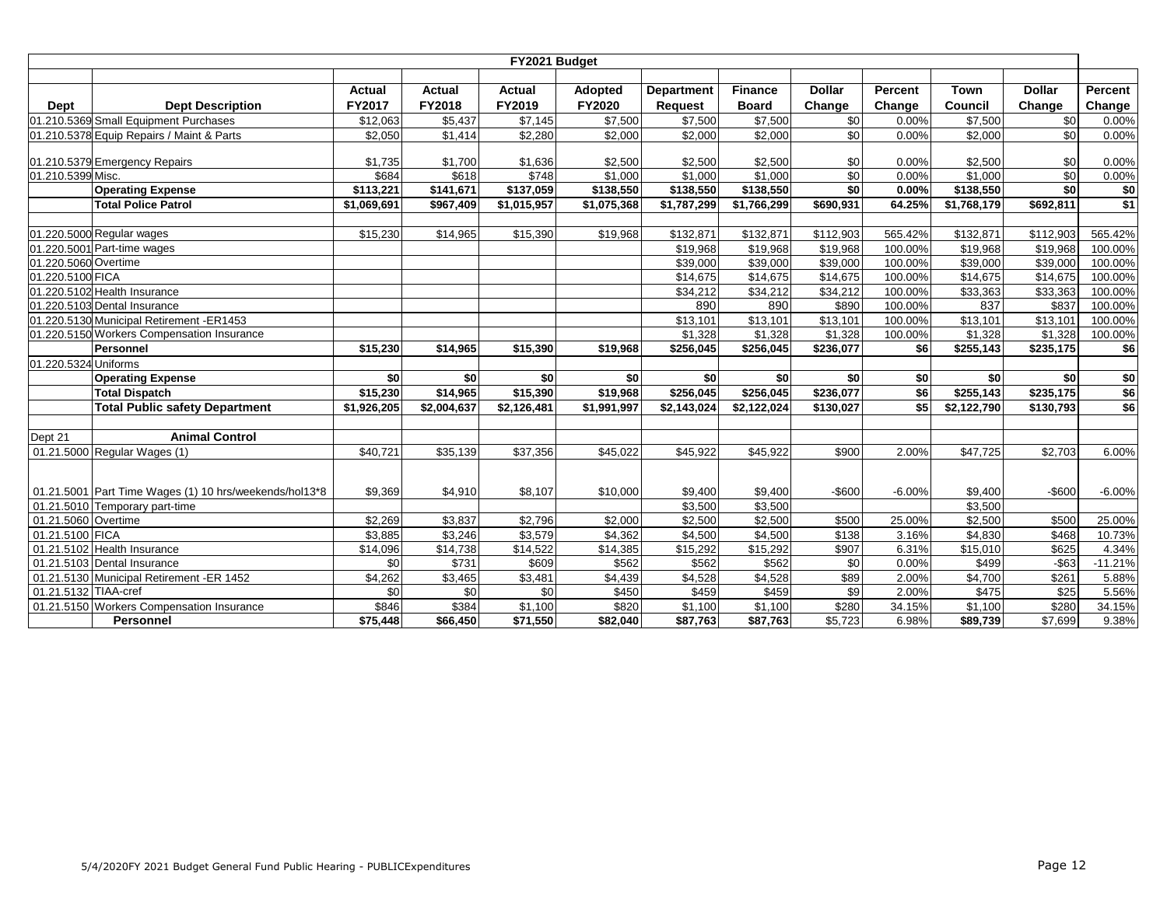|                      | FY2021 Budget                                          |                      |               |               |                |                   |                       |               |          |             |               |           |  |  |
|----------------------|--------------------------------------------------------|----------------------|---------------|---------------|----------------|-------------------|-----------------------|---------------|----------|-------------|---------------|-----------|--|--|
|                      |                                                        |                      |               |               |                |                   |                       |               |          |             |               |           |  |  |
|                      |                                                        | <b>Actual</b>        | <b>Actual</b> | <b>Actual</b> | <b>Adopted</b> | <b>Department</b> | <b>Finance</b>        | <b>Dollar</b> | Percent  | Town        | <b>Dollar</b> | Percent   |  |  |
| Dept                 | <b>Dept Description</b>                                | FY2017               | FY2018        | FY2019        | <b>FY2020</b>  | <b>Request</b>    | <b>Board</b>          | Change        | Change   | Council     | Change        | Change    |  |  |
|                      | 01.210.5369 Small Equipment Purchases                  | \$12,063             | \$5,437       | \$7,145       | \$7,500        | \$7,500           | \$7,500               | \$0           | 0.00%    | \$7,500     | \$0           | 0.00%     |  |  |
|                      | 01.210.5378 Equip Repairs / Maint & Parts              | \$2,050              | \$1,414       | \$2,280       | \$2,000        | \$2,000           | \$2,000               | \$0           | 0.00%    | \$2.000     | \$0           | 0.00%     |  |  |
|                      |                                                        |                      |               |               |                |                   |                       |               |          |             |               |           |  |  |
|                      | 01.210.5379 Emergency Repairs                          | \$1,735              | \$1,700       | \$1,636       | \$2,500        | \$2,500           | \$2,500               | \$0           | 0.00%    | \$2,500     | \$0           | 0.00%     |  |  |
| 01.210.5399 Misc.    |                                                        | \$684                | \$618         | \$748         | \$1,000        | \$1,000           | \$1,000               | \$0           | 0.00%    | \$1,000     | \$0           | 0.00%     |  |  |
|                      | <b>Operating Expense</b>                               | \$113,221            | \$141,671     | \$137,059     | \$138,550      | \$138,550         | $\overline{$}138,550$ | \$0           | 0.00%    | \$138,550   | sol           | \$0       |  |  |
|                      | <b>Total Police Patrol</b>                             | \$1,069,691          | \$967,409     | \$1,015,957   | \$1,075,368    | \$1,787,299       | \$1,766,299           | \$690,931     | 64.25%   | \$1,768,179 | \$692.811     | \$1       |  |  |
|                      |                                                        |                      |               |               |                |                   |                       |               |          |             |               |           |  |  |
|                      | 01.220.5000 Regular wages                              | \$15,230             | \$14,965      | \$15,390      | \$19,968       | \$132,871         | \$132,871             | \$112,903     | 565.42%  | \$132,871   | \$112,903     | 565.42%   |  |  |
|                      | 01.220.5001 Part-time wages                            |                      |               |               |                | \$19,968          | \$19,968              | \$19,968      | 100.00%  | \$19,968    | \$19,968      | 100.00%   |  |  |
| 01.220.5060 Overtime |                                                        |                      |               |               |                | \$39,000          | \$39,000              | \$39,000      | 100.00%  | \$39,000    | \$39,000      | 100.00%   |  |  |
| 01.220.5100 FICA     |                                                        |                      |               |               |                | \$14,675          | \$14,675              | \$14,675      | 100.00%  | \$14,675    | \$14,675      | 100.00%   |  |  |
|                      | 01.220.5102 Health Insurance                           |                      |               |               |                | \$34,212          | \$34,212              | \$34,212      | 100.00%  | \$33,363    | \$33,363      | 100.00%   |  |  |
|                      | 01.220.5103 Dental Insurance                           |                      |               |               |                | 890               | 890                   | \$890         | 100.00%  | 837         | \$837         | 100.00%   |  |  |
|                      | 01.220.5130 Municipal Retirement -ER1453               |                      |               |               |                | \$13,101          | \$13,101              | \$13,101      | 100.00%  | \$13,101    | \$13,101      | 100.00%   |  |  |
|                      | 01.220.5150 Workers Compensation Insurance             |                      |               |               |                | \$1,328           | \$1,328               | \$1,328       | 100.00%  | \$1,328     | \$1,328       | 100.00%   |  |  |
|                      | Personnel                                              | \$15,230             | \$14,965      | \$15,390      | \$19,968       | \$256,045         | \$256,045             | \$236,077     | \$6      | \$255,143   | \$235,175     | \$6       |  |  |
| 01.220.5324 Uniforms |                                                        |                      |               |               |                |                   |                       |               |          |             |               |           |  |  |
|                      | <b>Operating Expense</b>                               | \$0                  | \$0           | \$0           | \$0            | \$0               | \$0                   | \$0           | \$0      | \$0         | \$0           | \$0       |  |  |
|                      | <b>Total Dispatch</b>                                  | $\sqrt{$15,230}$     | \$14,965      | \$15,390      | \$19,968       | \$256,045         | \$256,045             | \$236,077     | \$6      | \$255,143   | \$235,175     | \$6       |  |  |
|                      | <b>Total Public safety Department</b>                  | \$1,926,205          | \$2,004,637   | \$2,126,481   | \$1,991,997    | \$2,143,024       | \$2,122,024           | \$130,027     | \$5      | \$2,122,790 | \$130,793     | \$6       |  |  |
|                      |                                                        |                      |               |               |                |                   |                       |               |          |             |               |           |  |  |
| Dept 21              | <b>Animal Control</b>                                  |                      |               |               |                |                   |                       |               |          |             |               |           |  |  |
|                      | 01.21.5000 Regular Wages (1)                           | \$40,721             | \$35,139      | \$37,356      | \$45,022       | \$45,922          | \$45,922              | \$900         | 2.00%    | \$47,725    | \$2,703       | 6.00%     |  |  |
|                      |                                                        |                      |               |               |                |                   |                       |               |          |             |               |           |  |  |
|                      |                                                        |                      |               |               |                |                   |                       |               |          |             |               |           |  |  |
|                      | 01.21.5001 Part Time Wages (1) 10 hrs/weekends/hol13*8 | \$9,369              | \$4,910       | \$8,107       | \$10,000       | \$9,400           | \$9,400               | $-$600$       | $-6.00%$ | \$9,400     | $-$600$       | $-6.00\%$ |  |  |
|                      | 01.21.5010 Temporary part-time                         |                      |               |               |                | \$3,500           | \$3,500               |               |          | \$3,500     |               |           |  |  |
| 01.21.5060 Overtime  |                                                        | \$2,269              | \$3,837       | \$2,796       | \$2,000        | \$2,500           | \$2,500               | \$500         | 25.00%   | \$2,500     | \$500         | 25.00%    |  |  |
| 01.21.5100 FICA      |                                                        | \$3,885              | \$3,246       | \$3,579       | \$4,362        | \$4,500           | \$4,500               | \$138         | 3.16%    | \$4,830     | \$468         | 10.73%    |  |  |
|                      | 01.21.5102 Health Insurance                            | $\overline{$}14,096$ | \$14,738      | \$14,522      | \$14,385       | \$15,292          | \$15,292              | \$907         | 6.31%    | \$15,010    | \$625         | 4.34%     |  |  |
|                      | 01.21.5103 Dental Insurance                            | \$0                  | \$731         | \$609         | \$562          | \$562             | \$562                 | \$0           | 0.00%    | \$499       | $-$ \$63      | $-11.21%$ |  |  |
|                      | 01.21.5130 Municipal Retirement -ER 1452               | \$4,262              | \$3,465       | \$3,481       | \$4,439        | \$4,528           | \$4,528               | \$89          | 2.00%    | \$4,700     | \$261         | 5.88%     |  |  |
| 01.21.5132 TIAA-cref |                                                        | \$0                  | \$0           | \$0           | \$450          | \$459             | \$459                 | \$9           | 2.00%    | \$475       | \$25          | 5.56%     |  |  |
|                      | 01.21.5150 Workers Compensation Insurance              | \$846                | \$384         | \$1,100       | \$820          | \$1,100           | \$1,100               | \$280         | 34.15%   | \$1,100     | \$280         | 34.15%    |  |  |
|                      | <b>Personnel</b>                                       | \$75,448             | \$66,450      | \$71,550      | \$82,040       | \$87,763          | \$87,763              | \$5,723       | 6.98%    | \$89,739    | \$7,699       | 9.38%     |  |  |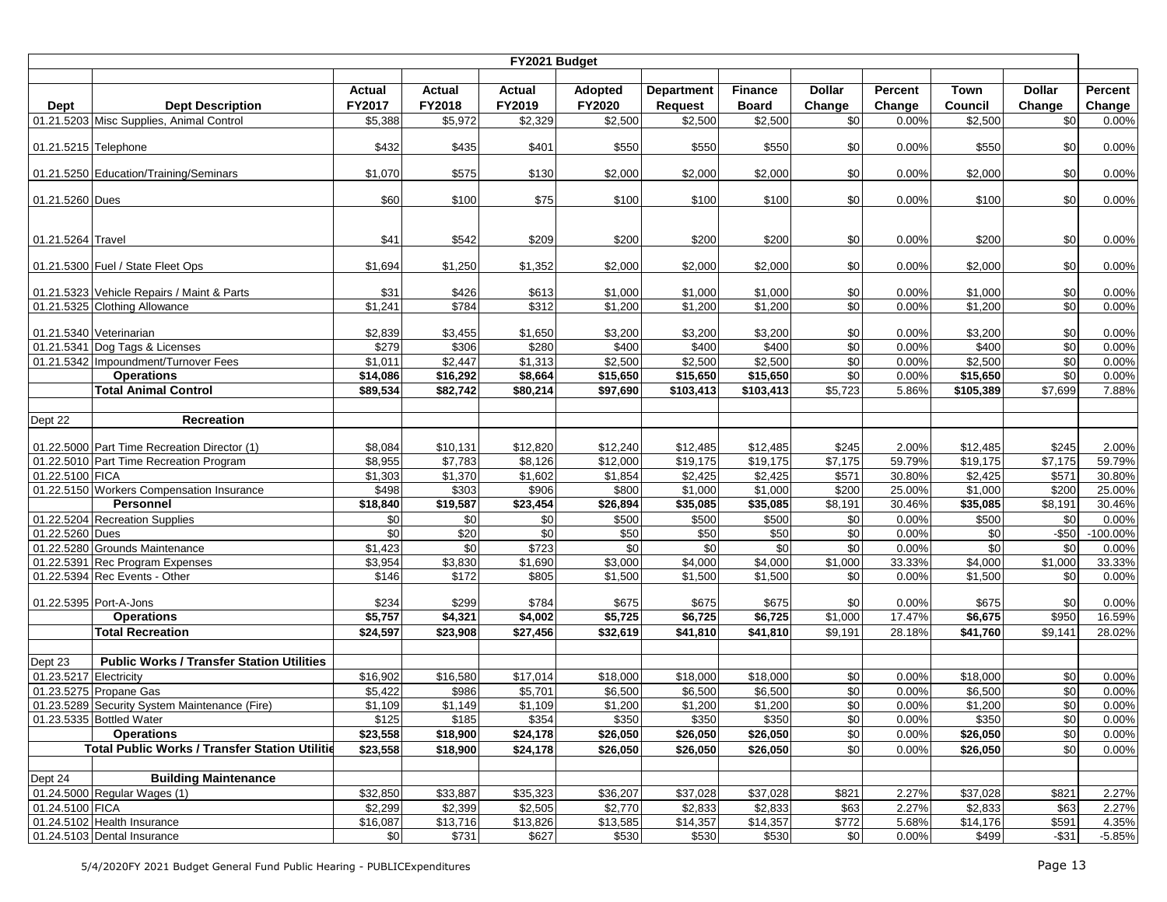|                        |                                                                        |                      |                  | FY2021 Budget        |                  |                   |                      |                   |                |                  |                      |                |
|------------------------|------------------------------------------------------------------------|----------------------|------------------|----------------------|------------------|-------------------|----------------------|-------------------|----------------|------------------|----------------------|----------------|
|                        |                                                                        |                      |                  |                      |                  |                   |                      |                   |                |                  |                      |                |
|                        |                                                                        | <b>Actual</b>        | <b>Actual</b>    | <b>Actual</b>        | Adopted          | <b>Department</b> | <b>Finance</b>       | <b>Dollar</b>     | Percent        | <b>Town</b>      | <b>Dollar</b>        | Percent        |
| Dept                   | <b>Dept Description</b>                                                | FY2017               | FY2018           | FY2019               | FY2020           | <b>Request</b>    | <b>Board</b>         | Change            | Change         | Council          | Change               | Change         |
|                        | 01.21.5203 Misc Supplies, Animal Control                               | \$5,388              | \$5,972          | \$2,329              | \$2,500          | \$2,500           | \$2,500              | \$0               | 0.00%          | \$2,500          | \$0                  | 0.00%          |
| 01.21.5215 Telephone   |                                                                        | \$432                | \$435            | \$401                | \$550            | \$550             | \$550                | \$0               | 0.00%          | \$550            | \$0                  | 0.00%          |
|                        | 01.21.5250 Education/Training/Seminars                                 | \$1,070              | \$575            | \$130                | \$2,000          | \$2,000           | \$2,000              | \$0               | 0.00%          | \$2,000          | \$0                  | 0.00%          |
| 01.21.5260 Dues        |                                                                        | \$60                 | \$100            | \$75                 | \$100            | \$100             | \$100                | \$0               | 0.00%          | \$100            | \$0                  | 0.00%          |
| 01.21.5264 Travel      |                                                                        | \$41                 | \$542            | \$209                | \$200            | \$200             | \$200                | \$0               | 0.00%          | \$200            | \$0                  | 0.00%          |
|                        |                                                                        |                      |                  |                      |                  |                   |                      |                   |                |                  |                      |                |
|                        | 01.21.5300 Fuel / State Fleet Ops                                      | \$1,694              | \$1,250          | \$1,352              | \$2,000          | \$2,000           | \$2,000              | \$0               | 0.00%          | \$2,000          | \$0                  | 0.00%          |
|                        | 01.21.5323 Vehicle Repairs / Maint & Parts                             | \$31                 | \$426            | \$613                | \$1,000          | \$1,000           | \$1,000              | \$0               | 0.00%          | \$1,000          | \$0                  | 0.00%          |
|                        | 01.21.5325 Clothing Allowance                                          | $\overline{\$1,241}$ | \$784            | \$312                | \$1,200          | \$1,200           | \$1,200              | \$0               | 0.00%          | \$1,200          | \$0                  | 0.00%          |
|                        |                                                                        |                      |                  |                      |                  |                   |                      |                   |                |                  |                      |                |
|                        | 01.21.5340 Veterinarian                                                | \$2,839<br>\$279     | \$3,455          | \$1,650              | \$3,200          | \$3,200           | \$3,200              | \$0               | 0.00%          | \$3,200          | \$0                  | 0.00%          |
|                        | 01.21.5341 Dog Tags & Licenses<br>01.21.5342 Impoundment/Turnover Fees | \$1,011              | \$306<br>\$2,447 | \$280                | \$400<br>\$2,500 | \$400<br>\$2,500  | \$400<br>\$2,500     | $\sqrt{6}$<br>\$0 | 0.00%<br>0.00% | \$400<br>\$2,500 | \$0<br>$\frac{6}{3}$ | 0.00%<br>0.00% |
|                        | <b>Operations</b>                                                      | $\frac{1}{14,086}$   | \$16,292         | \$1,313<br>\$8,664   | \$15,650         | \$15,650          | $\overline{$}15,650$ | \$0               | 0.00%          | \$15,650         | \$0                  | 0.00%          |
|                        | <b>Total Animal Control</b>                                            | \$89,534             | \$82,742         | \$80,214             | \$97,690         | \$103,413         | \$103,413            | \$5,723           | 5.86%          | \$105,389        | \$7,699              | 7.88%          |
|                        |                                                                        |                      |                  |                      |                  |                   |                      |                   |                |                  |                      |                |
| Dept 22                | <b>Recreation</b>                                                      |                      |                  |                      |                  |                   |                      |                   |                |                  |                      |                |
|                        |                                                                        |                      |                  |                      |                  |                   |                      |                   |                |                  |                      |                |
|                        | 01.22.5000 Part Time Recreation Director (1)                           | \$8,084              | \$10,131         | \$12,820             | \$12,240         | \$12,485          | \$12,485             | \$245             | 2.00%          | \$12,485         | \$245                | 2.00%          |
|                        | 01.22.5010 Part Time Recreation Program                                | \$8,955              | \$7,783          | \$8,126              | \$12,000         | \$19,175          | \$19,175             | \$7,175           | 59.79%         | \$19.175         | \$7,175              | 59.79%         |
| 01.22.5100 FICA        |                                                                        | \$1,303              | \$1,370          | \$1,602              | \$1,854          | \$2,425           | \$2,425              | \$571             | 30.80%         | \$2,425          | \$571                | 30.80%         |
|                        | 01.22.5150 Workers Compensation Insurance                              | \$498                | \$303            | \$906                | \$800            | \$1,000           | \$1,000              | \$200             | 25.00%         | \$1,000          | \$200                | 25.00%         |
|                        | Personnel                                                              | \$18,840             | \$19,587         | \$23,454             | \$26,894         | \$35,085          | \$35,085             | \$8,191           | 30.46%         | \$35,085         | \$8,191              | 30.46%         |
|                        | 01.22.5204 Recreation Supplies                                         | \$0                  | $\frac{6}{3}$    | $\sqrt{6}$           | \$500            | \$500             | \$500                | \$0               | 0.00%          | \$500            | $\sqrt{6}$           | 0.00%          |
| 01.22.5260 Dues        |                                                                        | \$0                  | \$20             | \$0                  | \$50             | \$50              | \$50                 | \$0               | 0.00%          | \$0              | $-$50$               | $-100.00%$     |
|                        | 01.22.5280 Grounds Maintenance                                         | \$1,423              | \$0              | \$723                | \$0              | \$0               | \$0                  | \$0               | 0.00%          | \$0              | \$0                  | 0.00%          |
|                        | 01.22.5391 Rec Program Expenses                                        | \$3,954              | \$3,830          | \$1,690              | \$3,000          | \$4,000           | \$4,000              | \$1,000           | 33.33%         | \$4,000          | \$1,000              | 33.33%         |
|                        | 01.22.5394 Rec Events - Other                                          | \$146                | \$172            | \$805                | \$1,500          | \$1,500           | \$1,500              | \$0               | 0.00%          | \$1,500          | \$0                  | 0.00%          |
|                        | 01.22.5395 Port-A-Jons                                                 | \$234                | \$299            | \$784                | \$675            | \$675             | \$675                | \$0               | 0.00%          | \$675            | \$0                  | 0.00%          |
|                        | <b>Operations</b>                                                      | \$5,757              | \$4,321          | \$4,002              | \$5,725          | \$6,725           | \$6,725              | \$1,000           | 17.47%         | \$6,675          | \$950                | 16.59%         |
|                        | <b>Total Recreation</b>                                                | \$24,597             | \$23,908         | \$27,456             | \$32,619         | \$41,810          | \$41,810             | \$9,191           | 28.18%         | \$41,760         | \$9,141              | 28.02%         |
| Dept 23                | <b>Public Works / Transfer Station Utilities</b>                       |                      |                  |                      |                  |                   |                      |                   |                |                  |                      |                |
| 01.23.5217 Electricity |                                                                        | \$16,902             | \$16,580         | $\overline{$}17,014$ | \$18,000         | \$18,000          | \$18,000             | \$0               | 0.00%          | \$18,000         | \$0                  | 0.00%          |
|                        | 01.23.5275 Propane Gas                                                 | $\overline{35,}422$  | \$986            | \$5,701              | \$6,500          | \$6,500           | \$6,500              | \$0               | 0.00%          | \$6,500          | \$0                  | 0.00%          |
|                        | 01.23.5289 Security System Maintenance (Fire)                          | \$1,109              | \$1,149          | \$1,109              | \$1,200          | \$1,200           | \$1,200              | \$0               | 0.00%          | \$1,200          | \$0                  | 0.00%          |
|                        | 01.23.5335 Bottled Water                                               | \$125                | \$185            | \$354                | \$350            | \$350             | \$350                | \$0               | 0.00%          | \$350            | \$0                  | 0.00%          |
|                        | <b>Operations</b>                                                      | $\overline{$}23,558$ | \$18,900         | \$24,178             | \$26,050         | \$26,050          | \$26,050             | \$0               | 0.00%          | \$26,050         | \$0                  | 0.00%          |
|                        | <b>Total Public Works / Transfer Station Utilitie</b>                  | \$23,558             | \$18,900         | \$24,178             | \$26,050         | \$26,050          | \$26,050             | \$0               | 0.00%          | \$26,050         | \$0                  | 0.00%          |
|                        |                                                                        |                      |                  |                      |                  |                   |                      |                   |                |                  |                      |                |
| Dept 24                | <b>Building Maintenance</b>                                            |                      |                  |                      |                  |                   |                      |                   |                |                  |                      |                |
|                        | 01.24.5000 Regular Wages (1)                                           | \$32,850             | \$33,887         | \$35,323             | \$36,207         | \$37,028          | \$37,028             | \$821             | 2.27%          | \$37,028         | \$821                | 2.27%          |
| 01.24.5100 FICA        |                                                                        | \$2,299              | \$2,399          | \$2,505              | \$2,770          | \$2,833           | \$2,833              | \$63              | 2.27%          | \$2,833          | \$63                 | 2.27%          |
|                        | 01.24.5102 Health Insurance                                            | \$16,087             | \$13,716         | \$13,826             | \$13,585         | \$14,357          | \$14,357             | \$772             | 5.68%          | \$14,176         | \$591                | 4.35%          |
|                        | 01.24.5103 Dental Insurance                                            | \$0                  | \$731            | \$627                | \$530            | \$530             | \$530                | \$0               | 0.00%          | \$499            | $-$ \$31             | $-5.85%$       |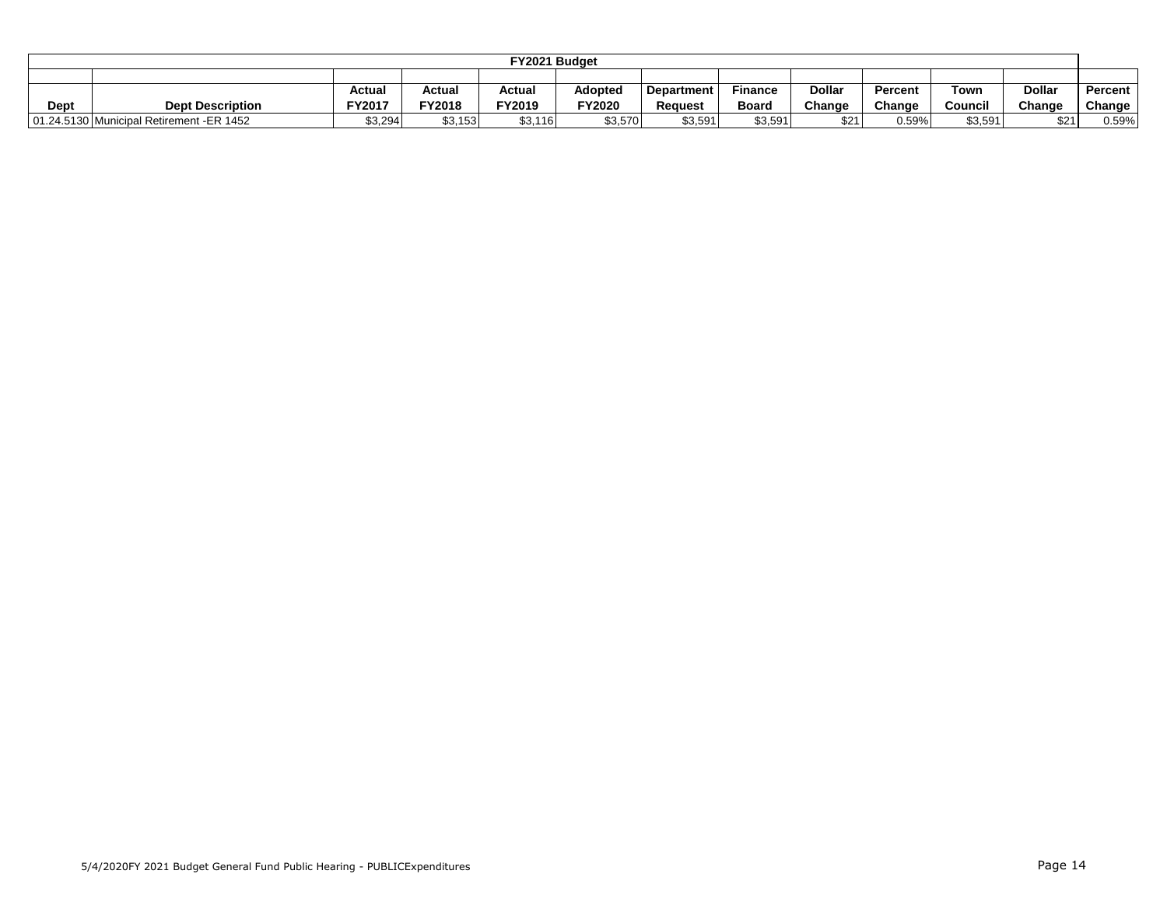|      |                                                                                                                               |         |         | FY2021 Budget |               |         |         |                     |        |         |        |        |  |  |
|------|-------------------------------------------------------------------------------------------------------------------------------|---------|---------|---------------|---------------|---------|---------|---------------------|--------|---------|--------|--------|--|--|
|      |                                                                                                                               |         |         |               |               |         |         |                     |        |         |        |        |  |  |
|      | <b>Dollar</b><br><b>Dollar</b><br>Actual<br>Adopted<br>Finance<br>Actual<br>Actual<br>Percen<br>Town<br>Percent<br>Department |         |         |               |               |         |         |                     |        |         |        |        |  |  |
| Dept | <b>Dept Description</b>                                                                                                       | FY2017  | FY2018  | FY2019        | <b>FY2020</b> | Reauest | Board   | Change              | Change | Council | Change | Change |  |  |
|      | 01.24.5130 Municipal Retirement -ER 1452                                                                                      | \$3,294 | \$3,153 | \$3,116       | \$3,570       | \$3.591 | \$3,591 | <b>¢21</b><br>ا ے س | 0.59%  | \$3,591 | \$21   | 0.59%  |  |  |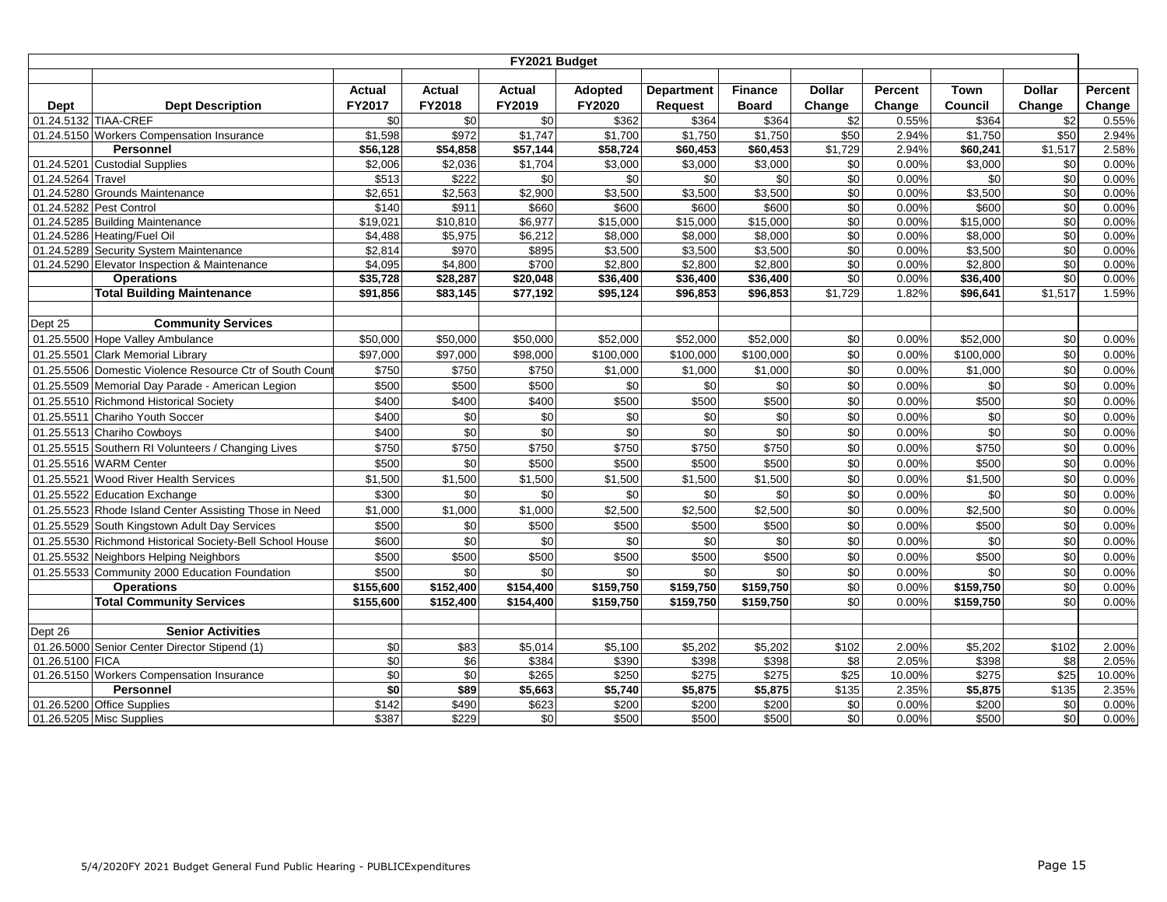|                 |                                                                   |                     |                     | FY2021 Budget             |                       |                     |                     |               |                 |                    |                          |                 |
|-----------------|-------------------------------------------------------------------|---------------------|---------------------|---------------------------|-----------------------|---------------------|---------------------|---------------|-----------------|--------------------|--------------------------|-----------------|
|                 |                                                                   | <b>Actual</b>       | Actual              | Actual                    | <b>Adopted</b>        | <b>Department</b>   | <b>Finance</b>      | <b>Dollar</b> | Percent         | Town               | <b>Dollar</b>            | Percent         |
| Dept            | <b>Dept Description</b>                                           | FY2017              | FY2018              | FY2019                    | FY2020                | <b>Request</b>      | <b>Board</b>        | Change        | Change          | Council            | Change                   | Change          |
|                 | 01.24.5132 TIAA-CREF                                              | \$0                 | \$0                 | $\sqrt{6}$                | \$362                 | \$364               | \$364               | \$2           | 0.55%           | \$364              | $\sqrt{$2$}$             | 0.55%           |
|                 | 01.24.5150 Workers Compensation Insurance                         | \$1,598             | \$972               | \$1,747                   | \$1,700               | \$1,750             | \$1,750             | \$50          | 2.94%           | \$1,750            | \$50                     | 2.94%           |
|                 | Personnel                                                         | \$56,128            | \$54,858            | \$57,144                  | \$58,724              | \$60,453            | \$60,453            | \$1,729       | 2.94%           | \$60,241           | \$1,517                  | 2.58%           |
| 01.24.5201      | <b>Custodial Supplies</b>                                         | \$2,006             | \$2,036             | $\overline{$1,704}$       | $\frac{1}{1}$ \$3,000 | \$3,000             | \$3,000             | \$0           | 0.00%           | \$3,000            | \$0                      | 0.00%           |
| 01.24.5264      | Travel                                                            | \$513               | \$222               | \$0                       | \$0                   | \$0                 | \$0                 | \$0           | 0.00%           | \$0                | \$0                      | 0.00%           |
|                 | 01.24.5280 Grounds Maintenance                                    | \$2,651             | \$2,563             | \$2,900                   | \$3,500               | \$3,500             | \$3,500             | \$0           | 0.00%           | \$3,500            | \$0                      | 0.00%           |
|                 | 01.24.5282 Pest Control                                           | \$140               | \$911               | \$660                     | \$600                 | \$600               | \$600               | \$0           | 0.00%           | \$600              | \$0                      | 0.00%           |
|                 | 01.24.5285 Building Maintenance                                   | \$19,021            | \$10,810            | \$6,977                   | \$15,000              | \$15,000            | \$15,000            | \$0           | 0.00%           | \$15,000           | \$0                      | 0.00%           |
|                 | 01.24.5286 Heating/Fuel Oil                                       | \$4,488             | \$5,975             | \$6,212                   | \$8,000               | \$8,000             | \$8,000             | $\sqrt{6}$    | 0.00%           | \$8,000            | $\sqrt{6}$               | 0.00%           |
|                 | 01.24.5289 Security System Maintenance                            | \$2,814             | \$970               | \$895                     | \$3,500<br>\$2,800    | \$3,500             | \$3,500             | \$0           | 0.00%           | \$3,500<br>\$2.800 | $\sqrt{6}$<br>$\sqrt{6}$ | 0.00%           |
|                 | 01.24.5290 Elevator Inspection & Maintenance<br><b>Operations</b> | \$4,095<br>\$35,728 | \$4,800<br>\$28,287 | \$700<br>$\sqrt{$20,048}$ | \$36,400              | \$2,800<br>\$36,400 | \$2.800<br>\$36,400 | \$0<br>\$0    | 0.00%<br>0.00%  | $\sqrt{$36,400}$   | $\sqrt{6}$               | 0.00%<br>0.00%  |
|                 | <b>Total Building Maintenance</b>                                 | \$91.856            | \$83,145            | \$77,192                  | \$95,124              | \$96,853            | \$96.853            | \$1,729       | 1.82%           | \$96,641           | \$1,517                  | 1.59%           |
|                 |                                                                   |                     |                     |                           |                       |                     |                     |               |                 |                    |                          |                 |
| Dept 25         | <b>Community Services</b>                                         |                     |                     |                           |                       |                     |                     |               |                 |                    |                          |                 |
|                 | 01.25.5500 Hope Valley Ambulance                                  | \$50,000            | \$50,000            | \$50,000                  | \$52,000              | \$52,000            | \$52,000            | \$0           | 0.00%           | \$52,000           | \$0                      | 0.00%           |
| 01.25.5501      | <b>Clark Memorial Library</b>                                     | \$97,000            | \$97,000            | \$98,000                  | \$100,000             | \$100,000           | \$100,000           | \$0           | 0.00%           | \$100,000          | \$0                      | 0.00%           |
|                 | 01.25.5506 Domestic Violence Resource Ctr of South Coun           | \$750               | \$750               | \$750                     | \$1,000               | \$1,000             | \$1,000             | \$0           | 0.00%           | \$1,000            | \$0                      | 0.00%           |
|                 | 01.25.5509 Memorial Day Parade - American Legion                  | \$500               | \$500               | \$500                     | \$0                   | \$0                 | \$0                 | \$0           | 0.00%           | \$0                | \$0                      | 0.00%           |
|                 | 01.25.5510 Richmond Historical Society                            | \$400               | \$400               | \$400                     | \$500                 | \$500               | \$500               | \$0           | 0.00%           | \$500              | $\sqrt{6}$               | 0.00%           |
| 01.25.5511      | Chariho Youth Soccer                                              | \$400               | $\sqrt{6}$          | \$0                       | $\sqrt{6}$            | \$0                 | \$0                 | \$0           | 0.00%           | \$0                | $\sqrt{6}$               | 0.00%           |
|                 | 01.25.5513 Chariho Cowboys                                        | \$400               | $\sqrt{6}$          | $\sqrt{6}$                | \$0                   | \$0                 | $\frac{6}{5}$       | \$0           | 0.00%           | \$0                | $\sqrt{6}$               | 0.00%           |
|                 | 01.25.5515 Southern RI Volunteers / Changing Lives                | \$750               | \$750               | \$750                     | \$750                 | \$750               | \$750               | \$0           | 0.00%           | \$750              | \$0                      | 0.00%           |
|                 | 01.25.5516 WARM Center                                            | \$500               | \$0                 | \$500                     | \$500                 | \$500               | \$500               | \$0           | 0.00%           | \$500              | \$0                      | 0.00%           |
| 01.25.5521      | Wood River Health Services                                        | \$1,500             | \$1,500             | \$1,500                   | \$1,500               | \$1,500             | \$1,500             | \$0           | 0.00%           | \$1,500            | \$0                      | 0.00%           |
|                 | 01.25.5522 Education Exchange                                     | \$300               | \$0                 | \$0                       | \$0                   | \$0                 | \$0                 | \$0           | 0.00%           | \$0                | \$0                      | 0.00%           |
|                 | 01.25.5523 Rhode Island Center Assisting Those in Need            | \$1,000             | \$1,000             | \$1,000                   | \$2,500               | \$2,500             | \$2,500             | \$0           | 0.00%           | \$2,500            | \$0                      | 0.00%           |
|                 | 01.25.5529 South Kingstown Adult Day Services                     | \$500               | \$0                 | \$500                     | \$500                 | \$500               | \$500               | \$0           | 0.00%           | \$500              | \$0                      | 0.00%           |
|                 | 01.25.5530 Richmond Historical Society-Bell School House          | \$600               | \$0                 | \$0                       | \$0                   | \$0                 | \$0                 | \$0           | 0.00%           | \$0                | $\sqrt{6}$               | 0.00%           |
|                 | 01.25.5532 Neighbors Helping Neighbors                            | \$500               | \$500               | \$500                     | \$500                 | \$500               | \$500               | \$0           | 0.00%           | \$500              | \$0                      | 0.00%           |
|                 | 01.25.5533 Community 2000 Education Foundation                    | \$500               | \$0                 | \$0                       | \$0                   | \$0                 | \$0                 | \$0           | 0.00%           | \$0                | \$0                      | 0.00%           |
|                 | <b>Operations</b>                                                 | \$155,600           | \$152,400           | $\sqrt{$154,400}$         | \$159,750             | \$159,750           | \$159,750           | \$0           | 0.00%           | \$159,750          | \$0                      | 0.00%           |
|                 | <b>Total Community Services</b>                                   | \$155,600           | \$152,400           | \$154,400                 | \$159,750             | \$159,750           | \$159,750           | \$0           | 0.00%           | \$159,750          | \$0                      | 0.00%           |
|                 |                                                                   |                     |                     |                           |                       |                     |                     |               |                 |                    |                          |                 |
| Dept 26         | <b>Senior Activities</b>                                          |                     |                     |                           |                       |                     |                     |               |                 |                    |                          |                 |
|                 | 01.26.5000 Senior Center Director Stipend (1)                     | \$0                 | \$83                | \$5,014                   | \$5,100               | \$5,202             | \$5,202             | \$102         | 2.00%           | \$5,202            | \$102                    | 2.00%           |
| 01.26.5100 FICA |                                                                   | $\sqrt{6}$          | $\sqrt{6}$          | \$384                     | \$390                 | \$398               | \$398               | \$8           | 2.05%           | \$398              | \$8                      | 2.05%           |
|                 | 01.26.5150 Workers Compensation Insurance<br>Personnel            | \$0<br>$\sqrt{6}$   | \$0<br>\$89         | \$265                     | \$250<br>\$5,740      | \$275<br>\$5,875    | \$275<br>\$5,875    | \$25<br>\$135 | 10.00%<br>2.35% | \$275<br>\$5,875   | \$25<br>\$135            | 10.00%<br>2.35% |
|                 | 01.26.5200 Office Supplies                                        | \$142               | \$490               | \$5,663<br>\$623          | \$200                 | \$200               | \$200               | \$0           | 0.00%           | \$200              | \$0                      | 0.00%           |
|                 | 01.26.5205 Misc Supplies                                          | \$387               | \$229               | \$0                       | \$500                 | \$500               | \$500               | \$0           | 0.00%           | \$500              | \$0                      | 0.00%           |
|                 |                                                                   |                     |                     |                           |                       |                     |                     |               |                 |                    |                          |                 |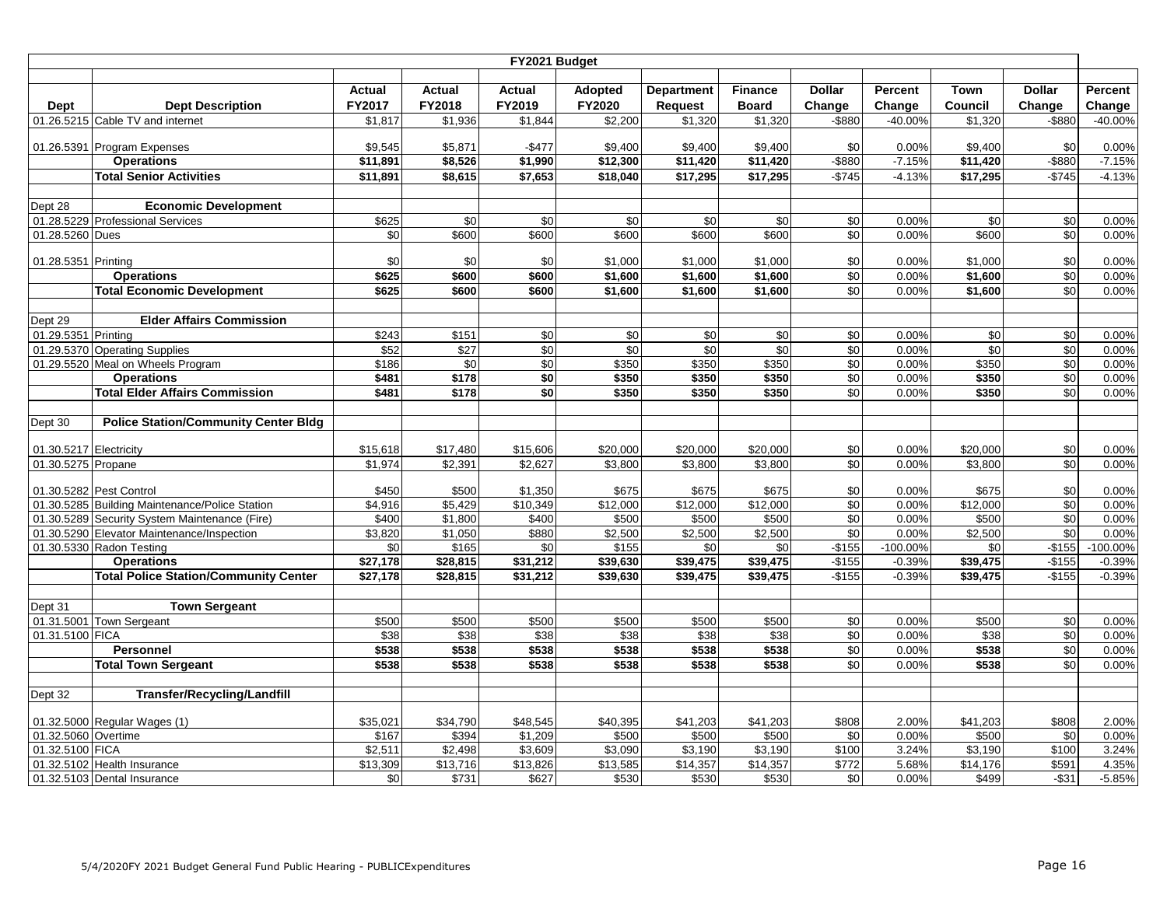|                        |                                                |                     |                   | FY2021 Budget       |                     |                     |                   |                |                |                     |                 |                |
|------------------------|------------------------------------------------|---------------------|-------------------|---------------------|---------------------|---------------------|-------------------|----------------|----------------|---------------------|-----------------|----------------|
|                        |                                                |                     |                   |                     |                     |                     |                   |                |                |                     |                 |                |
|                        |                                                | <b>Actual</b>       | <b>Actual</b>     | <b>Actual</b>       | Adopted             | <b>Department</b>   | <b>Finance</b>    | <b>Dollar</b>  | Percent        | Town                | <b>Dollar</b>   | Percent        |
| Dept                   | <b>Dept Description</b>                        | FY2017              | FY2018            | FY2019              | FY2020              | <b>Request</b>      | <b>Board</b>      | Change         | Change         | Council             | Change          | Change         |
|                        | 01.26.5215 Cable TV and internet               | \$1,817             | \$1,936           | $\overline{$}1,844$ | \$2,200             | \$1,320             | \$1,320           | -\$880         | $-40.00%$      | \$1,320             | -\$880          | -40.00%        |
|                        | 01.26.5391 Program Expenses                    | \$9,545             | \$5,871           | $-$477$             | \$9,400             | \$9,400             | \$9,400           | \$0            | 0.00%          | \$9,400             | \$0             | 0.00%          |
|                        | <b>Operations</b>                              | \$11,891            | \$8,526           | \$1,990             | \$12,300            | \$11,420            | \$11,420          | $-$ \$880      | $-7.15%$       | \$11,420            | $-$ \$880       | $-7.15%$       |
|                        | <b>Total Senior Activities</b>                 | \$11,891            | \$8,615           | \$7,653             | \$18,040            | \$17,295            | \$17,295          | $-$745$        | $-4.13%$       | \$17,295            | $-$745$         | $-4.13%$       |
|                        |                                                |                     |                   |                     |                     |                     |                   |                |                |                     |                 |                |
| Dept 28                | <b>Economic Development</b>                    |                     |                   |                     |                     |                     |                   |                |                |                     |                 |                |
|                        | 01.28.5229 Professional Services               | \$625               | \$0               | \$0                 | \$0                 | \$0                 | \$0               | \$0            | 0.00%          | \$0                 | \$0             | 0.00%          |
| 01.28.5260 Dues        |                                                | \$0                 | \$600             | \$600               | \$600               | \$600               | \$600             | \$0            | 0.00%          | \$600               | \$0             | 0.00%          |
|                        |                                                |                     |                   |                     |                     |                     |                   |                |                |                     |                 |                |
| 01.28.5351 Printing    |                                                | \$0                 | \$0               | \$0                 | \$1,000             | \$1,000             | \$1,000           | \$0            | 0.00%          | \$1,000             | \$0             | 0.00%          |
|                        | <b>Operations</b>                              | \$625               | \$600             | \$600               | \$1,600             | \$1,600             | \$1,600           | \$0            | 0.00%          | \$1,600             | $\sqrt{6}$      | 0.00%          |
|                        | <b>Total Economic Development</b>              | \$625               | \$600             | \$600               | \$1,600             | \$1,600             | \$1,600           | $\sqrt{6}$     | 0.00%          | \$1,600             | $\sqrt{6}$      | 0.00%          |
|                        |                                                |                     |                   |                     |                     |                     |                   |                |                |                     |                 |                |
| Dept 29                | <b>Elder Affairs Commission</b>                |                     |                   |                     |                     |                     |                   |                |                |                     |                 |                |
| 01.29.5351 Printing    |                                                | \$243               | \$151             | $\sqrt{6}$          | $\frac{6}{3}$       | \$0                 | \$0               | \$0            | 0.00%          | \$0                 | \$0             | 0.00%          |
|                        | 01.29.5370 Operating Supplies                  | \$52                | $\sqrt{$27}$      | \$0                 | $\frac{6}{3}$       | $\sqrt{6}$          | $\frac{6}{3}$     | \$0            | 0.00%          | $\sqrt{6}$          | \$0             | 0.00%          |
|                        | 01.29.5520 Meal on Wheels Program              | \$186               | \$0               | $\sqrt{6}$          | \$350               | \$350               | \$350             | \$0            | 0.00%          | \$350               | \$0             | 0.00%          |
|                        | <b>Operations</b>                              | \$481               | \$178             | $\sqrt{6}$          | \$350               | \$350               | \$350             | \$0            | 0.00%          | \$350               | \$0             | 0.00%          |
|                        | <b>Total Elder Affairs Commission</b>          | \$481               | \$178             | $\overline{50}$     | \$350               | \$350               | \$350             | \$0            | 0.00%          | \$350               | $\overline{50}$ | 0.00%          |
|                        |                                                |                     |                   |                     |                     |                     |                   |                |                |                     |                 |                |
| Dept 30                | <b>Police Station/Community Center Bldg</b>    |                     |                   |                     |                     |                     |                   |                |                |                     |                 |                |
|                        |                                                |                     |                   |                     |                     |                     |                   |                |                |                     |                 |                |
| 01.30.5217 Electricity |                                                | \$15,618            | \$17,480          | \$15,606            | \$20,000            | \$20,000            | \$20,000          | \$0            | 0.00%          | \$20,000            | \$0             | 0.00%          |
| 01.30.5275 Propane     |                                                | \$1,974             | \$2,391           | \$2,627             | \$3,800             | \$3,800             | \$3,800           | \$0            | 0.00%          | \$3,800             | $\sqrt{6}$      | 0.00%          |
|                        | 01.30.5282 Pest Control                        | \$450               | \$500             | \$1,350             | \$675               | \$675               | \$675             | \$0            | 0.00%          | \$675               | \$0             | 0.00%          |
|                        | 01.30.5285 Building Maintenance/Police Station | \$4,916             | \$5,429           | \$10,349            | \$12,000            | \$12,000            | \$12,000          | \$0            | $0.00\%$       | \$12,000            | \$0             | 0.00%          |
|                        | 01.30.5289 Security System Maintenance (Fire)  | \$400               | \$1,800           | \$400               | \$500               | \$500               | \$500             | \$0            | 0.00%          | \$500               | \$0             | 0.00%          |
|                        | 01.30.5290 Elevator Maintenance/Inspection     | \$3,820             | \$1,050           | \$880               | \$2,500             | \$2,500             | \$2,500           | $\sqrt{6}$     | 0.00%          | \$2,500             | \$0             | 0.00%          |
|                        | 01.30.5330 Radon Testing                       | \$0                 | \$165             | \$0                 | \$155               | \$0                 | \$0               | $-$155$        | -100.00%       | \$0                 | $-$155$         | $-100.00%$     |
|                        | <b>Operations</b>                              | \$27,178            | \$28,815          | $\sqrt{$31,212}$    | \$39,630            | \$39,475            | \$39,475          | $-$ \$155      | $-0.39%$       | \$39,475            | $-$155$         | $-0.39%$       |
|                        | <b>Total Police Station/Community Center</b>   | $\frac{1}{27,178}$  | \$28,815          | \$31,212            | \$39,630            | \$39,475            | \$39,475          | $-$155$        | $-0.39%$       | \$39,475            | $-$155$         | $-0.39%$       |
|                        |                                                |                     |                   |                     |                     |                     |                   |                |                |                     |                 |                |
| Dept 31                | <b>Town Sergeant</b>                           |                     |                   |                     |                     |                     |                   |                |                |                     |                 |                |
|                        | 01.31.5001 Town Sergeant                       | \$500               | \$500             | \$500               | \$500               | \$500               | \$500             | \$0            | 0.00%          | \$500               | \$0             | 0.00%          |
| 01.31.5100 FICA        |                                                | \$38                | \$38              | \$38                | \$38                | \$38                | \$38              | \$0            | 0.00%          | \$38                | \$0             | 0.00%          |
|                        | <b>Personnel</b>                               | \$538               | \$538             | \$538               | \$538               | \$538               | \$538             | \$0            | 0.00%          | \$538               | $\sqrt{6}$      | 0.00%          |
|                        | <b>Total Town Sergeant</b>                     | \$538               | \$538             | \$538               | \$538               | \$538               | \$538             | \$0            | 0.00%          | \$538               | \$0             | 0.00%          |
|                        |                                                |                     |                   |                     |                     |                     |                   |                |                |                     |                 |                |
| Dept 32                | <b>Transfer/Recycling/Landfill</b>             |                     |                   |                     |                     |                     |                   |                |                |                     |                 |                |
|                        |                                                |                     |                   |                     |                     |                     |                   |                |                |                     |                 |                |
|                        | 01.32.5000 Regular Wages (1)                   | \$35,021            | \$34,790          | \$48,545            | \$40,395            | \$41,203            | \$41,203          | \$808          | 2.00%          | \$41,203            | \$808           | 2.00%          |
| 01.32.5060 Overtime    |                                                | \$167               | \$394             | \$1,209             | \$500               | \$500               | \$500             | \$0            | 0.00%          | \$500               | \$0             | 0.00%          |
| 01.32.5100 FICA        | 01.32.5102 Health Insurance                    | \$2,511<br>\$13,309 | \$2,498           | \$3,609             | \$3,090<br>\$13,585 | \$3,190<br>\$14,357 | \$3,190           | \$100<br>\$772 | 3.24%<br>5.68% | \$3,190<br>\$14,176 | \$100<br>\$591  | 3.24%<br>4.35% |
|                        | 01.32.5103 Dental Insurance                    | \$0                 | \$13,716<br>\$731 | \$13,826<br>\$627   | \$530               | \$530               | \$14,357<br>\$530 | \$0            | 0.00%          | \$499               | $-$ \$31        | $-5.85%$       |
|                        |                                                |                     |                   |                     |                     |                     |                   |                |                |                     |                 |                |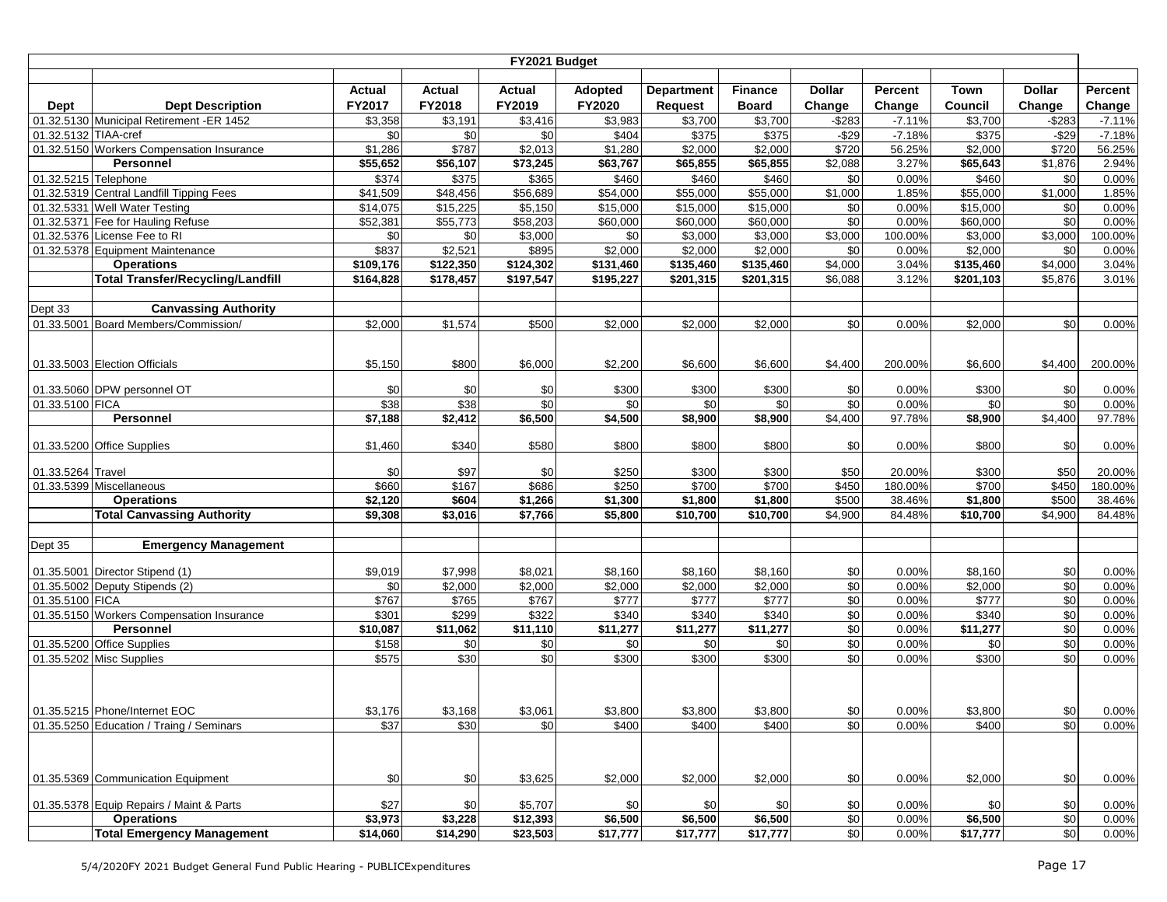|                      |                                                                     |                     |                | FY2021 Budget           |                |                     |                    |                |                  |                    |                |                  |
|----------------------|---------------------------------------------------------------------|---------------------|----------------|-------------------------|----------------|---------------------|--------------------|----------------|------------------|--------------------|----------------|------------------|
|                      |                                                                     |                     |                |                         |                |                     |                    |                |                  |                    |                |                  |
|                      |                                                                     | <b>Actual</b>       | <b>Actual</b>  | <b>Actual</b><br>FY2019 | <b>Adopted</b> | <b>Department</b>   | <b>Finance</b>     | <b>Dollar</b>  | Percent          | Town               | <b>Dollar</b>  | Percent          |
| Dept                 | <b>Dept Description</b>                                             | FY2017              | FY2018         |                         | FY2020         | <b>Request</b>      | <b>Board</b>       | Change         | Change           | Council            | Change         | Change           |
|                      | 01.32.5130 Municipal Retirement -ER 1452                            | \$3,358             | \$3,191        | \$3,416                 | \$3,983        | \$3,700             | \$3,700            | $-$ \$283      | $-7.11%$         | \$3,700            | $-$283$        | $-7.11%$         |
| 01.32.5132 TIAA-cref |                                                                     | \$0                 | \$0            | \$0                     | \$404          | \$375               | \$375              | $-$29$         | $-7.18%$         | \$375              | $-$29$         | $-7.18%$         |
|                      | 01.32.5150 Workers Compensation Insurance                           | \$1,286             | \$787          | \$2,013                 | \$1,280        | \$2,000             | \$2,000            | \$720          | 56.25%           | \$2,000            | \$720          | 56.25%           |
|                      | Personnel                                                           | \$55,652            | \$56,107       | \$73,245                | \$63,767       | \$65,855            | \$65,855           | \$2,088        | 3.27%            | \$65,643           | \$1,876        | 2.94%            |
| 01.32.5215 Telephone |                                                                     | \$374               | \$375          | \$365                   | \$460          | \$460               | \$460              | \$0            | 0.00%            | \$460              | \$0            | 0.00%            |
|                      | 01.32.5319 Central Landfill Tipping Fees                            | \$41,509            | \$48,456       | \$56,689                | \$54,000       | \$55,000            | \$55,000           | \$1,000        | 1.85%            | \$55,000           | \$1,000        | 1.85%            |
|                      | 01.32.5331 Well Water Testing                                       | \$14,075            | \$15,225       | \$5,150                 | \$15,000       | \$15,000            | \$15,000           | \$0            | 0.00%            | \$15,000           | \$0            | 0.00%            |
|                      | 01.32.5371 Fee for Hauling Refuse                                   | \$52,381            | \$55,773       | \$58,203                | \$60,000       | \$60,000            | \$60,000           | \$0            | 0.00%            | \$60,000           | \$0            | 0.00%            |
|                      | 01.32.5376 License Fee to RI<br>01.32.5378 Equipment Maintenance    | \$0<br>\$837        | \$0<br>\$2,521 | \$3,000<br>\$895        | \$0<br>\$2,000 | \$3,000<br>\$2,000  | \$3,000<br>\$2,000 | \$3,000        | 100.00%<br>0.00% | \$3,000<br>\$2,000 | \$3,000<br>\$0 | 100.00%<br>0.00% |
|                      | <b>Operations</b>                                                   | \$109,176           |                | $\sqrt{$124,302}$       |                |                     | \$135,460          | \$0<br>\$4,000 | 3.04%            | \$135,460          | \$4,000        | 3.04%            |
|                      |                                                                     |                     | \$122,350      |                         | \$131,460      | \$135,460           |                    |                | 3.12%            |                    |                |                  |
|                      | <b>Total Transfer/Recycling/Landfill</b>                            | \$164,828           | \$178,457      | \$197,547               | \$195,227      | \$201,315           | \$201,315          | \$6,088        |                  | \$201,103          | \$5,876        | 3.01%            |
|                      |                                                                     |                     |                |                         |                |                     |                    |                |                  |                    |                |                  |
| Dept 33              | <b>Canvassing Authority</b><br>01.33.5001 Board Members/Commission/ |                     |                |                         |                |                     |                    |                |                  |                    |                |                  |
|                      |                                                                     | \$2,000             | \$1,574        | \$500                   | \$2,000        | \$2,000             | \$2,000            | \$0            | 0.00%            | \$2,000            | \$0            | 0.00%            |
|                      |                                                                     |                     |                |                         |                |                     |                    |                |                  |                    |                |                  |
|                      | 01.33.5003 Election Officials                                       | \$5,150             | \$800          | \$6,000                 | \$2,200        | \$6,600             | \$6,600            | \$4,400        | 200.00%          | \$6,600            | \$4,400        | 200.00%          |
|                      |                                                                     |                     |                |                         |                |                     |                    |                |                  |                    |                |                  |
|                      | 01.33.5060 DPW personnel OT                                         | \$0                 | \$0            | \$0                     | \$300          | \$300               | \$300              | \$0            | 0.00%            | \$300              | \$0            | 0.00%            |
| 01.33.5100 FICA      |                                                                     | \$38                | \$38           | \$0                     | \$0            | \$0                 | \$0                | \$0            | 0.00%            | \$0                | \$0            | 0.00%            |
|                      | Personnel                                                           | $\frac{1}{157,188}$ | \$2,412        | \$6,500                 | \$4,500        | \$8,900             | \$8,900            | \$4,400        | 97.78%           | \$8,900            | \$4,400        | 97.78%           |
|                      |                                                                     |                     |                |                         |                |                     |                    |                |                  |                    |                |                  |
|                      | 01.33.5200 Office Supplies                                          | \$1,460             | \$340          | \$580                   | \$800          | \$800               | \$800              | \$0            | 0.00%            | \$800              | \$0            | 0.00%            |
|                      |                                                                     |                     |                |                         |                |                     |                    |                |                  |                    |                |                  |
| 01.33.5264 Travel    |                                                                     | \$0                 | \$97           | \$0                     | \$250          | \$300               | \$300              | \$50           | 20.00%           | \$300              | \$50           | 20.00%           |
|                      | 01.33.5399 Miscellaneous                                            | \$660               | \$167          | \$686                   | \$250          | \$700               | \$700              | \$450          | 180.00%          | \$700              | \$450          | 180.00%          |
|                      | <b>Operations</b>                                                   | \$2,120<br>\$9,308  | \$604          | \$1,266                 | \$1,300        | \$1,800<br>\$10,700 | \$1,800            | \$500          | 38.46%<br>84.48% | \$1,800            | \$500          | 38.46%<br>84.48% |
|                      | <b>Total Canvassing Authority</b>                                   |                     | \$3,016        | \$7,766                 | \$5,800        |                     | \$10,700           | \$4,900        |                  | \$10,700           | \$4,900        |                  |
|                      | <b>Emergency Management</b>                                         |                     |                |                         |                |                     |                    |                |                  |                    |                |                  |
| Dept 35              |                                                                     |                     |                |                         |                |                     |                    |                |                  |                    |                |                  |
|                      | 01.35.5001 Director Stipend (1)                                     | \$9,019             | \$7,998        | \$8,021                 | \$8,160        | \$8,160             | \$8,160            | \$0            | 0.00%            | \$8,160            | \$0            | 0.00%            |
|                      | 01.35.5002 Deputy Stipends (2)                                      | \$0                 | \$2,000        | \$2,000                 | \$2,000        | \$2,000             | \$2,000            | \$0            | 0.00%            | \$2,000            | $\sqrt{6}$     | 0.00%            |
| 01.35.5100 FICA      |                                                                     | \$767               | \$765          | \$767                   | \$777          | \$777               | \$777              | \$0            | 0.00%            | \$777              | \$0            | 0.00%            |
|                      | 01.35.5150 Workers Compensation Insurance                           | \$301               | \$299          | \$322                   | \$340          | \$340               | \$340              | \$0            | 0.00%            | \$340              | $\sqrt{6}$     | 0.00%            |
|                      | <b>Personnel</b>                                                    | \$10,087            | \$11,062       | \$11,110                | \$11,277       | \$11,277            | \$11,277           | \$0            | 0.00%            | \$11,277           | \$0            | 0.00%            |
|                      | 01.35.5200 Office Supplies                                          | \$158               | \$0            | \$0                     | \$0            | \$0                 | \$0                | \$0            | 0.00%            | \$0                | \$0            | 0.00%            |
|                      | 01.35.5202 Misc Supplies                                            | \$575               | \$30           | \$0                     | \$300          | \$300               | \$300              | \$0            | 0.00%            | \$300              | \$0            | 0.00%            |
|                      |                                                                     |                     |                |                         |                |                     |                    |                |                  |                    |                |                  |
|                      |                                                                     |                     |                |                         |                |                     |                    |                |                  |                    |                |                  |
|                      |                                                                     |                     |                |                         |                |                     |                    |                |                  |                    |                |                  |
|                      | 01.35.5215 Phone/Internet EOC                                       | \$3,176             | \$3,168        | \$3,061                 | \$3,800        | \$3,800             | \$3,800            | \$0            | 0.00%            | \$3,800            | \$0            | 0.00%            |
|                      | 01.35.5250 Education / Traing / Seminars                            | \$37                | \$30           | \$0                     | \$400          | \$400               | \$400              | \$0            | 0.00%            | \$400              | \$0            | 0.00%            |
|                      |                                                                     |                     |                |                         |                |                     |                    |                |                  |                    |                |                  |
|                      |                                                                     |                     |                |                         |                |                     |                    |                |                  |                    |                |                  |
|                      | 01.35.5369 Communication Equipment                                  | \$0                 | \$0            | \$3,625                 | \$2,000        | \$2,000             | \$2,000            | \$0            | 0.00%            | \$2,000            | \$0            | 0.00%            |
|                      |                                                                     |                     |                |                         |                |                     |                    |                |                  |                    |                |                  |
|                      | 01.35.5378 Equip Repairs / Maint & Parts                            | \$27                | \$0            | \$5,707                 | \$0            | \$0                 | \$0                | \$0            | 0.00%            | \$0                | \$0            | 0.00%            |
|                      | <b>Operations</b>                                                   | \$3,973             | \$3,228        | \$12,393                | \$6,500        | \$6,500             | \$6,500            | \$0            | 0.00%            | \$6,500            | \$0            | 0.00%            |
|                      | <b>Total Emergency Management</b>                                   | \$14,060            | \$14,290       | \$23,503                | \$17,777       | \$17,777            | \$17,777           | \$0            | 0.00%            | \$17,777           | \$0            | 0.00%            |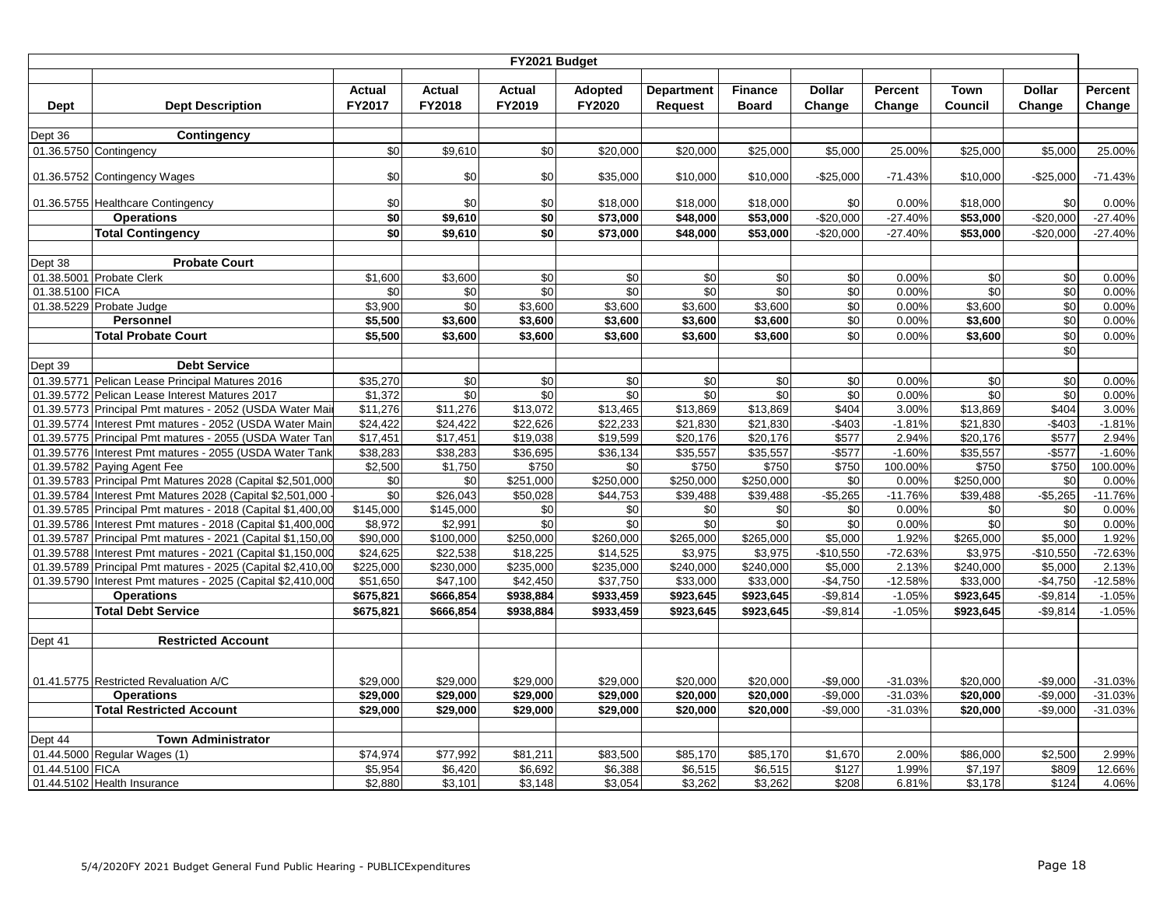|                 |                                                             |               |               | FY2021 Budget |            |                   |                      |               |           |             |               |           |
|-----------------|-------------------------------------------------------------|---------------|---------------|---------------|------------|-------------------|----------------------|---------------|-----------|-------------|---------------|-----------|
|                 |                                                             |               |               |               |            |                   |                      |               |           |             |               |           |
|                 |                                                             | <b>Actual</b> | <b>Actual</b> | Actual        | Adopted    | <b>Department</b> | <b>Finance</b>       | <b>Dollar</b> | Percent   | <b>Town</b> | <b>Dollar</b> | Percent   |
| Dept            | <b>Dept Description</b>                                     | FY2017        | <b>FY2018</b> | FY2019        | FY2020     | <b>Request</b>    | <b>Board</b>         | Change        | Change    | Council     | Change        | Change    |
|                 |                                                             |               |               |               |            |                   |                      |               |           |             |               |           |
| Dept 36         | Contingency                                                 |               |               |               |            |                   |                      |               |           |             |               |           |
|                 | 01.36.5750 Contingency                                      | \$0           | \$9,610       | \$0           | \$20,000   | \$20,000          | \$25,000             | \$5,000       | 25.00%    | \$25,000    | \$5,000       | 25.00%    |
|                 |                                                             |               |               |               |            |                   |                      |               |           |             |               |           |
|                 | 01.36.5752 Contingency Wages                                | \$0           | \$0           | \$0           | \$35,000   | \$10,000          | \$10,000             | $-$25,000$    | $-71.43%$ | \$10,000    | $-$ \$25,000  | $-71.43%$ |
|                 | 01.36.5755 Healthcare Contingency                           | \$0           | \$0           | \$0           | \$18,000   | \$18,000          | \$18,000             | \$0           | 0.00%     | \$18,000    | \$0           | 0.00%     |
|                 | <b>Operations</b>                                           | \$0           | \$9,610       | \$0           | \$73,000   | \$48,000          | \$53,000             | $-$20,000$    | $-27.40%$ | \$53,000    | $-$20,000$    | $-27.40%$ |
|                 | <b>Total Contingency</b>                                    | $\sqrt{50}$   | \$9,610       | \$0           | \$73,000   | \$48,000          | \$53,000             | $-$20,000$    | $-27.40%$ | \$53,000    | $-$20,000$    | $-27.40%$ |
|                 |                                                             |               |               |               |            |                   |                      |               |           |             |               |           |
| Dept 38         | <b>Probate Court</b>                                        |               |               |               |            |                   |                      |               |           |             |               |           |
|                 | 01.38.5001 Probate Clerk                                    | \$1,600       | \$3,600       | $\sqrt{6}$    | $\sqrt{6}$ | \$0               | $\frac{6}{3}$        | \$0           | 0.00%     | \$0         | \$0           | 0.00%     |
| 01.38.5100 FICA |                                                             | \$0           | $$0$          | \$0           | \$0        | \$0               | \$0                  | \$0           | 0.00%     | \$0         | \$0           | 0.00%     |
|                 | 01.38.5229 Probate Judge                                    | \$3,900       | \$0           | \$3,600       | \$3,600    | \$3,600           | \$3,600              | \$0           | 0.00%     | \$3,600     | \$0           | 0.00%     |
|                 | Personnel                                                   | \$5,500       | \$3,600       | \$3,600       | \$3,600    | \$3,600           | \$3,600              | \$0           | 0.00%     | \$3,600     | \$0           | 0.00%     |
|                 | <b>Total Probate Court</b>                                  | \$5,500       | \$3,600       | \$3,600       | \$3,600    | \$3,600           | \$3,600              | \$0           | 0.00%     | \$3,600     | \$0           | 0.00%     |
|                 |                                                             |               |               |               |            |                   |                      |               |           |             | \$0           |           |
| Dept 39         | <b>Debt Service</b>                                         |               |               |               |            |                   |                      |               |           |             |               |           |
|                 | 01.39.5771 Pelican Lease Principal Matures 2016             | \$35,270      | \$0           | $\sqrt{6}$    | $\sqrt{6}$ | \$0               | \$0                  | \$0           | 0.00%     | \$0         | \$0           | 0.00%     |
|                 | 01.39.5772 Pelican Lease Interest Matures 2017              | \$1,372       | \$0           | \$0           | \$0        | \$0               | \$0                  | \$0           | 0.00%     | \$0         | \$0           | 0.00%     |
|                 | 01.39.5773 Principal Pmt matures - 2052 (USDA Water Mai     | \$11,276      | \$11,276      | \$13,072      | \$13,465   | \$13,869          | \$13,869             | \$404         | 3.00%     | \$13,869    | \$404         | 3.00%     |
|                 | 01.39.5774 Interest Pmt matures - 2052 (USDA Water Main     | \$24.422      | \$24.422      | \$22.626      | \$22.233   | \$21,830          | \$21.830             | $-$403$       | $-1.81%$  | \$21.830    | $-$403$       | $-1.81%$  |
|                 | 01.39.5775 Principal Pmt matures - 2055 (USDA Water Tan     | \$17,451      | \$17,451      | \$19,038      | \$19,599   | \$20,176          | \$20,176             | \$577         | 2.94%     | \$20,176    | \$577         | 2.94%     |
|                 | 01.39.5776 Interest Pmt matures - 2055 (USDA Water Tank     | \$38,283      | \$38,283      | \$36,695      | \$36,134   | \$35,557          | \$35,557             | $-$ \$577     | $-1.60%$  | \$35,557    | $-$ \$577     | $-1.60%$  |
|                 | 01.39.5782 Paying Agent Fee                                 | \$2,500       | \$1,750       | \$750         | \$0        | \$750             | \$750                | \$750         | 100.00%   | \$750       | \$750         | 100.00%   |
|                 | 01.39.5783 Principal Pmt Matures 2028 (Capital \$2,501,000  | \$0           | \$0           | \$251,000     | \$250,000  | \$250,000         | \$250,000            | \$0           | 0.00%     | \$250,000   | \$0           | 0.00%     |
|                 | 01.39.5784 Interest Pmt Matures 2028 (Capital \$2,501,000   | \$0           | \$26,043      | \$50,028      | \$44,753   | \$39,488          | \$39,488             | $-$5,265$     | $-11.76%$ | \$39,488    | $-$5,265$     | $-11.76%$ |
|                 | 01.39.5785 Principal Pmt matures - 2018 (Capital \$1,400,00 | \$145,000     | \$145,000     | $\sqrt{6}$    | \$0        | \$0               | \$0                  | \$0           | 0.00%     | \$0         | \$0           | 0.00%     |
|                 | 01.39.5786 Interest Pmt matures - 2018 (Capital \$1,400,000 | \$8,972       | \$2,991       | \$0           | \$0        | \$0               | \$0                  | \$0           | 0.00%     | \$0         | \$0           | 0.00%     |
|                 | 01.39.5787 Principal Pmt matures - 2021 (Capital \$1,150,00 | \$90,000      | \$100,000     | \$250,000     | \$260,000  | \$265,000         | \$265,000            | \$5,000       | 1.92%     | \$265,000   | \$5,000       | 1.92%     |
|                 | 01.39.5788 Interest Pmt matures - 2021 (Capital \$1,150,000 | \$24.625      | \$22,538      | \$18,225      | \$14.525   | \$3.975           | \$3.975              | $-$10,550$    | $-72.63%$ | \$3.975     | $-$10,550$    | $-72.63%$ |
|                 | 01.39.5789 Principal Pmt matures - 2025 (Capital \$2,410,00 | \$225,000     | \$230,000     | \$235,000     | \$235,000  | \$240,000         | \$240,000            | \$5,000       | 2.13%     | \$240,000   | \$5,000       | 2.13%     |
|                 | 01.39.5790 Interest Pmt matures - 2025 (Capital \$2,410,000 | \$51,650      | \$47,100      | \$42,450      | \$37,750   | \$33,000          | $\overline{$}33,000$ | $-$4,750$     | $-12.58%$ | \$33,000    | $-$4,750$     | $-12.58%$ |
|                 | <b>Operations</b>                                           | \$675,821     | \$666,854     | \$938,884     | \$933,459  | \$923,645         | \$923,645            | $-$9,814$     | $-1.05%$  | \$923,645   | $-$9,814$     | $-1.05%$  |
|                 | <b>Total Debt Service</b>                                   | \$675,821     | \$666,854     | \$938,884     | \$933,459  | \$923,645         | \$923,645            | $-$9,814$     | $-1.05%$  | \$923,645   | $-$9,814$     | $-1.05%$  |
|                 |                                                             |               |               |               |            |                   |                      |               |           |             |               |           |
| Dept 41         | <b>Restricted Account</b>                                   |               |               |               |            |                   |                      |               |           |             |               |           |
|                 |                                                             |               |               |               |            |                   |                      |               |           |             |               |           |
|                 |                                                             |               |               |               |            |                   |                      |               |           |             |               |           |
|                 | 01.41.5775 Restricted Revaluation A/C                       | \$29,000      | \$29,000      | \$29,000      | \$29,000   | \$20,000          | \$20,000             | $-$9,000$     | $-31.03%$ | \$20,000    | $-$9,000$     | $-31.03%$ |
|                 | <b>Operations</b>                                           | \$29,000      | \$29,000      | \$29,000      | \$29,000   | \$20,000          | \$20,000             | $-$9,000$     | $-31.03%$ | \$20,000    | $-$9,000$     | $-31.03%$ |
|                 | <b>Total Restricted Account</b>                             | \$29,000      | \$29,000      | \$29,000      | \$29.000   | \$20,000          | \$20,000             | $-$9,000$     | $-31.03%$ | \$20,000    | $-$9,000$     | $-31.03%$ |
|                 |                                                             |               |               |               |            |                   |                      |               |           |             |               |           |
| Dept 44         | <b>Town Administrator</b>                                   |               |               |               |            |                   |                      |               |           |             |               |           |
|                 | 01.44.5000 Regular Wages (1)                                | \$74,974      | \$77,992      | \$81,211      | \$83,500   | \$85,170          | \$85,170             | \$1,670       | 2.00%     | \$86,000    | \$2,500       | 2.99%     |
| 01.44.5100 FICA |                                                             | \$5,954       | \$6,420       | \$6,692       | \$6,388    | \$6,515           | \$6,515              | \$127         | 1.99%     | \$7,197     | \$809         | 12.66%    |
|                 | 01.44.5102 Health Insurance                                 | \$2,880       | \$3,101       | \$3,148       | \$3,054    | \$3,262           | \$3,262              | \$208         | 6.81%     | \$3,178     | \$124         | 4.06%     |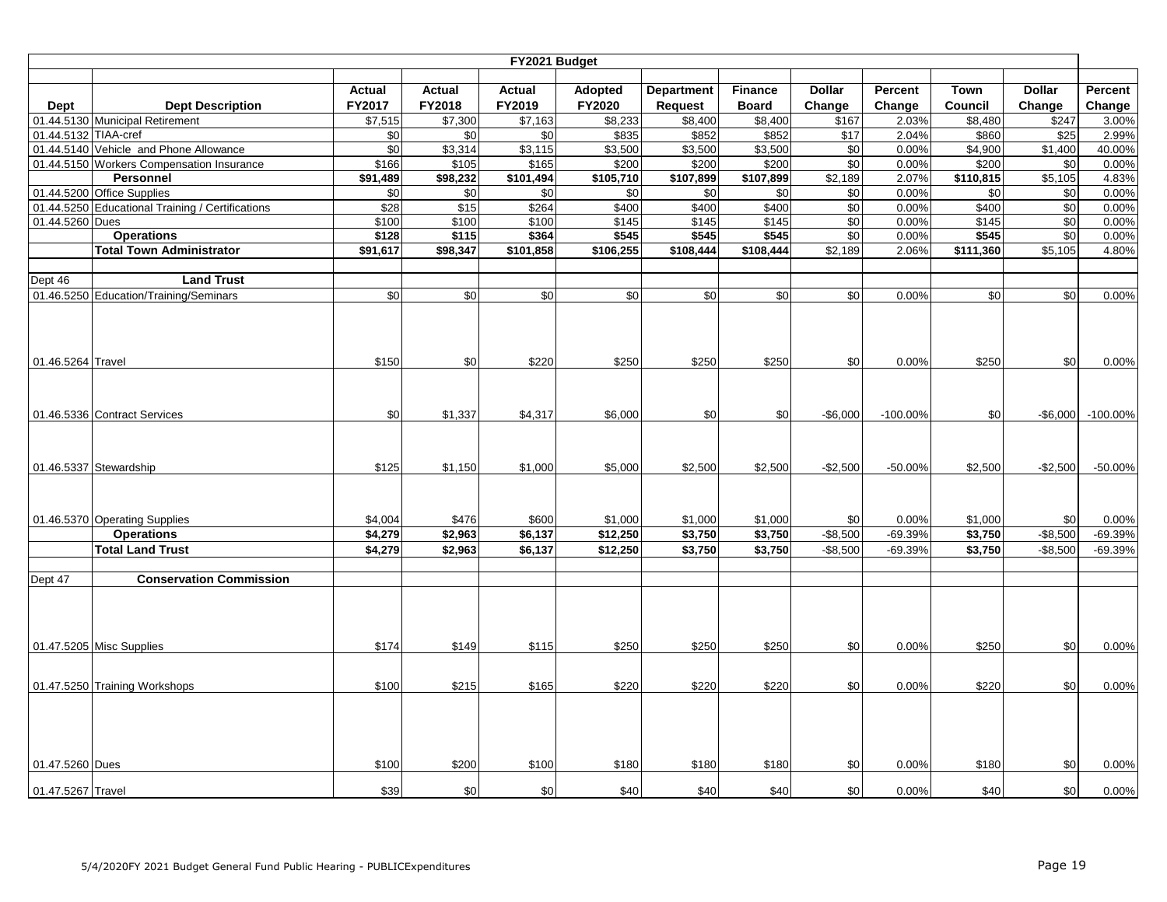|                      |                                                  |                |                            | FY2021 Budget              |                  |                   |                   |               |                |                  |               |                         |
|----------------------|--------------------------------------------------|----------------|----------------------------|----------------------------|------------------|-------------------|-------------------|---------------|----------------|------------------|---------------|-------------------------|
|                      |                                                  |                |                            |                            |                  |                   |                   |               |                |                  |               |                         |
|                      |                                                  | <b>Actual</b>  | Actual                     | <b>Actual</b>              | <b>Adopted</b>   | <b>Department</b> | <b>Finance</b>    | <b>Dollar</b> | Percent        | <b>Town</b>      | <b>Dollar</b> | Percent                 |
| Dept                 | <b>Dept Description</b>                          | FY2017         | FY2018                     | FY2019                     | FY2020           | <b>Request</b>    | <b>Board</b>      | Change        | Change         | Council          | Change        | Change                  |
| 01.44.5132 TIAA-cref | 01.44.5130 Municipal Retirement                  | \$7,515<br>\$0 | $\overline{$7,300}$<br>\$0 | $\overline{$}7,163$<br>\$0 | \$8,233<br>\$835 | \$8,400<br>\$852  | \$8,400<br>\$852  | \$167<br>\$17 | 2.03%<br>2.04% | \$8,480<br>\$860 | \$247<br>\$25 | 3.00%<br>2.99%          |
|                      | 01.44.5140 Vehicle and Phone Allowance           | \$0            | \$3,314                    | \$3,115                    | \$3,500          | \$3,500           | \$3,500           | $\sqrt{6}$    | 0.00%          | \$4,900          | \$1,400       | 40.00%                  |
|                      | 01.44.5150 Workers Compensation Insurance        | \$166          | \$105                      | \$165                      | \$200            | \$200             | \$200             | $\sqrt{6}$    | 0.00%          | \$200            | \$0           | 0.00%                   |
|                      | Personnel                                        | \$91,489       | \$98,232                   | \$101,494                  | \$105,710        | \$107,899         | \$107,899         | \$2,189       | 2.07%          | \$110,815        | \$5,105       | 4.83%                   |
|                      | 01.44.5200 Office Supplies                       | \$0            | \$0                        | \$0                        | \$0              | \$0               | \$0               | \$0           | 0.00%          | \$0              | \$0           | 0.00%                   |
|                      | 01.44.5250 Educational Training / Certifications | \$28           | \$15                       | \$264                      | \$400            | \$400             | \$400             | \$0           | 0.00%          | \$400            | \$0           | 0.00%                   |
| 01.44.5260 Dues      |                                                  | \$100          | \$100                      | \$100                      | \$145            | \$145             | \$145             | \$0           | 0.00%          | \$145            | \$0           | 0.00%                   |
|                      | <b>Operations</b>                                | \$128          | \$115                      | \$364                      | \$545            | \$545             | \$545             | \$0           | 0.00%          | \$545            | \$0           | 0.00%                   |
|                      | <b>Total Town Administrator</b>                  | \$91,617       | \$98,347                   | $\overline{$101,858}$      | \$106,255        | \$108,444         | $\sqrt{$108,444}$ | \$2,189       | 2.06%          | \$111,360        | \$5,105       | 4.80%                   |
|                      |                                                  |                |                            |                            |                  |                   |                   |               |                |                  |               |                         |
| Dept 46              | <b>Land Trust</b>                                |                |                            |                            |                  |                   |                   |               |                |                  |               |                         |
|                      | 01.46.5250 Education/Training/Seminars           | \$0            | \$0                        | \$0                        | \$0              | \$0               | \$0               | \$0           | 0.00%          | \$0              | \$0           | 0.00%                   |
| 01.46.5264 Travel    |                                                  | \$150          | \$0                        | \$220                      | \$250            | \$250             | \$250             | \$0           | 0.00%          | \$250            | \$0           | 0.00%                   |
|                      | 01.46.5336 Contract Services                     | \$0            | \$1,337                    | \$4,317                    | \$6,000          | \$0               | \$0               | $-$6,000$     | $-100.00%$     | \$0              |               | $-$ \$6,000 $-100.00\%$ |
|                      | 01.46.5337 Stewardship                           | \$125          | \$1,150                    | \$1,000                    | \$5,000          | \$2,500           | \$2,500           | $-$2,500$     | $-50.00%$      | \$2,500          | $-$2,500$     | $-50.00\%$              |
|                      | 01.46.5370 Operating Supplies                    | \$4,004        | \$476                      | \$600                      | \$1,000          | \$1,000           | \$1,000           | \$0           | 0.00%          | \$1,000          | \$0           | 0.00%                   |
|                      | <b>Operations</b>                                | \$4,279        | \$2,963                    | \$6,137                    | \$12,250         | \$3,750           | \$3,750           | $-$ \$8,500   | -69.39%        | \$3,750          | $-$8,500$     | $-69.39%$               |
|                      | <b>Total Land Trust</b>                          | \$4,279        | \$2,963                    | \$6,137                    | \$12,250         | \$3,750           | \$3,750           | $-$8,500$     | $-69.39%$      | \$3,750          | $-$8,500$     | $-69.39%$               |
| Dept 47              | <b>Conservation Commission</b>                   |                |                            |                            |                  |                   |                   |               |                |                  |               |                         |
|                      |                                                  |                |                            |                            |                  |                   |                   |               |                |                  |               |                         |
|                      | 01.47.5205 Misc Supplies                         | \$174          | \$149                      | \$115                      | \$250            | \$250             | \$250             | \$0           | 0.00%          | \$250            | \$0           | 0.00%                   |
|                      | 01.47.5250 Training Workshops                    | \$100          | \$215                      | \$165                      | \$220            | \$220             | \$220             | \$0           | 0.00%          | \$220            | \$0           | 0.00%                   |
| 01.47.5260 Dues      |                                                  | \$100          | \$200                      | \$100                      | \$180            | \$180             | \$180             | \$0           | 0.00%          | \$180            | \$0           | 0.00%                   |
| 01.47.5267 Travel    |                                                  | \$39           | \$0                        | \$0                        | \$40             | \$40              | \$40              | \$0           | 0.00%          | \$40             | \$0           | 0.00%                   |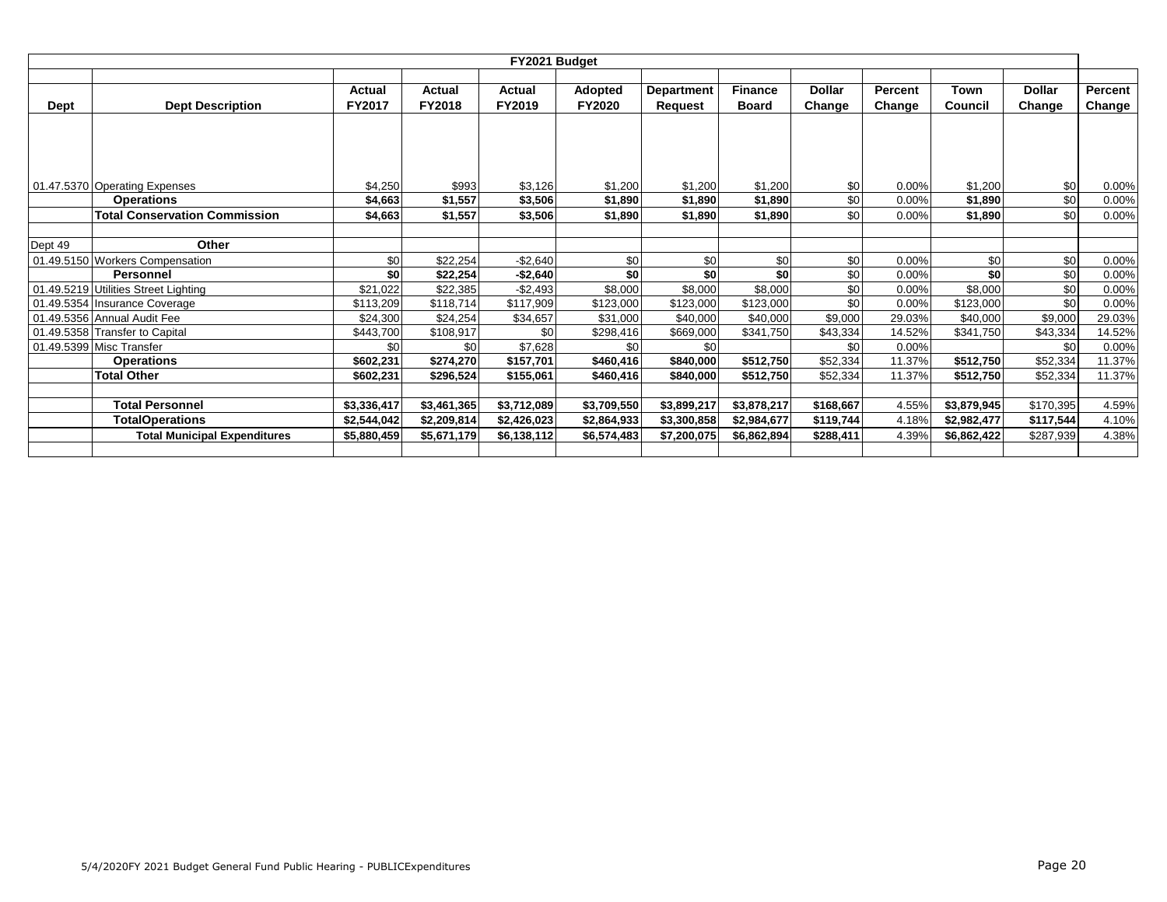|         |                                      |               |             | FY2021 Budget |               |                   |                |               |                |             |               |         |
|---------|--------------------------------------|---------------|-------------|---------------|---------------|-------------------|----------------|---------------|----------------|-------------|---------------|---------|
|         |                                      |               |             |               |               |                   |                |               |                |             |               |         |
|         |                                      | Actual        | Actual      | Actual        | Adopted       | <b>Department</b> | <b>Finance</b> | <b>Dollar</b> | <b>Percent</b> | Town        | <b>Dollar</b> | Percent |
| Dept    | <b>Dept Description</b>              | <b>FY2017</b> | FY2018      | FY2019        | <b>FY2020</b> | <b>Request</b>    | <b>Board</b>   | Change        | Change         | Council     | Change        | Change  |
|         |                                      |               |             |               |               |                   |                |               |                |             |               |         |
|         |                                      |               |             |               |               |                   |                |               |                |             |               |         |
|         |                                      |               |             |               |               |                   |                |               |                |             |               |         |
|         |                                      |               |             |               |               |                   |                |               |                |             |               |         |
|         | 01.47.5370 Operating Expenses        | \$4,250       | \$993       | \$3,126       | \$1,200       | \$1,200           | \$1,200        | \$0           | $0.00\%$       | \$1,200     | \$0           | 0.00%   |
|         | <b>Operations</b>                    | \$4,663       | \$1,557     | \$3,506       | \$1,890       | \$1,890           | \$1,890        | \$0           | 0.00%          | \$1,890     | \$0           | 0.00%   |
|         | <b>Total Conservation Commission</b> | \$4,663       | \$1,557     | \$3,506       | \$1.890       | \$1,890           | \$1,890        | \$0           | $0.00\%$       | \$1,890     | \$0           | 0.00%   |
|         |                                      |               |             |               |               |                   |                |               |                |             |               |         |
| Dept 49 | Other                                |               |             |               |               |                   |                |               |                |             |               |         |
|         | 01.49.5150 Workers Compensation      | \$0           | \$22,254    | $-$2,640$     | \$0           | \$0               | \$0            | \$0           | 0.00%          | \$0         | \$0           | 0.00%   |
|         | Personnel                            | \$0           | \$22,254    | $-$2,640$     | \$0           | \$0               | \$0            | \$0           | $0.00\%$       | \$0         | \$0           | 0.00%   |
|         | 01.49.5219 Utilities Street Lighting | \$21.022      | \$22,385    | $-$2,493$     | \$8,000       | \$8,000           | \$8,000        | \$0           | 0.00%          | \$8,000     | \$0           | 0.00%   |
|         | 01.49.5354 Insurance Coverage        | \$113,209     | \$118,714   | \$117,909     | \$123,000     | \$123,000         | \$123,000      | \$0           | 0.00%          | \$123,000   | \$0           | 0.00%   |
|         | 01.49.5356 Annual Audit Fee          | \$24,300      | \$24,254    | \$34,657      | \$31,000      | \$40,000          | \$40,000       | \$9,000       | 29.03%         | \$40,000    | \$9,000       | 29.03%  |
|         | 01.49.5358 Transfer to Capital       | \$443.700     | \$108,917   | \$0           | \$298,416     | \$669,000         | \$341,750      | \$43,334      | 14.52%         | \$341,750   | \$43,334      | 14.52%  |
|         | 01.49.5399 Misc Transfer             | \$0           | \$0         | \$7,628       | \$0           | \$0               |                | \$0           | $0.00\%$       |             | \$0           | 0.00%   |
|         | <b>Operations</b>                    | \$602.231     | \$274,270   | \$157,701     | \$460,416     | \$840,000         | \$512,750      | \$52,334      | 11.37%         | \$512,750   | \$52,334      | 11.37%  |
|         | <b>Total Other</b>                   | \$602,231     | \$296,524   | \$155,061     | \$460,416     | \$840,000         | \$512,750      | \$52,334      | 11.37%         | \$512,750   | \$52,334      | 11.37%  |
|         |                                      |               |             |               |               |                   |                |               |                |             |               |         |
|         | <b>Total Personnel</b>               | \$3,336,417   | \$3,461,365 | \$3,712,089   | \$3,709,550   | \$3,899,217       | \$3,878,217    | \$168,667     | 4.55%          | \$3,879,945 | \$170,395     | 4.59%   |
|         | <b>TotalOperations</b>               | \$2,544,042   | \$2,209,814 | \$2,426,023   | \$2,864,933   | \$3,300,858       | \$2,984,677    | \$119,744     | 4.18%          | \$2,982,477 | \$117,544     | 4.10%   |
|         | <b>Total Municipal Expenditures</b>  | \$5,880,459   | \$5,671,179 | \$6,138,112   | \$6,574,483   | \$7,200,075       | \$6,862,894    | \$288,411     | 4.39%          | \$6,862,422 | \$287,939     | 4.38%   |
|         |                                      |               |             |               |               |                   |                |               |                |             |               |         |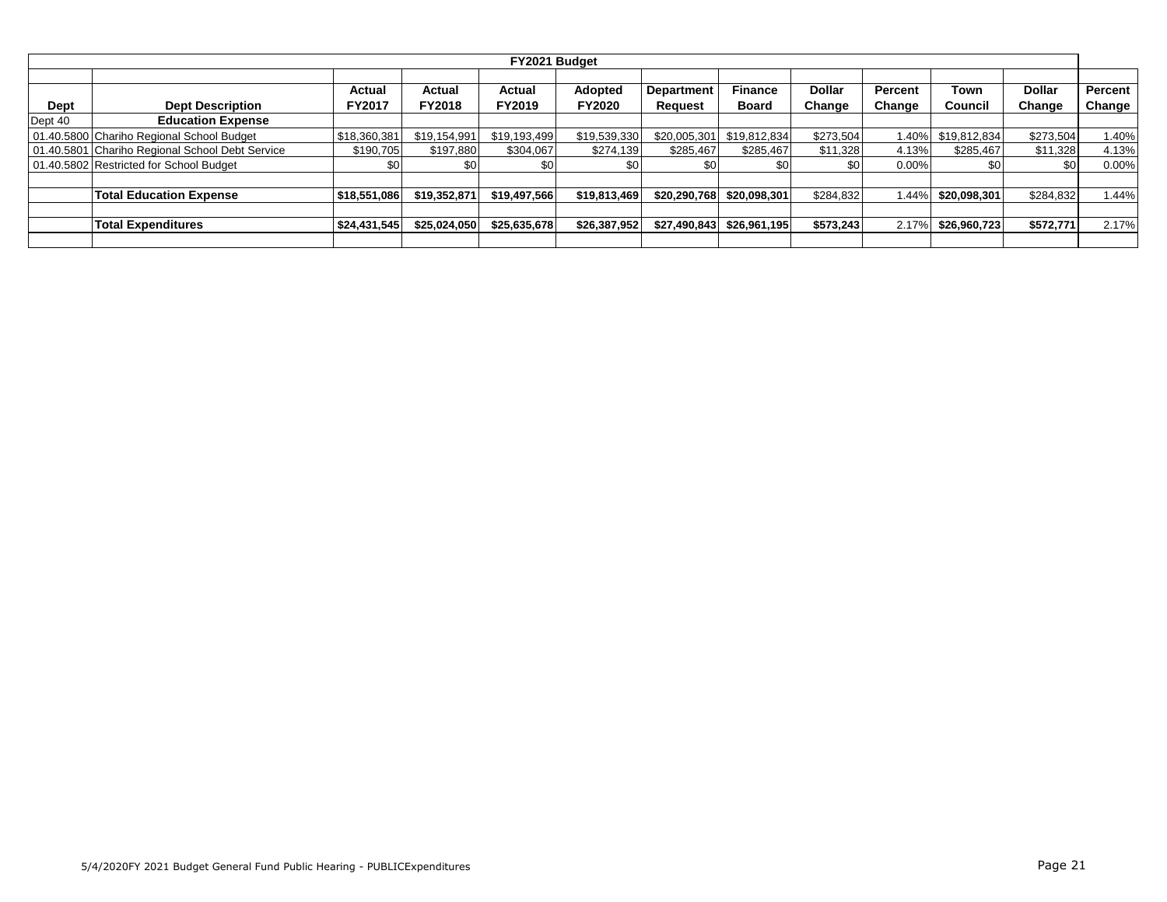|         |                                                 |                         |                         | FY2021 Budget    |                          |                                     |                                |                         |                   |                 |                         |                     |
|---------|-------------------------------------------------|-------------------------|-------------------------|------------------|--------------------------|-------------------------------------|--------------------------------|-------------------------|-------------------|-----------------|-------------------------|---------------------|
| Dept    | <b>Dept Description</b>                         | Actual<br><b>FY2017</b> | Actual<br><b>FY2018</b> | Actual<br>FY2019 | Adopted<br><b>FY2020</b> | <b>Department</b><br><b>Request</b> | <b>Finance</b><br><b>Board</b> | <b>Dollar</b><br>Change | Percent<br>Change | Town<br>Council | <b>Dollar</b><br>Change | Percent  <br>Change |
| Dept 40 | <b>Education Expense</b>                        |                         |                         |                  |                          |                                     |                                |                         |                   |                 |                         |                     |
|         | 01.40.5800 Chariho Regional School Budget       | \$18,360,381            | \$19,154,991            | \$19,193,499     | \$19,539,330             | \$20,005,301                        | \$19.812.834                   | \$273,504               | 1.40%             | \$19,812,834    | \$273,504               | .40%                |
|         | 01.40.5801 Chariho Regional School Debt Service | \$190,705               | \$197,880               | \$304,067        | \$274,139                | \$285,467                           | \$285,467                      | \$11,328                | 4.13%             | \$285,467       | \$11,328                | 4.13%               |
|         | 01.40.5802 Restricted for School Budget         | \$0                     |                         | \$0              | \$0                      |                                     |                                | \$0                     | $0.00\%$          | \$0             | \$0                     | $0.00\%$            |
|         |                                                 |                         |                         |                  |                          |                                     |                                |                         |                   |                 |                         |                     |
|         | <b>Total Education Expense</b>                  | \$18,551,086            | \$19,352,871            | \$19,497,566     | \$19,813,469             | \$20,290,768                        | \$20,098,301                   | \$284,832               | .44%              | \$20,098,301    | \$284,832               | 1.44%               |
|         |                                                 |                         |                         |                  |                          |                                     |                                |                         |                   |                 |                         |                     |
|         | <b>Total Expenditures</b>                       | \$24,431,545            | \$25,024,050            | \$25,635,678     | \$26,387,952             | \$27,490,843                        | \$26,961,195                   | \$573,243               | 2.17%             | \$26,960,723    | \$572,771               | 2.17%               |
|         |                                                 |                         |                         |                  |                          |                                     |                                |                         |                   |                 |                         |                     |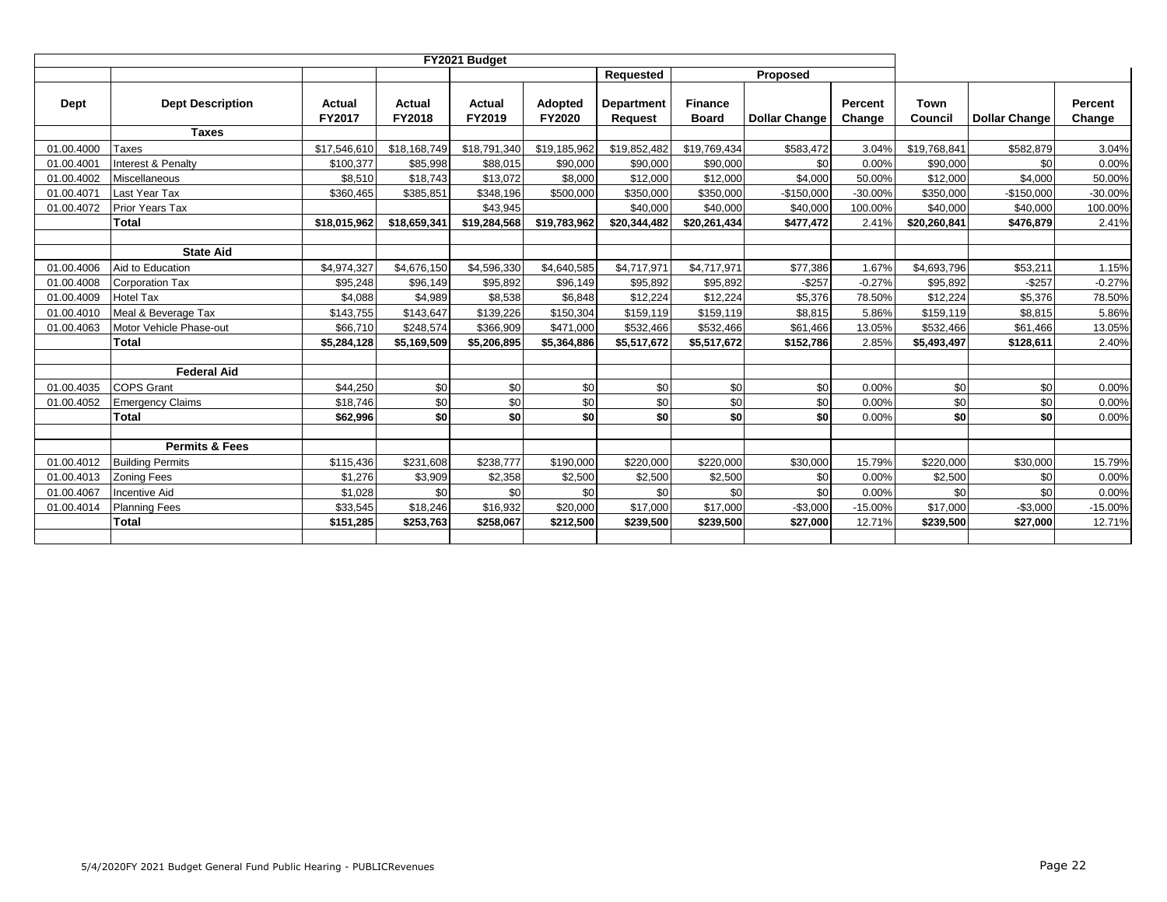|            |                           |                         |                  |                  |                          | <b>Requested</b>             |                                | Proposed             |                   |                 |                      |                   |
|------------|---------------------------|-------------------------|------------------|------------------|--------------------------|------------------------------|--------------------------------|----------------------|-------------------|-----------------|----------------------|-------------------|
| Dept       | <b>Dept Description</b>   | Actual<br><b>FY2017</b> | Actual<br>FY2018 | Actual<br>FY2019 | Adopted<br><b>FY2020</b> | <b>Department</b><br>Request | <b>Finance</b><br><b>Board</b> | <b>Dollar Change</b> | Percent<br>Change | Town<br>Council | <b>Dollar Change</b> | Percent<br>Change |
|            | <b>Taxes</b>              |                         |                  |                  |                          |                              |                                |                      |                   |                 |                      |                   |
| 01.00.4000 | <b>Taxes</b>              | \$17,546,610            | \$18,168,749     | \$18,791,340     | \$19,185,962             | \$19,852,482                 | \$19,769,434                   | \$583,472            | 3.04%             | \$19,768,841    | \$582,879            | 3.04%             |
| 01.00.4001 | Interest & Penalty        | \$100,377               | \$85,998         | \$88,015         | \$90,000                 | \$90,000                     | \$90,000                       | \$0                  | 0.00%             | \$90,000        | \$0                  | 0.00%             |
| 01.00.4002 | Miscellaneous             | \$8,510                 | \$18,743         | \$13,072         | \$8,000                  | \$12,000                     | \$12,000                       | \$4,000              | 50.00%            | \$12,000        | \$4,000              | 50.00%            |
| 01.00.4071 | Last Year Tax             | \$360,465               | \$385,851        | \$348,196        | \$500,000                | \$350,000                    | \$350,000                      | $-$150,000$          | $-30.00%$         | \$350,000       | $-$150,000$          | $-30.00\%$        |
| 01.00.4072 | Prior Years Tax           |                         |                  | \$43,945         |                          | \$40,000                     | \$40,000                       | \$40,000             | 100.00%           | \$40,000        | \$40,000             | 100.00%           |
|            | <b>Total</b>              | \$18,015,962            | \$18,659,341     | \$19,284,568     | \$19,783,962             | \$20,344,482                 | \$20,261,434                   | \$477,472            | 2.41%             | \$20,260,841    | \$476,879            | 2.41%             |
|            |                           |                         |                  |                  |                          |                              |                                |                      |                   |                 |                      |                   |
|            | <b>State Aid</b>          |                         |                  |                  |                          |                              |                                |                      |                   |                 |                      |                   |
| 01.00.4006 | Aid to Education          | \$4,974,327             | \$4,676,150      | \$4,596,330      | \$4,640,585              | \$4,717,971                  | \$4,717,971                    | \$77,386             | 1.67%             | \$4,693,796     | \$53,211             | 1.15%             |
| 01.00.4008 | <b>Corporation Tax</b>    | \$95,248                | \$96,149         | \$95,892         | \$96,149                 | \$95,892                     | \$95,892                       | $-$257$              | $-0.27%$          | \$95,892        | $-$257$              | $-0.27%$          |
| 01.00.4009 | <b>Hotel Tax</b>          | \$4,088                 | \$4,989          | \$8,538          | \$6,848                  | \$12,224                     | \$12,224                       | \$5,376              | 78.50%            | \$12,224        | \$5,376              | 78.50%            |
| 01.00.4010 | Meal & Beverage Tax       | \$143,755               | \$143,647        | \$139,226        | \$150,304                | \$159,119                    | \$159,119                      | \$8,815              | 5.86%             | \$159,119       | \$8,815              | 5.86%             |
| 01.00.4063 | Motor Vehicle Phase-out   | \$66,710                | \$248,574        | \$366,909        | \$471,000                | \$532,466                    | \$532,466                      | \$61,466             | 13.05%            | \$532,466       | \$61,466             | 13.05%            |
|            | <b>Total</b>              | \$5,284,128             | \$5,169,509      | \$5,206,895      | \$5,364,886              | \$5,517,672                  | \$5,517,672                    | \$152,786            | 2.85%             | \$5,493,497     | \$128,611            | 2.40%             |
|            |                           |                         |                  |                  |                          |                              |                                |                      |                   |                 |                      |                   |
|            | <b>Federal Aid</b>        |                         |                  |                  |                          |                              |                                |                      |                   |                 |                      |                   |
| 01.00.4035 | <b>COPS Grant</b>         | \$44,250                | \$0              | \$0              | \$0                      | \$0                          | \$0                            | \$0                  | 0.00%             | \$0             | \$0                  | 0.00%             |
| 01.00.4052 | <b>Emergency Claims</b>   | \$18,746                | \$0              | \$0              | \$0                      | \$0                          | \$0                            | \$0                  | 0.00%             | \$0             | \$0                  | 0.00%             |
|            | <b>Total</b>              | \$62,996                | \$0              | \$0              | \$0                      | \$0                          | \$0                            | \$0                  | 0.00%             | \$0             | \$0                  | 0.00%             |
|            |                           |                         |                  |                  |                          |                              |                                |                      |                   |                 |                      |                   |
|            | <b>Permits &amp; Fees</b> |                         |                  |                  |                          |                              |                                |                      |                   |                 |                      |                   |
| 01.00.4012 | <b>Building Permits</b>   | \$115,436               | \$231,608        | \$238,777        | \$190,000                | \$220,000                    | \$220,000                      | \$30,000             | 15.79%            | \$220,000       | \$30,000             | 15.79%            |
| 01.00.4013 | <b>Zoning Fees</b>        | \$1,276                 | \$3,909          | \$2,358          | \$2,500                  | \$2,500                      | \$2,500                        | \$0                  | 0.00%             | \$2,500         | \$0                  | 0.00%             |
| 01.00.4067 | <b>Incentive Aid</b>      | \$1,028                 | \$0              | \$0              | \$0                      | \$0                          | \$0                            | \$0                  | 0.00%             | \$0             | \$0                  | 0.00%             |
| 01.00.4014 | <b>Planning Fees</b>      | \$33,545                | \$18,246         | \$16,932         | \$20,000                 | \$17,000                     | \$17,000                       | $-$3,000$            | $-15.00%$         | \$17,000        | $-$3,000$            | $-15.00%$         |
|            | <b>Total</b>              | \$151,285               | \$253,763        | \$258,067        | \$212,500                | \$239,500                    | \$239,500                      | \$27,000             | 12.71%            | \$239,500       | \$27,000             | 12.71%            |
|            |                           |                         |                  |                  |                          |                              |                                |                      |                   |                 |                      |                   |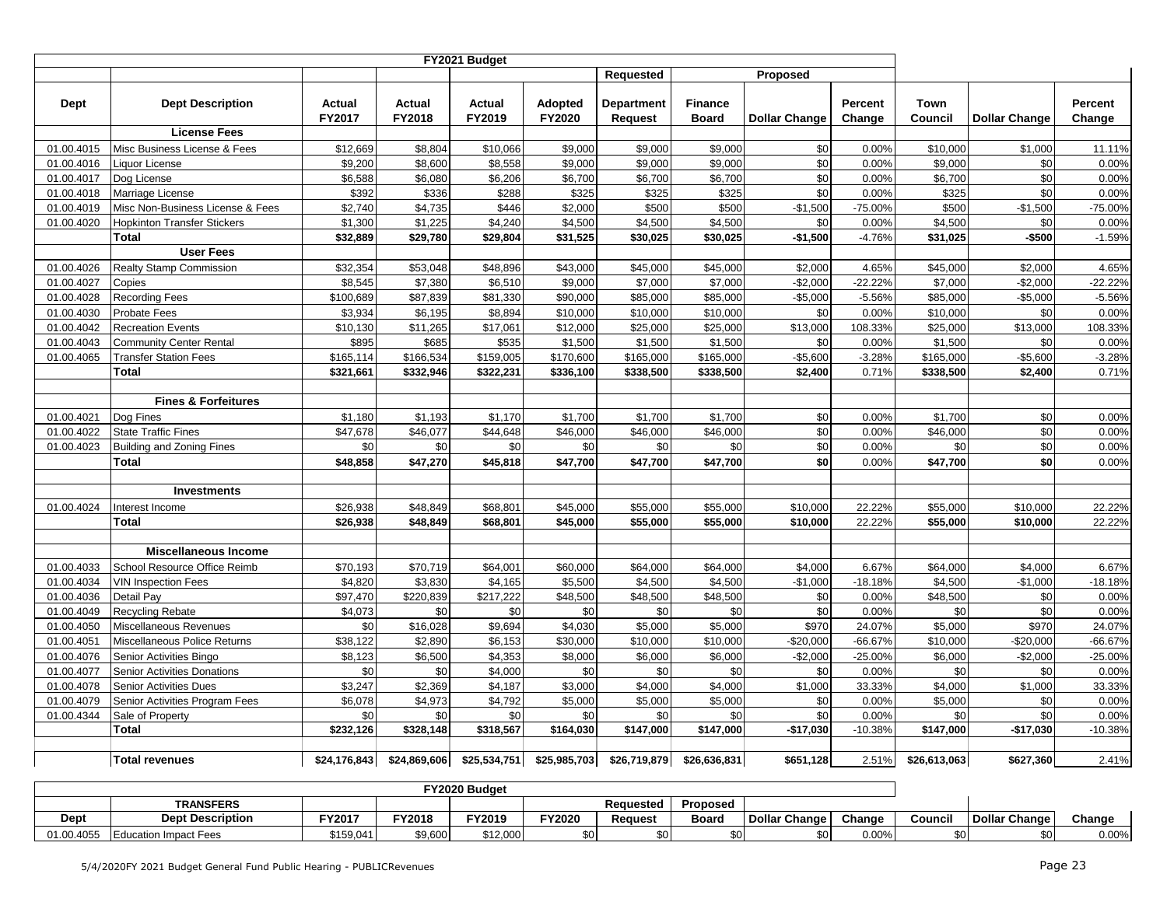|                          |                                    |                    |                    | FY2021 Budget      |                    |                    |                    |                      |                |                     |                      |                |
|--------------------------|------------------------------------|--------------------|--------------------|--------------------|--------------------|--------------------|--------------------|----------------------|----------------|---------------------|----------------------|----------------|
|                          |                                    |                    |                    |                    |                    | <b>Requested</b>   |                    | Proposed             |                |                     |                      |                |
|                          |                                    |                    |                    |                    |                    |                    |                    |                      |                |                     |                      |                |
| Dept                     | <b>Dept Description</b>            | <b>Actual</b>      | Actual             | <b>Actual</b>      | <b>Adopted</b>     | Department         | <b>Finance</b>     |                      | Percent        | Town                |                      | Percent        |
|                          |                                    | FY2017             | FY2018             | FY2019             | FY2020             | Request            | <b>Board</b>       | <b>Dollar Change</b> | Change         | Council             | <b>Dollar Change</b> | Change         |
|                          | <b>License Fees</b>                |                    |                    |                    |                    |                    |                    |                      |                |                     |                      |                |
| 01.00.4015               | Misc Business License & Fees       | \$12,669           | \$8,804            | \$10,066           | \$9,000            | \$9,000            | \$9,000            | \$0<br>\$0           | 0.00%          | \$10,000<br>\$9,000 | \$1,000<br>\$0       | 11.11%         |
| 01.00.4016               | Liquor License<br>Dog License      | \$9,200<br>\$6,588 | \$8,600<br>\$6,080 | \$8,558<br>\$6,206 | \$9,000<br>\$6,700 | \$9,000<br>\$6,700 | \$9,000<br>\$6,700 | \$0                  | 0.00%<br>0.00% | \$6,700             | \$0                  | 0.00%<br>0.00% |
| 01.00.4017<br>01.00.4018 | Marriage License                   | \$392              | \$336              | \$288              | \$325              | \$325              | \$325              | \$0                  | 0.00%          | \$325               | \$0                  | 0.00%          |
| 01.00.4019               | Misc Non-Business License & Fees   | \$2,740            | \$4,735            | \$446              | \$2,000            | \$500              | \$500              | $-$1,500$            | -75.00%        | \$500               | $-$1,500$            | $-75.00%$      |
| 01.00.4020               | <b>Hopkinton Transfer Stickers</b> | \$1,300            | \$1,225            | \$4,240            | \$4,500            | \$4,500            | \$4,500            | \$0                  | 0.00%          | \$4,500             | \$0                  | 0.00%          |
|                          | <b>Total</b>                       | \$32,889           | \$29,780           | \$29,804           | \$31,525           | \$30,025           | \$30,025           | $-$1,500$            | $-4.76%$       | \$31,025            | -\$500               | $-1.59%$       |
|                          | <b>User Fees</b>                   |                    |                    |                    |                    |                    |                    |                      |                |                     |                      |                |
| 01.00.4026               | <b>Realty Stamp Commission</b>     | \$32,354           | \$53,048           | \$48,896           | \$43,000           | \$45,000           | \$45,000           | \$2,000              | 4.65%          | \$45,000            | \$2.000              | 4.65%          |
| 01.00.4027               | Copies                             | \$8,545            | \$7,380            | \$6,510            | \$9,000            | \$7,000            | \$7,000            | $-$2,000$            | $-22.22%$      | \$7,000             | $-$2,000$            | $-22.22%$      |
| 01.00.4028               | <b>Recording Fees</b>              | \$100,689          | \$87,839           | \$81.330           | \$90,000           | \$85,000           | \$85,000           | $-$5.000$            | $-5.56%$       | \$85,000            | $-$ \$5,000          | $-5.56%$       |
| 01.00.4030               | Probate Fees                       | \$3,934            | \$6,195            | \$8,894            | \$10,000           | \$10,000           | \$10,000           | \$0                  | 0.00%          | \$10,000            | \$0                  | 0.00%          |
| 01.00.4042               | <b>Recreation Events</b>           | \$10,130           | \$11,265           | \$17,061           | \$12,000           | \$25,000           | \$25,000           | \$13,000             | 108.33%        | \$25,000            | \$13,000             | 108.33%        |
| 01.00.4043               | <b>Community Center Rental</b>     | \$895              | \$685              | \$535              | \$1,500            | \$1,500            | \$1,500            | \$0                  | 0.00%          | \$1,500             | \$0                  | 0.00%          |
| 01.00.4065               | <b>Transfer Station Fees</b>       | \$165,114          | \$166,534          | \$159,005          | \$170,600          | \$165,000          | \$165,000          | $-$5,600$            | $-3.28%$       | \$165,000           | $-$5,600$            | $-3.28%$       |
|                          | Total                              | \$321,661          | \$332,946          | \$322,231          | \$336,100          | \$338,500          | \$338,500          | \$2,400              | 0.71%          | \$338,500           | \$2,400              | 0.71%          |
|                          |                                    |                    |                    |                    |                    |                    |                    |                      |                |                     |                      |                |
|                          | <b>Fines &amp; Forfeitures</b>     |                    |                    |                    |                    |                    |                    |                      |                |                     |                      |                |
| 01.00.4021               | Dog Fines                          | \$1,180            | \$1,193            | \$1,170            | \$1,700            | \$1,700            | \$1,700            | \$0                  | 0.00%          | \$1,700             | \$0                  | 0.00%          |
| 01.00.4022               | <b>State Traffic Fines</b>         | \$47,678           | \$46,077           | \$44,648           | \$46,000           | \$46,000           | \$46,000           | \$0                  | 0.00%          | \$46,000            | \$0                  | 0.00%          |
| 01.00.4023               | <b>Building and Zoning Fines</b>   | \$0                | \$0                | \$0                | \$0                | \$0                | \$0                | \$0                  | 0.00%          | \$0                 | \$0                  | 0.00%          |
|                          | <b>Total</b>                       | \$48,858           | \$47,270           | \$45,818           | \$47,700           | \$47,700           | \$47,700           | \$0                  | 0.00%          | \$47,700            | \$0                  | 0.00%          |
|                          |                                    |                    |                    |                    |                    |                    |                    |                      |                |                     |                      |                |
|                          | Investments                        |                    |                    |                    |                    |                    |                    |                      |                |                     |                      |                |
| 01.00.4024               | Interest Income                    | \$26,938           | \$48,849           | \$68,801           | \$45,000           | \$55,000           | \$55,000           | \$10,000             | 22.22%         | \$55,000            | \$10,000             | 22.22%         |
|                          | <b>Total</b>                       | \$26,938           | \$48,849           | \$68,801           | \$45,000           | \$55,000           | \$55,000           | \$10,000             | 22.22%         | \$55,000            | \$10,000             | 22.22%         |
|                          | <b>Miscellaneous Income</b>        |                    |                    |                    |                    |                    |                    |                      |                |                     |                      |                |
| 01.00.4033               | School Resource Office Reimb       | \$70,193           | \$70,719           | \$64,001           | \$60,000           | \$64,000           | \$64,000           | \$4,000              | 6.67%          | \$64,000            | \$4,000              | 6.67%          |
| 01.00.4034               | <b>VIN Inspection Fees</b>         | \$4,820            | \$3,830            | \$4,165            | \$5,500            | \$4,500            | \$4,500            | $-$1,000$            | $-18.18%$      | \$4,500             | $-$1,000$            | $-18.18%$      |
| 01.00.4036               | Detail Pay                         | \$97,470           | \$220,839          | \$217,222          | \$48,500           | \$48,500           | \$48,500           | \$0                  | 0.00%          | \$48,500            | \$0                  | 0.00%          |
| 01.00.4049               | <b>Recycling Rebate</b>            | \$4,073            | \$0                | \$0                | \$0                | \$0                | \$0                | \$0                  | 0.00%          | \$0                 | \$0                  | 0.00%          |
| 01.00.4050               | Miscellaneous Revenues             | \$0                | \$16,028           | \$9,694            | \$4,030            | \$5,000            | \$5,000            | \$970                | 24.07%         | \$5,000             | \$970                | 24.07%         |
| 01.00.4051               | Miscellaneous Police Returns       | \$38,122           | \$2,890            | \$6,153            | \$30,000           | \$10,000           | \$10,000           | $-$20,000$           | $-66.67%$      | \$10,000            | $-$20,000$           | $-66.67%$      |
| 01.00.4076               | Senior Activities Bingo            | \$8,123            | \$6,500            | \$4,353            | \$8,000            | \$6,000            | \$6,000            | $-$2,000$            | $-25.00%$      | \$6,000             | $-$2,000$            | $-25.00%$      |
| 01.00.4077               | Senior Activities Donations        | \$0                | \$0                | \$4,000            | \$0                | \$0                | \$0                | \$0                  | 0.00%          | \$0                 | \$0                  | 0.00%          |
| 01.00.4078               | <b>Senior Activities Dues</b>      | \$3,247            | \$2,369            | \$4,187            | \$3,000            | \$4,000            | \$4,000            | \$1,000              | 33.33%         | \$4,000             | \$1,000              | 33.33%         |
| 01.00.4079               | Senior Activities Program Fees     | \$6,078            | \$4,973            | \$4,792            | \$5,000            | \$5,000            | \$5,000            | \$0                  | 0.00%          | \$5,000             | \$0                  | 0.00%          |
| 01.00.4344               | Sale of Property                   | \$0                | \$0                | \$0                | \$0                | \$0                | \$0                | \$0                  | 0.00%          | \$0                 | \$0                  | 0.00%          |
|                          | <b>Total</b>                       | \$232,126          | \$328,148          | \$318,567          | \$164,030          | \$147,000          | \$147,000          | $-$17,030$           | $-10.38%$      | \$147,000           | $-$17,030$           | -10.38%        |
|                          |                                    |                    |                    |                    |                    |                    |                    |                      |                |                     |                      |                |
|                          | <b>Total revenues</b>              | \$24,176,843       | \$24,869,606       | \$25,534,751       | \$25,985,703       | \$26,719,879       | \$26,636,831       | \$651,128            | 2.51%          | \$26,613,063        | \$627,360            | 2.41%          |

|            |                              |           |               | <b>FY2020 Budget</b> |        |           |              |               |          |         |                      |          |
|------------|------------------------------|-----------|---------------|----------------------|--------|-----------|--------------|---------------|----------|---------|----------------------|----------|
|            | <b>TRANSFERS</b>             |           |               |                      |        | Reauested | Proposed     |               |          |         |                      |          |
| Dept       | <b>Dept Description</b>      | FY2017    | <b>FY2018</b> | <b>FY2019</b>        | FY2020 | Reauest   | <b>Board</b> | Dollar Change | Change   | Council | <b>Dollar Change</b> | Change   |
| 01.00.4055 | <b>Education Impact Fees</b> | \$159,041 | \$9,600       | \$12,000             |        |           |              |               | $0.00\%$ |         |                      | $0.00\%$ |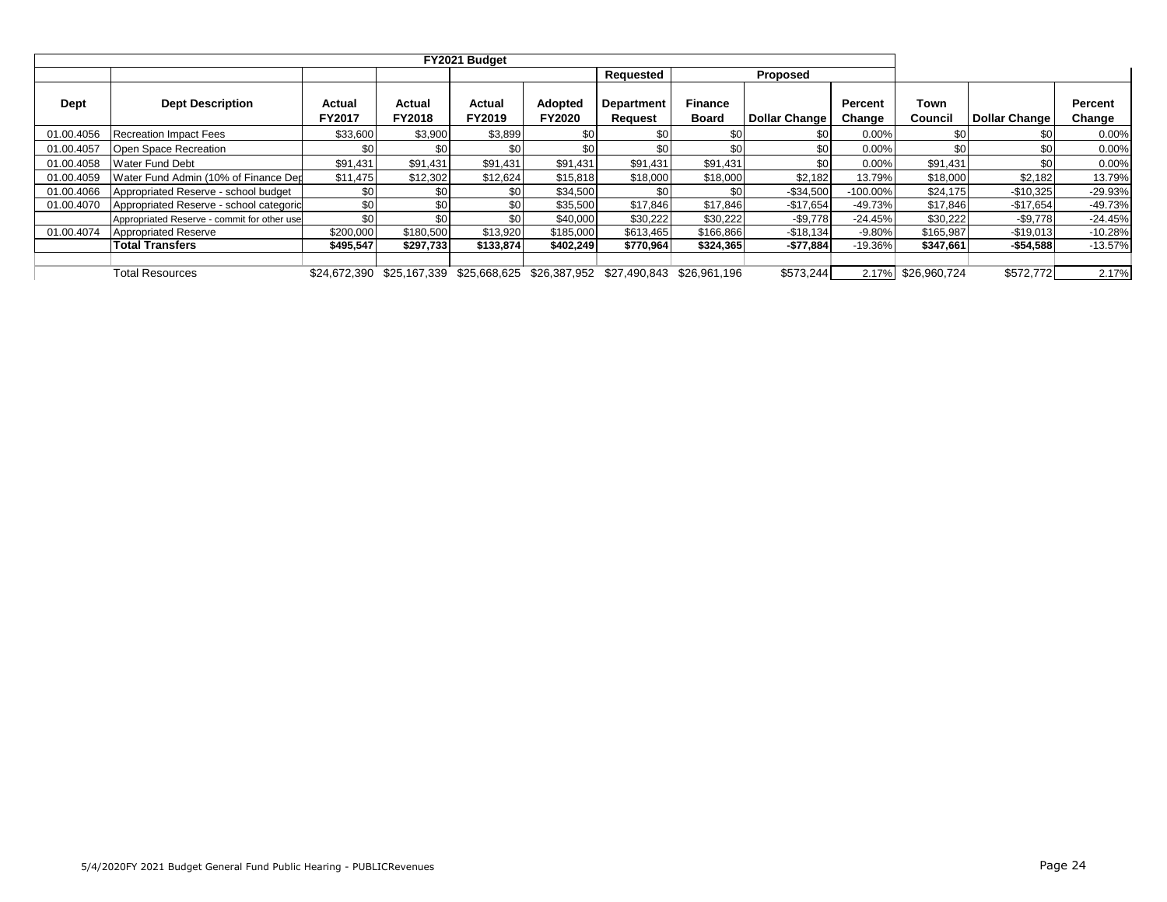|            |                                             |                  |                         |                  |                          | Requested                              |                                | Proposed             |                          |                 |               |                   |
|------------|---------------------------------------------|------------------|-------------------------|------------------|--------------------------|----------------------------------------|--------------------------------|----------------------|--------------------------|-----------------|---------------|-------------------|
| Dept       | <b>Dept Description</b>                     | Actual<br>FY2017 | Actual<br><b>FY2018</b> | Actual<br>FY2019 | Adopted<br><b>FY2020</b> | <b>Department</b><br>Request           | <b>Finance</b><br><b>Board</b> | <b>Dollar Change</b> | <b>Percent</b><br>Change | Town<br>Council | Dollar Change | Percent<br>Change |
| 01.00.4056 | <b>Recreation Impact Fees</b>               | \$33,600         | \$3,900                 | \$3,899          | \$0                      | \$0                                    | \$0                            | \$0                  | 0.00%                    |                 | \$0           | 0.00%             |
| 01.00.4057 | Open Space Recreation                       | \$0              | \$0                     | \$0              | \$0                      | \$0                                    | \$0                            | \$0                  | 0.00%                    |                 | \$0           | 0.00%             |
| 01.00.4058 | <b>Water Fund Debt</b>                      | \$91,431         | \$91,431                | \$91,431         | \$91,431                 | \$91,431                               | \$91,431                       | \$0                  | 0.00%                    | \$91,431        | \$0           | 0.00%             |
| 01.00.4059 | Water Fund Admin (10% of Finance Dep        | \$11,475         | \$12,302                | \$12,624         | \$15,818                 | \$18,000                               | \$18,000                       | \$2,182              | 13.79%                   | \$18,000        | \$2,182       | 13.79%            |
| 01.00.4066 | Appropriated Reserve - school budget        | \$0 <sub>1</sub> | \$0 <sub>1</sub>        | \$0 <sub>1</sub> | \$34,500                 | \$0                                    | \$01                           | $-$34,500$           | $-100.00\%$              | \$24,175        | $-$10,325$    | $-29.93%$         |
| 01.00.4070 | Appropriated Reserve - school categoric     | \$0              | \$0                     | \$0              | \$35,500                 | \$17,846                               | \$17,846                       | $-$17,654$           | $-49.73%$                | \$17,846        | $-$17,654$    | $-49.73%$         |
|            | Appropriated Reserve - commit for other use | \$0              | \$0                     | \$0 <sub>1</sub> | \$40,000                 | \$30,222                               | \$30,222                       | $-$ \$9,778          | $-24.45%$                | \$30,222        | $-$ \$9,778   | $-24.45%$         |
| 01.00.4074 | <b>Appropriated Reserve</b>                 | \$200,000        | \$180,500               | \$13,920         | \$185,000                | \$613.465                              | \$166,866                      | $-$18,134$           | $-9.80%$                 | \$165.987       | $-$19,013$    | $-10.28%$         |
|            | <b>Total Transfers</b>                      | \$495,547        | \$297,733               | \$133,874        | \$402,249                | \$770,964                              | \$324,365                      | $-$77,884$           | $-19.36%$                | \$347,661       | $-$54,588$    | $-13.57%$         |
|            |                                             |                  |                         |                  |                          |                                        |                                |                      |                          |                 |               |                   |
|            | <b>Total Resources</b>                      | \$24.672.390     | \$25.167.339            |                  |                          | \$25,668,625 \$26,387,952 \$27,490,843 | \$26.961.196                   | \$573,244            | 2.17%                    | \$26.960.724    | \$572,772     | 2.17%             |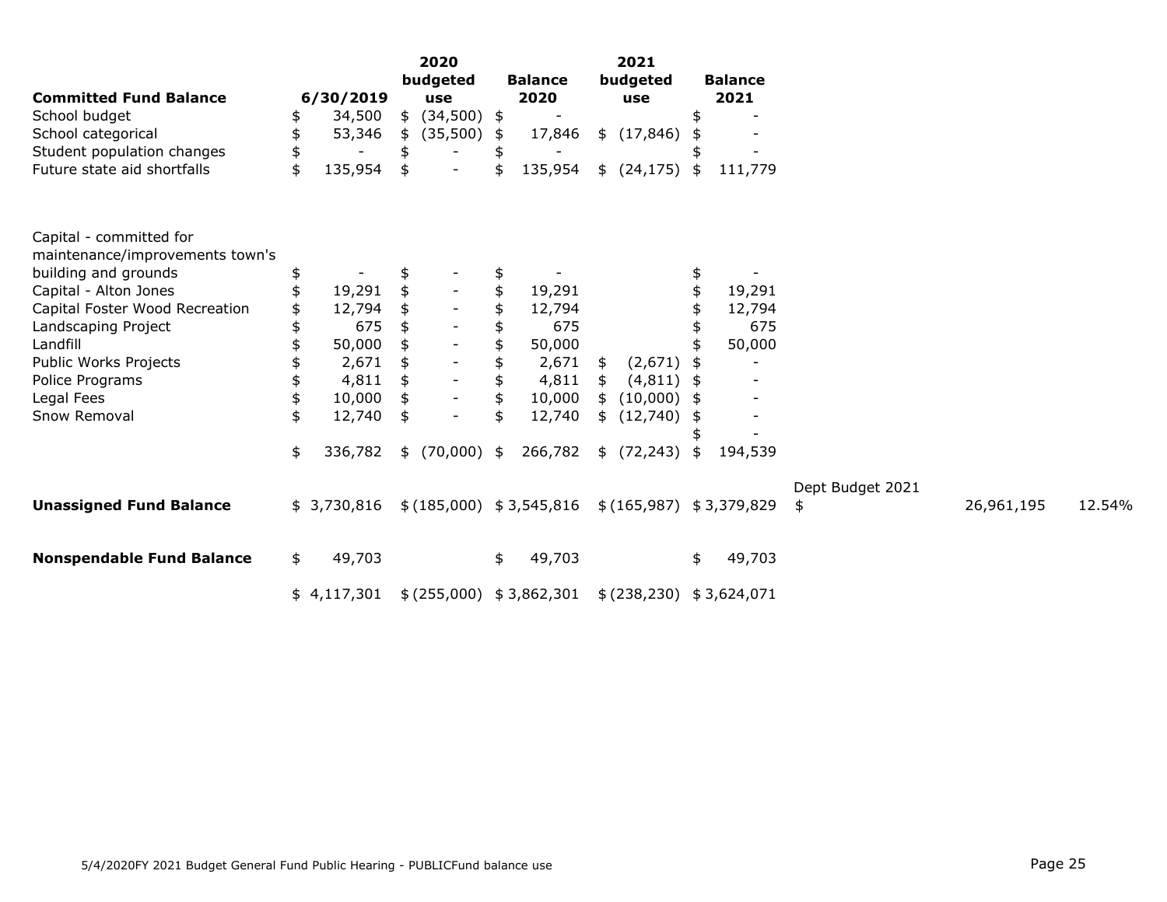| <b>Committed Fund Balance</b>    | 6/30/2019     | 2020<br>budgeted<br>use | <b>Balance</b><br>2020    | 2021<br>budgeted<br>use |      | <b>Balance</b><br>2021   |                  |            |        |
|----------------------------------|---------------|-------------------------|---------------------------|-------------------------|------|--------------------------|------------------|------------|--------|
| School budget                    | \$<br>34,500  | \$<br>$(34,500)$ \$     |                           |                         |      |                          |                  |            |        |
| School categorical               | \$<br>53,346  | \$<br>(35,500)          | \$<br>17,846              | \$(17, 846)             |      |                          |                  |            |        |
| Student population changes       | \$            | \$                      |                           |                         |      |                          |                  |            |        |
| Future state aid shortfalls      | \$<br>135,954 | \$                      | 135,954                   | \$<br>(24, 175)         | \$   | 111,779                  |                  |            |        |
| Capital - committed for          |               |                         |                           |                         |      |                          |                  |            |        |
| maintenance/improvements town's  |               |                         |                           |                         |      |                          |                  |            |        |
| building and grounds             | \$            | \$                      |                           |                         | \$   |                          |                  |            |        |
| Capital - Alton Jones            | 19,291        |                         | 19,291                    |                         |      | 19,291                   |                  |            |        |
| Capital Foster Wood Recreation   | 12,794        | \$                      | 12,794                    |                         |      | 12,794                   |                  |            |        |
| Landscaping Project              | 675           |                         | 675                       |                         |      | 675                      |                  |            |        |
| Landfill                         | 50,000        |                         | 50,000                    |                         |      | 50,000                   |                  |            |        |
| Public Works Projects            | 2,671         | \$                      | 2,671                     | \$<br>(2,671)           |      | $\overline{\phantom{a}}$ |                  |            |        |
| Police Programs                  | 4,811         |                         | 4,811                     | \$<br>(4, 811)          |      |                          |                  |            |        |
| Legal Fees                       | \$<br>10,000  | \$                      | \$<br>10,000              | \$<br>(10,000)          | - \$ |                          |                  |            |        |
| Snow Removal                     | \$<br>12,740  | \$                      | 12,740                    | \$(12,740)              | £    |                          |                  |            |        |
|                                  |               |                         |                           |                         |      |                          |                  |            |        |
|                                  | \$<br>336,782 | \$<br>$(70,000)$ \$     | 266,782                   | \$(72, 243)             | \$   | 194,539                  |                  |            |        |
|                                  |               |                         |                           |                         |      |                          | Dept Budget 2021 |            |        |
| <b>Unassigned Fund Balance</b>   | \$3,730,816   |                         | \$(185,000) \$3,545,816   |                         |      | \$(165,987) \$3,379,829  | \$               | 26,961,195 | 12.54% |
| <b>Nonspendable Fund Balance</b> | \$<br>49,703  |                         | \$<br>49,703              |                         | \$   | 49,703                   |                  |            |        |
|                                  | \$4,117,301   |                         | \$ (255,000) \$ 3,862,301 |                         |      | \$(238,230) \$3,624,071  |                  |            |        |